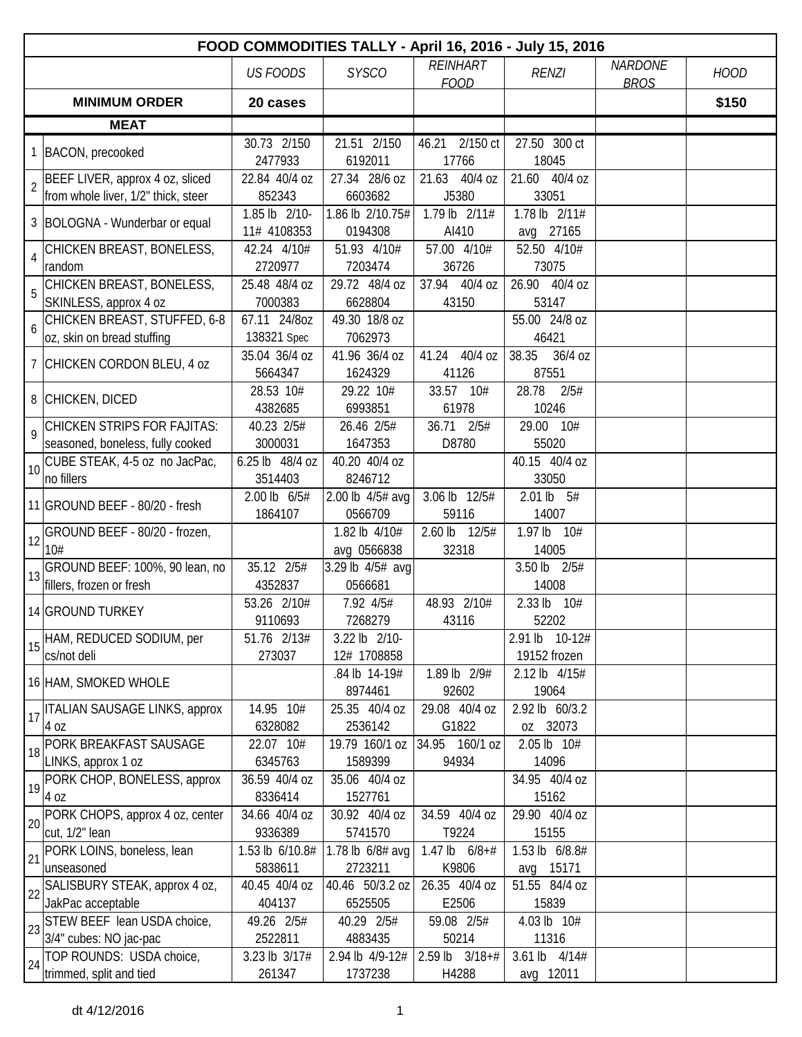|                 | FOOD COMMODITIES TALLY - April 16, 2016 - July 15, 2016                |                              |                              |                                |                                |                               |             |  |  |  |
|-----------------|------------------------------------------------------------------------|------------------------------|------------------------------|--------------------------------|--------------------------------|-------------------------------|-------------|--|--|--|
|                 |                                                                        | <b>US FOODS</b>              | <b>SYSCO</b>                 | <b>REINHART</b><br><b>FOOD</b> | <b>RENZI</b>                   | <b>NARDONE</b><br><b>BROS</b> | <b>HOOD</b> |  |  |  |
|                 | <b>MINIMUM ORDER</b>                                                   | 20 cases                     |                              |                                |                                |                               | \$150       |  |  |  |
|                 | <b>MEAT</b>                                                            |                              |                              |                                |                                |                               |             |  |  |  |
|                 | 1 BACON, precooked                                                     | 30.73 2/150<br>2477933       | 21.51 2/150<br>6192011       | 46.21 2/150 ct<br>17766        | 27.50 300 ct<br>18045          |                               |             |  |  |  |
| $\overline{2}$  | BEEF LIVER, approx 4 oz, sliced<br>from whole liver, 1/2" thick, steer | 22.84 40/4 oz<br>852343      | 27.34 28/6 oz<br>6603682     | 21.63 40/4 oz<br>J5380         | 21.60 40/4 oz<br>33051         |                               |             |  |  |  |
|                 | 3 BOLOGNA - Wunderbar or equal                                         | 1.85 lb 2/10-<br>11# 4108353 | 1.86 lb 2/10.75#<br>0194308  | 1.79 lb 2/11#<br>AI410         | 1.78 lb 2/11#<br>avg 27165     |                               |             |  |  |  |
| $\overline{4}$  | CHICKEN BREAST, BONELESS,<br>random                                    | 42.24 4/10#<br>2720977       | 51.93 4/10#<br>7203474       | 57.00 4/10#<br>36726           | 52.50 4/10#<br>73075           |                               |             |  |  |  |
| 5               | CHICKEN BREAST, BONELESS,<br>SKINLESS, approx 4 oz                     | 25.48 48/4 oz<br>7000383     | 29.72 48/4 oz<br>6628804     | 37.94 40/4 oz<br>43150         | 26.90 40/4 oz<br>53147         |                               |             |  |  |  |
| $6\overline{6}$ | CHICKEN BREAST, STUFFED, 6-8<br>oz, skin on bread stuffing             | 67.11 24/80Z<br>138321 Spec  | 49.30 18/8 oz<br>7062973     |                                | 55.00 24/8 oz<br>46421         |                               |             |  |  |  |
|                 | 7 CHICKEN CORDON BLEU, 4 oz                                            | 35.04 36/4 oz<br>5664347     | 41.96 36/4 oz<br>1624329     | 40/4 oz<br>41.24<br>41126      | 38.35<br>36/4 oz<br>87551      |                               |             |  |  |  |
|                 | 8 CHICKEN, DICED                                                       | 28.53 10#<br>4382685         | 29.22 10#<br>6993851         | 33.57<br>10#<br>61978          | 28.78<br>2/5#<br>10246         |                               |             |  |  |  |
|                 | 9 CHICKEN STRIPS FOR FAJITAS:<br>seasoned, boneless, fully cooked      | 40.23 2/5#<br>3000031        | 26.46 2/5#<br>1647353        | 36.71 2/5#<br>D8780            | 29.00 10#<br>55020             |                               |             |  |  |  |
|                 | $\bigg  10 \bigg $ CUBE STEAK, 4-5 oz no JacPac,<br>no fillers         | 6.25 lb 48/4 oz<br>3514403   | 40.20 40/4 oz<br>8246712     |                                | 40.15 40/4 oz<br>33050         |                               |             |  |  |  |
|                 | 11 GROUND BEEF - 80/20 - fresh                                         | 2.00 lb 6/5#<br>1864107      | 2.00 lb 4/5# avg<br>0566709  | 3.06 lb 12/5#<br>59116         | $2.01 lb$ 5#<br>14007          |                               |             |  |  |  |
|                 | $\left  \frac{1}{2} \right $ GROUND BEEF - 80/20 - frozen,<br>10#      |                              | 1.82 lb 4/10#<br>avg 0566838 | $2.60$ lb<br>12/5#<br>32318    | 1.97 lb 10#<br>14005           |                               |             |  |  |  |
| 13              | GROUND BEEF: 100%, 90 lean, no<br>fillers, frozen or fresh             | 35.12 2/5#<br>4352837        | 3.29 lb 4/5# avg<br>0566681  |                                | 3.50 lb 2/5#<br>14008          |                               |             |  |  |  |
|                 | 14 GROUND TURKEY                                                       | 53.26 2/10#<br>9110693       | 7.92 4/5#<br>7268279         | 48.93 2/10#<br>43116           | 2.33 lb 10#<br>52202           |                               |             |  |  |  |
|                 | 15 HAM, REDUCED SODIUM, per<br>cs/not deli                             | 51.76 2/13#<br>273037        | 3.22 lb 2/10-<br>12# 1708858 |                                | 2.91 lb 10-12#<br>19152 frozen |                               |             |  |  |  |
|                 | 16 HAM, SMOKED WHOLE                                                   |                              | .84 lb 14-19#<br>8974461     | 1.89 lb 2/9#<br>92602          | 2.12 lb 4/15#<br>19064         |                               |             |  |  |  |
| 17              | <b>ITALIAN SAUSAGE LINKS, approx</b><br>4 oz                           | 14.95 10#<br>6328082         | 25.35 40/4 oz<br>2536142     | 29.08 40/4 oz<br>G1822         | 2.92 lb 60/3.2<br>oz 32073     |                               |             |  |  |  |
| 18              | PORK BREAKFAST SAUSAGE<br>LINKS, approx 1 oz                           | 22.07 10#<br>6345763         | 19.79 160/1 oz<br>1589399    | 34.95 160/1 oz<br>94934        | 2.05 lb 10#<br>14096           |                               |             |  |  |  |
| 19              | PORK CHOP, BONELESS, approx<br>4 oz                                    | 36.59 40/4 oz<br>8336414     | 35.06 40/4 oz<br>1527761     |                                | 34.95 40/4 oz<br>15162         |                               |             |  |  |  |
| 20              | PORK CHOPS, approx 4 oz, center<br>cut, 1/2" lean                      | 34.66 40/4 oz<br>9336389     | 30.92 40/4 oz<br>5741570     | 34.59 40/4 oz<br>T9224         | 29.90 40/4 oz<br>15155         |                               |             |  |  |  |
| 21              | PORK LOINS, boneless, lean<br>unseasoned                               | 1.53 lb 6/10.8#<br>5838611   | 1.78 lb 6/8# avg<br>2723211  | 1.47 lb $6/8+#$<br>K9806       | 1.53 lb 6/8.8#<br>avg 15171    |                               |             |  |  |  |
| 22              | SALISBURY STEAK, approx 4 oz,<br>JakPac acceptable                     | 40.45 40/4 oz<br>404137      | 40.46 50/3.2 oz<br>6525505   | 26.35 40/4 oz<br>E2506         | 51.55 84/4 oz<br>15839         |                               |             |  |  |  |
| 23              | STEW BEEF lean USDA choice,<br>3/4" cubes: NO jac-pac                  | 49.26 2/5#<br>2522811        | 40.29 2/5#<br>4883435        | 59.08 2/5#<br>50214            | 4.03 lb 10#<br>11316           |                               |             |  |  |  |
| 24              | TOP ROUNDS: USDA choice,<br>trimmed, split and tied                    | 3.23 lb 3/17#<br>261347      | 2.94 lb 4/9-12#<br>1737238   | $2.59$ lb $3/18+#$<br>H4288    | 3.61 lb 4/14#<br>avg 12011     |                               |             |  |  |  |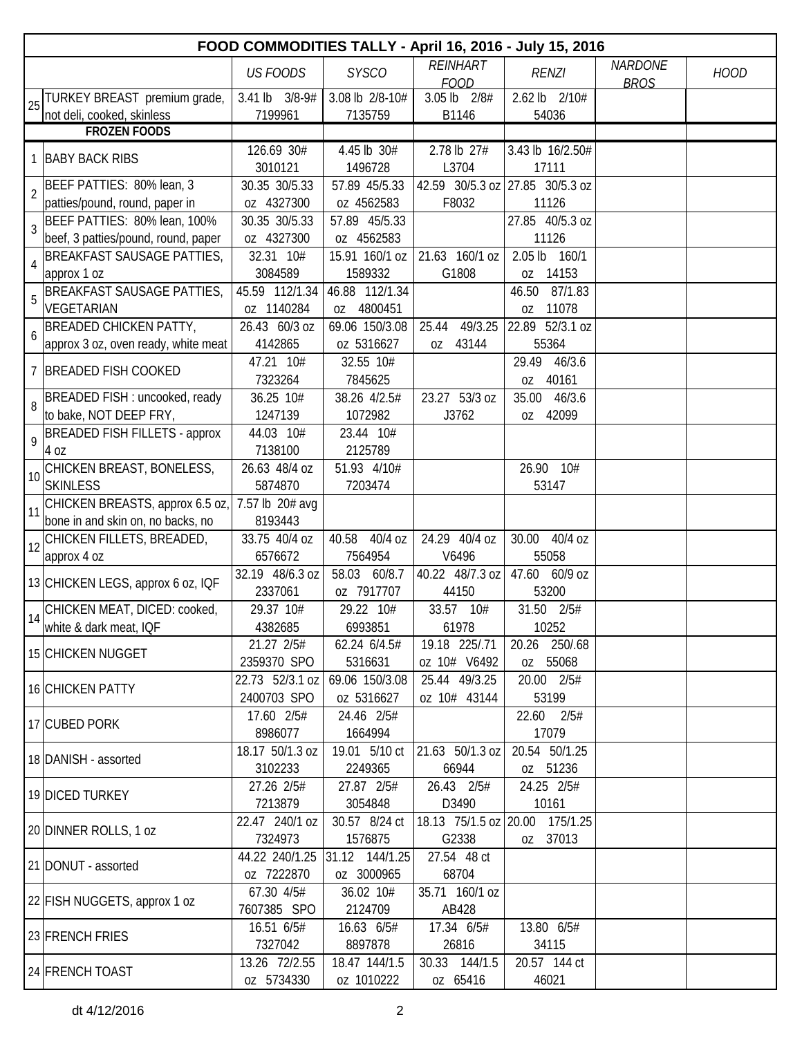|                | FOOD COMMODITIES TALLY - April 16, 2016 - July 15, 2016   |                           |                            |                                |                                 |                               |             |  |  |  |
|----------------|-----------------------------------------------------------|---------------------------|----------------------------|--------------------------------|---------------------------------|-------------------------------|-------------|--|--|--|
|                |                                                           | <b>US FOODS</b>           | <b>SYSCO</b>               | <b>REINHART</b><br><b>FOOD</b> | <b>RENZI</b>                    | <b>NARDONE</b><br><b>BROS</b> | <b>HOOD</b> |  |  |  |
|                | 25 TURKEY BREAST premium grade,                           | 3.41 lb 3/8-9#<br>7199961 | 3.08 lb 2/8-10#<br>7135759 | 3.05 lb 2/8#<br>B1146          | 2.62 lb 2/10#<br>54036          |                               |             |  |  |  |
|                | not deli, cooked, skinless<br><b>FROZEN FOODS</b>         |                           |                            |                                |                                 |                               |             |  |  |  |
|                |                                                           | 126.69 30#                | 4.45 lb 30#                | 2.78 lb 27#                    | 3.43 lb 16/2.50#                |                               |             |  |  |  |
|                | 1 BABY BACK RIBS                                          | 3010121                   | 1496728                    | L3704                          | 17111                           |                               |             |  |  |  |
|                | BEEF PATTIES: 80% lean, 3                                 | 30.35 30/5.33             | 57.89 45/5.33              |                                | 42.59 30/5.3 oz 27.85 30/5.3 oz |                               |             |  |  |  |
| $\overline{2}$ | patties/pound, round, paper in                            | oz 4327300                | oz 4562583                 | F8032                          | 11126                           |                               |             |  |  |  |
|                | BEEF PATTIES: 80% lean, 100%                              | 30.35 30/5.33             | 57.89 45/5.33              |                                | 27.85 40/5.3 oz                 |                               |             |  |  |  |
| $\mathfrak{Z}$ | beef, 3 patties/pound, round, paper                       | oz 4327300                | oz 4562583                 |                                | 11126                           |                               |             |  |  |  |
|                | BREAKFAST SAUSAGE PATTIES,                                | 32.31 10#                 | 15.91 160/1 oz             | 21.63 160/1 oz                 | $2.05$ lb<br>160/1              |                               |             |  |  |  |
| $\overline{4}$ | approx 1 oz                                               | 3084589                   | 1589332                    | G1808                          | oz 14153                        |                               |             |  |  |  |
| 5              | <b>BREAKFAST SAUSAGE PATTIES,</b>                         | 45.59 112/1.34            | 46.88 112/1.34             |                                | 87/1.83<br>46.50                |                               |             |  |  |  |
|                | VEGETARIAN                                                | oz 1140284                | oz 4800451                 |                                | 11078<br>0Z                     |                               |             |  |  |  |
|                | <b>BREADED CHICKEN PATTY,</b>                             | 26.43 60/3 oz             | 69.06 150/3.08             | 49/3.25<br>25.44               | 22.89 52/3.1 oz                 |                               |             |  |  |  |
| 6              | approx 3 oz, oven ready, white meat                       | 4142865                   | oz 5316627                 | 43144<br>0Z                    | 55364                           |                               |             |  |  |  |
|                | 7 BREADED FISH COOKED                                     | 47.21 10#                 | 32.55 10#                  |                                | 29.49<br>46/3.6                 |                               |             |  |  |  |
|                |                                                           | 7323264                   | 7845625                    |                                | 40161<br>0Z                     |                               |             |  |  |  |
| 8              | BREADED FISH : uncooked, ready                            | 36.25 10#                 | 38.26 4/2.5#               | 23.27 53/3 oz                  | 46/3.6<br>35.00                 |                               |             |  |  |  |
|                | to bake, NOT DEEP FRY,                                    | 1247139                   | 1072982                    | J3762                          | oz 42099                        |                               |             |  |  |  |
| 9              | <b>BREADED FISH FILLETS - approx</b>                      | 44.03 10#                 | 23.44 10#                  |                                |                                 |                               |             |  |  |  |
|                | 4 oz                                                      | 7138100                   | 2125789                    |                                |                                 |                               |             |  |  |  |
| 10             | CHICKEN BREAST, BONELESS,                                 | 26.63 48/4 oz             | 51.93 4/10#                |                                | 26.90 10#                       |                               |             |  |  |  |
|                | <b>SKINLESS</b>                                           | 5874870                   | 7203474                    |                                | 53147                           |                               |             |  |  |  |
| 11             | CHICKEN BREASTS, approx 6.5 oz,                           | 7.57 lb 20# avg           |                            |                                |                                 |                               |             |  |  |  |
|                | bone in and skin on, no backs, no                         | 8193443                   |                            |                                |                                 |                               |             |  |  |  |
|                | 12 CHICKEN FILLETS, BREADED,                              | 33.75 40/4 oz             | 40.58 40/4 oz              | 24.29 40/4 oz                  | 30.00 40/4 oz                   |                               |             |  |  |  |
|                | approx 4 oz                                               | 6576672                   | 7564954                    | V6496                          | 55058                           |                               |             |  |  |  |
|                | 13 CHICKEN LEGS, approx 6 oz, IQF                         | 32.19 48/6.3 oz           | 58.03 60/8.7               | 40.22 48/7.3 oz                | 47.60 60/9 oz                   |                               |             |  |  |  |
|                |                                                           | 2337061                   | oz 7917707<br>29.22 10#    | 44150                          | 53200                           |                               |             |  |  |  |
|                | 14 CHICKEN MEAT, DICED: cooked,<br>white & dark meat, IQF | 29.37 10#<br>4382685      | 6993851                    | 33.57 10#<br>61978             | 31.50 2/5#<br>10252             |                               |             |  |  |  |
|                |                                                           | 21.27 2/5#                | 62.24 6/4.5#               | 19.18 225/.71                  | 20.26 250/.68                   |                               |             |  |  |  |
|                | 15 CHICKEN NUGGET                                         | 2359370 SPO               | 5316631                    | oz 10# V6492                   | oz 55068                        |                               |             |  |  |  |
|                |                                                           | 22.73 52/3.1 oz           | 69.06 150/3.08             | 25.44 49/3.25                  | 20.00 2/5#                      |                               |             |  |  |  |
|                | 16 CHICKEN PATTY                                          | 2400703 SPO               | oz 5316627                 | oz 10# 43144                   | 53199                           |                               |             |  |  |  |
|                |                                                           | 17.60 2/5#                | 24.46 2/5#                 |                                | 22.60<br>2/5#                   |                               |             |  |  |  |
|                | 17 CUBED PORK                                             | 8986077                   | 1664994                    |                                | 17079                           |                               |             |  |  |  |
|                |                                                           | 18.17 50/1.3 oz           | 19.01 5/10 ct              | 21.63 50/1.3 oz                | 20.54 50/1.25                   |                               |             |  |  |  |
|                | 18 DANISH - assorted                                      | 3102233                   | 2249365                    | 66944                          | oz 51236                        |                               |             |  |  |  |
|                |                                                           | 27.26 2/5#                | 27.87 2/5#                 | 26.43 2/5#                     | 24.25 2/5#                      |                               |             |  |  |  |
|                | 19 DICED TURKEY                                           | 7213879                   | 3054848                    | D3490                          | 10161                           |                               |             |  |  |  |
|                |                                                           | 22.47 240/1 oz            | 30.57 8/24 ct              |                                | 18.13 75/1.5 oz 20.00 175/1.25  |                               |             |  |  |  |
|                | 20 DINNER ROLLS, 1 oz                                     | 7324973                   | 1576875                    | G2338                          | oz 37013                        |                               |             |  |  |  |
|                |                                                           | 44.22 240/1.25            | 31.12 144/1.25             | 27.54 48 ct                    |                                 |                               |             |  |  |  |
|                | 21 DONUT - assorted                                       | oz 7222870                | oz 3000965                 | 68704                          |                                 |                               |             |  |  |  |
|                |                                                           | 67.30 4/5#                | 36.02 10#                  | 35.71 160/1 oz                 |                                 |                               |             |  |  |  |
|                | 22 FISH NUGGETS, approx 1 oz                              | 7607385 SPO               | 2124709                    | AB428                          |                                 |                               |             |  |  |  |
|                | 23 FRENCH FRIES                                           | 16.51 6/5#                | 16.63 6/5#                 | 17.34 6/5#                     | 13.80 6/5#                      |                               |             |  |  |  |
|                |                                                           | 7327042                   | 8897878                    | 26816                          | 34115                           |                               |             |  |  |  |
|                | 24 FRENCH TOAST                                           | 13.26 72/2.55             | 18.47 144/1.5              | 30.33 144/1.5                  | 20.57 144 ct                    |                               |             |  |  |  |
|                |                                                           | oz 5734330                | oz 1010222                 | oz 65416                       | 46021                           |                               |             |  |  |  |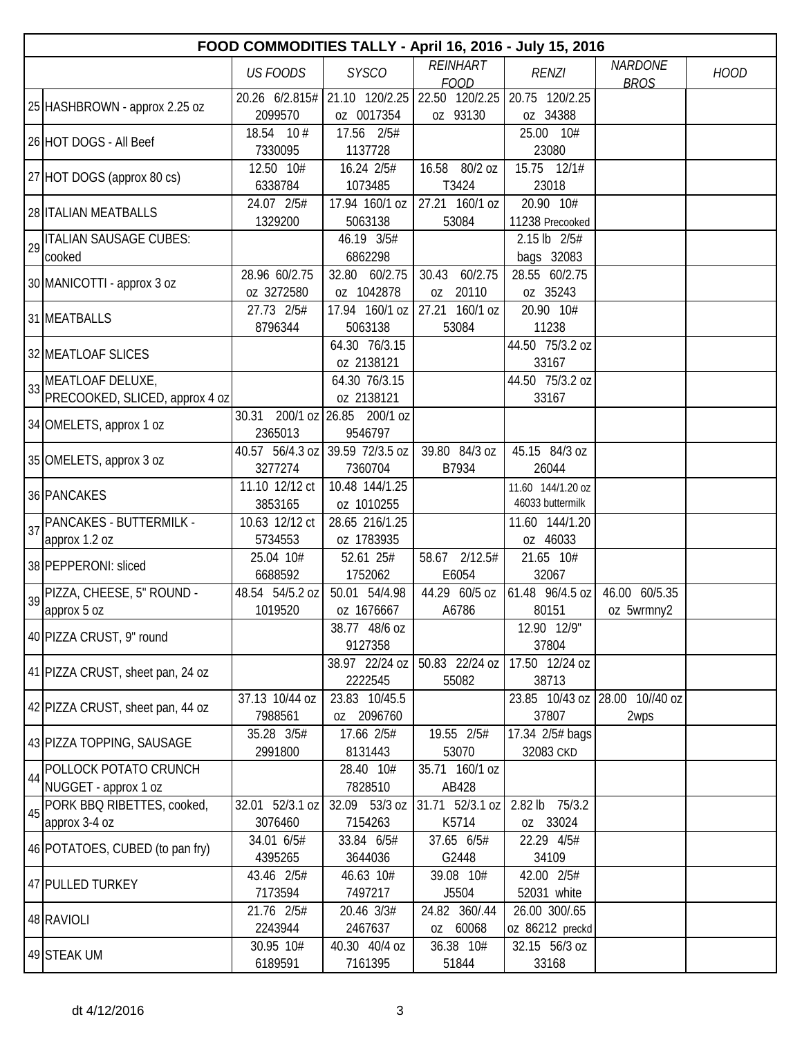|    | FOOD COMMODITIES TALLY - April 16, 2016 - July 15, 2016 |                                            |                                    |                                 |                                           |                               |             |  |  |
|----|---------------------------------------------------------|--------------------------------------------|------------------------------------|---------------------------------|-------------------------------------------|-------------------------------|-------------|--|--|
|    |                                                         | <b>US FOODS</b>                            | <b>SYSCO</b>                       | <b>REINHART</b><br><b>FOOD</b>  | <b>RENZI</b>                              | <b>NARDONE</b><br><b>BROS</b> | <b>HOOD</b> |  |  |
|    | 25 HASHBROWN - approx 2.25 oz                           | 20.26 6/2.815#<br>2099570                  | 21.10 120/2.25<br>oz 0017354       | oz 93130                        | 22.50 120/2.25 20.75 120/2.25<br>oz 34388 |                               |             |  |  |
|    | 26 HOT DOGS - All Beef                                  | 18.54 10 #<br>7330095                      | 17.56 2/5#<br>1137728              |                                 | 25.00 10#<br>23080                        |                               |             |  |  |
|    | 27 HOT DOGS (approx 80 cs)                              | 12.50 10#<br>6338784                       | 16.24 2/5#<br>1073485              | 16.58 80/2 oz<br>T3424          | 15.75 12/1#<br>23018                      |                               |             |  |  |
|    | 28 ITALIAN MEATBALLS                                    | 24.07 2/5#<br>1329200                      | 17.94 160/1 oz<br>5063138          | 27.21 160/1 oz<br>53084         | 20.90 10#<br>11238 Precooked              |                               |             |  |  |
|    | 29   ITALIAN SAUSAGE CUBES:<br>cooked                   |                                            | 46.19 3/5#<br>6862298              |                                 | 2.15 lb 2/5#<br>bags 32083                |                               |             |  |  |
|    | 30 MANICOTTI - approx 3 oz                              | 28.96 60/2.75<br>oz 3272580                | 32.80 60/2.75<br>oz 1042878        | 60/2.75<br>30.43<br>20110<br>0Z | 28.55 60/2.75<br>oz 35243                 |                               |             |  |  |
|    | 31 MEATBALLS                                            | 27.73 2/5#<br>8796344                      | 17.94 160/1 oz<br>5063138          | 27.21 160/1 oz<br>53084         | 20.90 10#<br>11238                        |                               |             |  |  |
|    | 32 MEATLOAF SLICES                                      |                                            | 64.30 76/3.15<br>oz 2138121        |                                 | 44.50 75/3.2 oz<br>33167                  |                               |             |  |  |
| 33 | MEATLOAF DELUXE,<br>PRECOOKED, SLICED, approx 4 oz      |                                            | 64.30 76/3.15<br>oz 2138121        |                                 | 44.50 75/3.2 oz<br>33167                  |                               |             |  |  |
|    | 34 OMELETS, approx 1 oz                                 | 30.31<br>2365013                           | 200/1 oz 26.85 200/1 oz<br>9546797 |                                 |                                           |                               |             |  |  |
|    | 35 OMELETS, approx 3 oz                                 | 40.57 56/4.3 oz 39.59 72/3.5 oz<br>3277274 | 7360704                            | 39.80 84/3 oz<br>B7934          | 45.15 84/3 oz<br>26044                    |                               |             |  |  |
|    | 36 PANCAKES                                             | 11.10 12/12 ct<br>3853165                  | 10.48 144/1.25<br>oz 1010255       |                                 | 11.60 144/1.20 oz<br>46033 buttermilk     |                               |             |  |  |
| 37 | PANCAKES - BUTTERMILK -<br>approx 1.2 oz                | 10.63 12/12 ct<br>5734553                  | 28.65 216/1.25<br>oz 1783935       |                                 | 11.60 144/1.20<br>oz 46033                |                               |             |  |  |
|    | 38 PEPPERONI: sliced                                    | 25.04 10#<br>6688592                       | 52.61 25#<br>1752062               | 58.67 2/12.5#<br>E6054          | 21.65 10#<br>32067                        |                               |             |  |  |
|    | 39 PIZZA, CHEESE, 5" ROUND -<br>approx 5 oz             | 48.54 54/5.2 oz<br>1019520                 | 50.01 54/4.98<br>oz 1676667        | 44.29 60/5 oz<br>A6786          | 61.48 96/4.5 oz<br>80151                  | 46.00 60/5.35<br>oz 5wrmny2   |             |  |  |
|    | 40 PIZZA CRUST, 9" round                                |                                            | 38.77 48/6 oz<br>9127358           |                                 | 12.90 12/9"<br>37804                      |                               |             |  |  |
|    | 41 PIZZA CRUST, sheet pan, 24 oz                        |                                            | 38.97 22/24 oz<br>2222545          | 50.83 22/24 oz<br>55082         | 17.50 12/24 oz<br>38713                   |                               |             |  |  |
|    | 42 PIZZA CRUST, sheet pan, 44 oz                        | 37.13 10/44 oz<br>7988561                  | 23.83 10/45.5<br>oz 2096760        |                                 | 23.85 10/43 oz<br>37807                   | 28.00 10//40 oz<br>2wps       |             |  |  |
|    | 43 PIZZA TOPPING, SAUSAGE                               | 35.28 3/5#<br>2991800                      | 17.66 2/5#<br>8131443              | 19.55 2/5#<br>53070             | 17.34 2/5# bags<br>32083 CKD              |                               |             |  |  |
| 44 | POLLOCK POTATO CRUNCH<br>NUGGET - approx 1 oz           |                                            | 28.40 10#<br>7828510               | 35.71 160/1 oz<br>AB428         |                                           |                               |             |  |  |
| 45 | PORK BBQ RIBETTES, cooked,<br>approx 3-4 oz             | 32.01 52/3.1 oz<br>3076460                 | 32.09 53/3 oz<br>7154263           | $31.71$ 52/3.1 oz<br>K5714      | $2.82$ lb<br>75/3.2<br>oz 33024           |                               |             |  |  |
|    | 46 POTATOES, CUBED (to pan fry)                         | 34.01 6/5#<br>4395265                      | 33.84 6/5#<br>3644036              | 37.65 6/5#<br>G2448             | 22.29 4/5#<br>34109                       |                               |             |  |  |
|    | 47 PULLED TURKEY                                        | 43.46 2/5#<br>7173594                      | 46.63 10#<br>7497217               | 39.08 10#<br>J5504              | 42.00 2/5#<br>52031 white                 |                               |             |  |  |
|    | 48 RAVIOLI                                              | 21.76 2/5#<br>2243944                      | 20.46 3/3#<br>2467637              | 24.82 360/.44<br>oz 60068       | 26.00 300/.65<br>0Z 86212 preckd          |                               |             |  |  |
|    | 49 STEAK UM                                             | 30.95 10#<br>6189591                       | 40.30 40/4 oz<br>7161395           | 36.38 10#<br>51844              | 32.15 56/3 oz<br>33168                    |                               |             |  |  |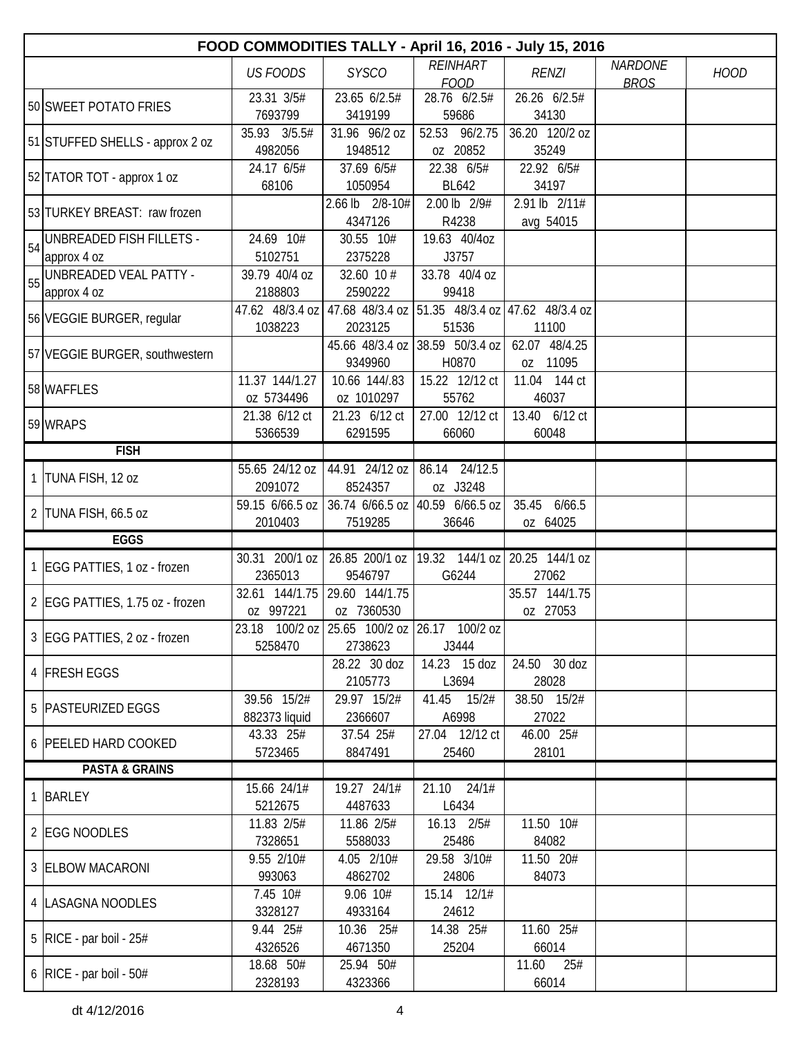|    | FOOD COMMODITIES TALLY - April 16, 2016 - July 15, 2016 |                           |                                              |                                        |                        |                |             |  |  |
|----|---------------------------------------------------------|---------------------------|----------------------------------------------|----------------------------------------|------------------------|----------------|-------------|--|--|
|    |                                                         | <b>US FOODS</b>           | <b>SYSCO</b>                                 | <b>REINHART</b>                        | <b>RENZI</b>           | <b>NARDONE</b> | <b>HOOD</b> |  |  |
|    |                                                         |                           |                                              | <b>FOOD</b>                            |                        | <b>BROS</b>    |             |  |  |
|    | 50 SWEET POTATO FRIES                                   | 23.31 3/5#<br>7693799     | 23.65 6/2.5#<br>3419199                      | 28.76 6/2.5#<br>59686                  | 26.26 6/2.5#<br>34130  |                |             |  |  |
|    |                                                         | 35.93 3/5.5#              | 31.96 96/2 oz                                | 52.53 96/2.75                          | 36.20 120/2 oz         |                |             |  |  |
|    | 51 STUFFED SHELLS - approx 2 oz                         | 4982056                   | 1948512                                      | oz 20852                               | 35249                  |                |             |  |  |
|    |                                                         | 24.17 6/5#                | 37.69 6/5#                                   | 22.38 6/5#                             | 22.92 6/5#             |                |             |  |  |
|    | 52 TATOR TOT - approx 1 oz                              | 68106                     | 1050954                                      | <b>BL642</b>                           | 34197                  |                |             |  |  |
|    | 53 TURKEY BREAST: raw frozen                            |                           | 2.66 lb 2/8-10#                              | 2.00 lb 2/9#                           | 2.91 lb 2/11#          |                |             |  |  |
|    |                                                         |                           | 4347126                                      | R4238                                  | avg 54015              |                |             |  |  |
| 54 | UNBREADED FISH FILLETS -                                | 24.69 10#                 | 30.55 10#                                    | 19.63 40/4oz                           |                        |                |             |  |  |
|    | approx 4 oz                                             | 5102751                   | 2375228                                      | J3757                                  |                        |                |             |  |  |
|    | 55 UNBREADED VEAL PATTY -                               | 39.79 40/4 oz             | 32.60 10 #                                   | 33.78 40/4 oz                          |                        |                |             |  |  |
|    | approx 4 oz                                             | 2188803                   | 2590222                                      | 99418                                  |                        |                |             |  |  |
|    | 56 VEGGIE BURGER, regular                               | 47.62 48/3.4 oz           | 47.68 48/3.4 oz                              | 51.35 48/3.4 oz 47.62 48/3.4 oz        |                        |                |             |  |  |
|    |                                                         | 1038223                   | 2023125<br>45.66 48/3.4 oz                   | 51536<br> 38.59 50/3.4 oz              | 11100<br>62.07 48/4.25 |                |             |  |  |
|    | 57 VEGGIE BURGER, southwestern                          |                           | 9349960                                      | H0870                                  | oz 11095               |                |             |  |  |
|    |                                                         | 11.37 144/1.27            | 10.66 144/.83                                | 15.22 12/12 ct                         | 11.04 144 ct           |                |             |  |  |
|    | 58 WAFFLES                                              | oz 5734496                | oz 1010297                                   | 55762                                  | 46037                  |                |             |  |  |
|    |                                                         | 21.38 6/12 ct             | 21.23 6/12 ct                                | 27.00 12/12 ct                         | 13.40 6/12 ct          |                |             |  |  |
|    | 59 WRAPS                                                | 5366539                   | 6291595                                      | 66060                                  | 60048                  |                |             |  |  |
|    | <b>FISH</b>                                             |                           |                                              |                                        |                        |                |             |  |  |
|    | 1 TUNA FISH, 12 oz                                      | 55.65 24/12 oz            | 44.91 24/12 oz                               | 86.14 24/12.5                          |                        |                |             |  |  |
|    |                                                         | 2091072                   | 8524357                                      | oz J3248                               |                        |                |             |  |  |
|    | 2 TUNA FISH, 66.5 oz                                    | 59.15 6/66.5 oz           |                                              | $36.74$ 6/66.5 oz 40.59 6/66.5 oz      | 35.45<br>6/66.5        |                |             |  |  |
|    | <b>EGGS</b>                                             | 2010403                   | 7519285                                      | 36646                                  | oz 64025               |                |             |  |  |
|    |                                                         |                           | 26.85 200/1 oz                               |                                        |                        |                |             |  |  |
|    | 1 EGG PATTIES, 1 oz - frozen                            | 30.31 200/1 oz<br>2365013 | 9546797                                      | 19.32 144/1 oz 20.25 144/1 oz<br>G6244 | 27062                  |                |             |  |  |
|    |                                                         | 32.61 144/1.75            | 29.60 144/1.75                               |                                        | 35.57 144/1.75         |                |             |  |  |
|    | 2 EGG PATTIES, 1.75 oz - frozen                         | oz 997221                 | oz 7360530                                   |                                        | oz 27053               |                |             |  |  |
|    |                                                         |                           | 23.18 100/2 oz 25.65 100/2 oz 26.17 100/2 oz |                                        |                        |                |             |  |  |
|    | 3 EGG PATTIES, 2 oz - frozen                            | 5258470                   | 2738623                                      | J3444                                  |                        |                |             |  |  |
|    |                                                         |                           | 28.22 30 doz                                 | 14.23 15 doz                           | 24.50 30 doz           |                |             |  |  |
|    | 4 FRESH EGGS                                            |                           | 2105773                                      | L3694                                  | 28028                  |                |             |  |  |
|    | 5   PASTEURIZED EGGS                                    | 39.56 15/2#               | 29.97 15/2#                                  | 41.45 15/2#                            | 38.50 15/2#            |                |             |  |  |
|    |                                                         | 882373 liquid             | 2366607                                      | A6998                                  | 27022                  |                |             |  |  |
|    | 6 PEELED HARD COOKED                                    | 43.33 25#                 | 37.54 25#                                    | 27.04 12/12 ct                         | 46.00 25#              |                |             |  |  |
|    |                                                         | 5723465                   | 8847491                                      | 25460                                  | 28101                  |                |             |  |  |
|    | <b>PASTA &amp; GRAINS</b>                               |                           |                                              |                                        |                        |                |             |  |  |
|    | 1 BARLEY                                                | 15.66 24/1#<br>5212675    | 19.27 24/1#<br>4487633                       | 21.10 24/1#<br>L6434                   |                        |                |             |  |  |
|    |                                                         | 11.83 2/5#                | 11.86 2/5#                                   | 16.13 2/5#                             | 11.50 10#              |                |             |  |  |
|    | 2 EGG NOODLES                                           | 7328651                   | 5588033                                      | 25486                                  | 84082                  |                |             |  |  |
|    |                                                         | 9.55 2/10#                | 4.05 2/10#                                   | 29.58 3/10#                            | 11.50 20#              |                |             |  |  |
|    | 3 ELBOW MACARONI                                        | 993063                    | 4862702                                      | 24806                                  | 84073                  |                |             |  |  |
|    |                                                         | 7.45 10#                  | 9.06 10#                                     | 15.14 12/1#                            |                        |                |             |  |  |
|    | 4  LASAGNA NOODLES                                      | 3328127                   | 4933164                                      | 24612                                  |                        |                |             |  |  |
|    | 5   RICE - par boil - $25#$                             | 9.44 25#                  | 10.36 25#                                    | 14.38 25#                              | 11.60 25#              |                |             |  |  |
|    |                                                         | 4326526                   | 4671350                                      | 25204                                  | 66014                  |                |             |  |  |
|    | 6 $ RICE - par$ boil - 50#                              | 18.68 50#                 | 25.94 50#                                    |                                        | 11.60<br>25#           |                |             |  |  |
|    |                                                         | 2328193                   | 4323366                                      |                                        | 66014                  |                |             |  |  |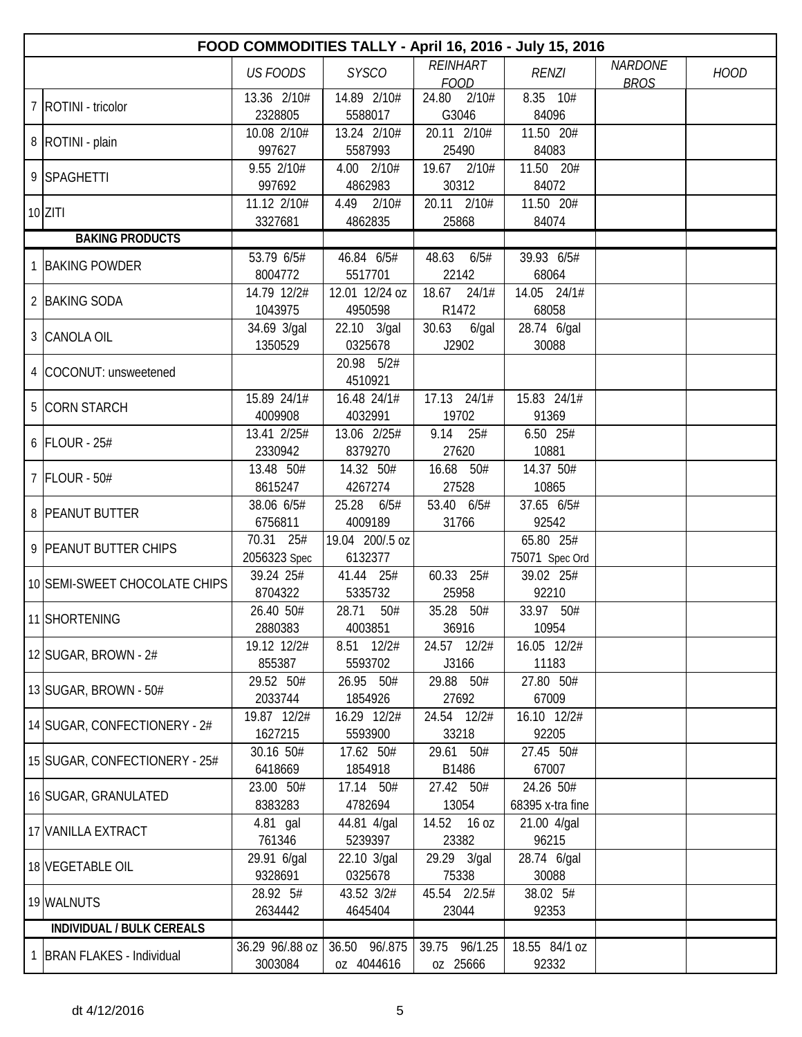| FOOD COMMODITIES TALLY - April 16, 2016 - July 15, 2016 |                        |                         |                      |                      |                |             |  |  |  |
|---------------------------------------------------------|------------------------|-------------------------|----------------------|----------------------|----------------|-------------|--|--|--|
|                                                         | <b>US FOODS</b>        | <b>SYSCO</b>            | <b>REINHART</b>      | <b>RENZI</b>         | <b>NARDONE</b> | <b>HOOD</b> |  |  |  |
|                                                         |                        |                         | <b>FOOD</b>          |                      | <b>BROS</b>    |             |  |  |  |
| 7   ROTINI - tricolor                                   | 13.36 2/10#            | 14.89 2/10#             | 24.80 2/10#          | 8.35 10#             |                |             |  |  |  |
|                                                         | 2328805                | 5588017                 | G3046                | 84096                |                |             |  |  |  |
| 8   ROTINI - plain                                      | 10.08 2/10#<br>997627  | 13.24 2/10#<br>5587993  | 20.11 2/10#<br>25490 | 11.50 20#<br>84083   |                |             |  |  |  |
|                                                         | 9.55 2/10#             | 4.00 2/10#              | 19.67 2/10#          | 11.50 20#            |                |             |  |  |  |
| 9 SPAGHETTI                                             | 997692                 | 4862983                 | 30312                | 84072                |                |             |  |  |  |
|                                                         | 11.12 2/10#            | 4.49 2/10#              | 20.11 2/10#          | 11.50 20#            |                |             |  |  |  |
| $10$ ZITI                                               | 3327681                | 4862835                 | 25868                | 84074                |                |             |  |  |  |
| <b>BAKING PRODUCTS</b>                                  |                        |                         |                      |                      |                |             |  |  |  |
|                                                         | 53.79 6/5#             | 46.84 6/5#              | 48.63<br>6/5#        | 39.93 6/5#           |                |             |  |  |  |
| 1 BAKING POWDER                                         | 8004772                | 5517701                 | 22142                | 68064                |                |             |  |  |  |
|                                                         | 14.79 12/2#            | 12.01 12/24 oz          | 18.67 24/1#          | 14.05 24/1#          |                |             |  |  |  |
| 2 BAKING SODA                                           | 1043975                | 4950598                 | R1472                | 68058                |                |             |  |  |  |
|                                                         | 34.69 3/gal            | 22.10 3/gal             | 30.63<br>6/gal       | 28.74 6/gal          |                |             |  |  |  |
| 3 CANOLA OIL                                            | 1350529                | 0325678                 | J2902                | 30088                |                |             |  |  |  |
| 4 COCONUT: unsweetened                                  |                        | 20.98 5/2#              |                      |                      |                |             |  |  |  |
|                                                         |                        | 4510921                 |                      |                      |                |             |  |  |  |
| 5 CORN STARCH                                           | 15.89 24/1#            | 16.48 24/1#             | 17.13 24/1#          | 15.83 24/1#          |                |             |  |  |  |
|                                                         | 4009908                | 4032991                 | 19702                | 91369                |                |             |  |  |  |
| $6$ FLOUR - 25#                                         | 13.41 2/25#            | 13.06 2/25#             | 9.14 25#             | 6.50 25#             |                |             |  |  |  |
|                                                         | 2330942                | 8379270                 | 27620                | 10881                |                |             |  |  |  |
| 7 FLOUR - 50#                                           | 13.48 50#              | 14.32 50#               | 16.68 50#            | 14.37 50#            |                |             |  |  |  |
|                                                         | 8615247                | 4267274                 | 27528                | 10865                |                |             |  |  |  |
| 8 PEANUT BUTTER                                         | 38.06 6/5#             | 25.28<br>6/5#           | 53.40 6/5#           | 37.65 6/5#           |                |             |  |  |  |
|                                                         | 6756811                | 4009189                 | 31766                | 92542                |                |             |  |  |  |
| 9 PEANUT BUTTER CHIPS                                   | 70.31 25#              | 19.04 200/.5 oz         |                      | 65.80 25#            |                |             |  |  |  |
|                                                         | 2056323 Spec           | 6132377                 |                      | 75071 Spec Ord       |                |             |  |  |  |
| 10 SEMI-SWEET CHOCOLATE CHIPS                           | 39.24 25#              | 41.44 25#               | 60.33 25#            | 39.02 25#            |                |             |  |  |  |
|                                                         | 8704322                | 5335732                 | 25958<br>35.28 50#   | 92210                |                |             |  |  |  |
| 11 SHORTENING                                           | 26.40 50#              | 28.71<br>50#<br>4003851 | 36916                | 33.97 50#            |                |             |  |  |  |
|                                                         | 2880383<br>19.12 12/2# | 8.51 12/2#              |                      | 10954                |                |             |  |  |  |
| 12 SUGAR, BROWN - $2#$                                  | 855387                 | 5593702                 | 24.57 12/2#<br>J3166 | 16.05 12/2#<br>11183 |                |             |  |  |  |
|                                                         | 29.52 50#              | 26.95 50#               | 29.88 50#            | 27.80 50#            |                |             |  |  |  |
| 13 SUGAR, BROWN - 50#                                   | 2033744                | 1854926                 | 27692                | 67009                |                |             |  |  |  |
|                                                         | 19.87 12/2#            | 16.29 12/2#             | 24.54 12/2#          | 16.10 12/2#          |                |             |  |  |  |
| 14 SUGAR, CONFECTIONERY - 2#                            | 1627215                | 5593900                 | 33218                | 92205                |                |             |  |  |  |
|                                                         | 30.16 50#              | 17.62 50#               | 29.61 50#            | 27.45 50#            |                |             |  |  |  |
| 15 SUGAR, CONFECTIONERY - 25#                           | 6418669                | 1854918                 | B1486                | 67007                |                |             |  |  |  |
|                                                         | 23.00 50#              | 17.14 50#               | 27.42 50#            | 24.26 50#            |                |             |  |  |  |
| 16 SUGAR, GRANULATED                                    | 8383283                | 4782694                 | 13054                | 68395 x-tra fine     |                |             |  |  |  |
|                                                         | 4.81 gal               | 44.81 4/gal             | 14.52 16 oz          | 21.00 4/gal          |                |             |  |  |  |
| 17 VANILLA EXTRACT                                      | 761346                 | 5239397                 | 23382                | 96215                |                |             |  |  |  |
| 18 VEGETABLE OIL                                        | 29.91 6/gal            | 22.10 3/gal             | 29.29 3/gal          | 28.74 6/gal          |                |             |  |  |  |
|                                                         | 9328691                | 0325678                 | 75338                | 30088                |                |             |  |  |  |
| 19 WALNUTS                                              | 28.92 5#               | 43.52 3/2#              | 45.54 2/2.5#         | 38.02 5#             |                |             |  |  |  |
|                                                         | 2634442                | 4645404                 | 23044                | 92353                |                |             |  |  |  |
| <b>INDIVIDUAL / BULK CEREALS</b>                        |                        |                         |                      |                      |                |             |  |  |  |
| 1 BRAN FLAKES - Individual                              | 36.29 96/.88 oz        | 36.50 96/.875           | 39.75 96/1.25        | 18.55 84/1 oz        |                |             |  |  |  |
|                                                         | 3003084                | oz 4044616              | oz 25666             | 92332                |                |             |  |  |  |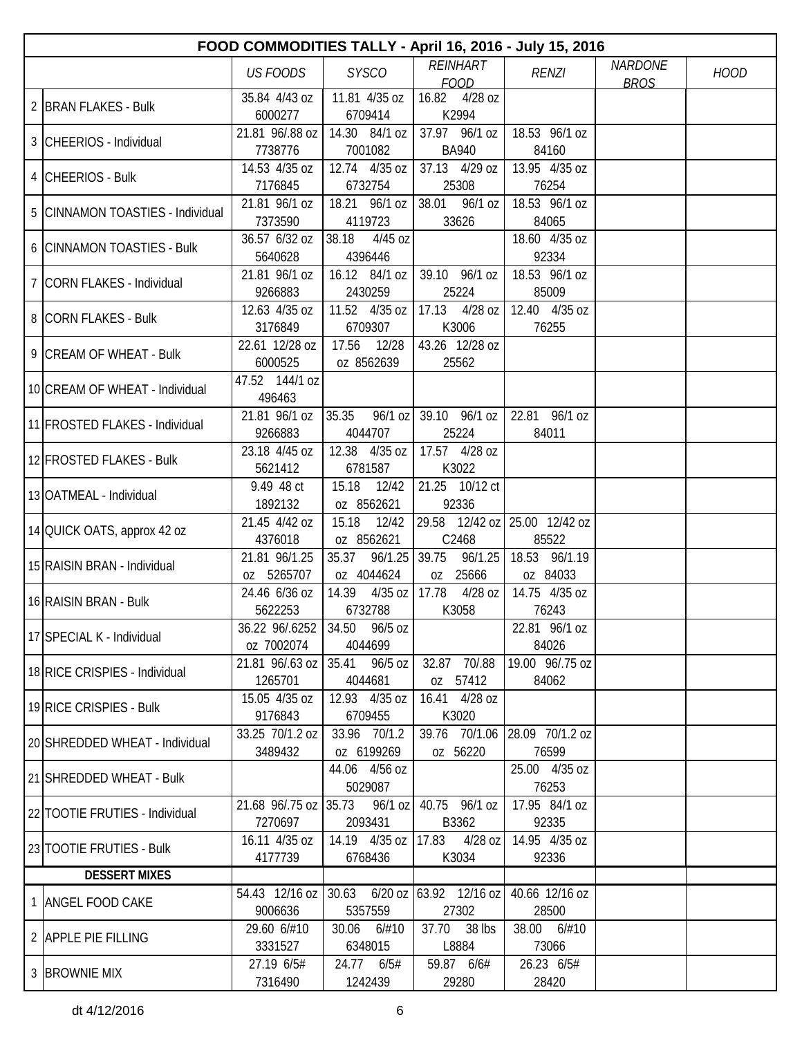| FOOD COMMODITIES TALLY - April 16, 2016 - July 15, 2016 |                             |                                                        |                                             |                               |                |             |  |  |  |
|---------------------------------------------------------|-----------------------------|--------------------------------------------------------|---------------------------------------------|-------------------------------|----------------|-------------|--|--|--|
|                                                         | <b>US FOODS</b>             | <b>SYSCO</b>                                           | <b>REINHART</b>                             | <b>RENZI</b>                  | <b>NARDONE</b> | <b>HOOD</b> |  |  |  |
|                                                         | 35.84 4/43 oz               | 11.81 4/35 oz                                          | <b>FOOD</b><br>16.82 4/28 oz                |                               | <b>BROS</b>    |             |  |  |  |
| 2 BRAN FLAKES - Bulk                                    | 6000277                     | 6709414                                                | K2994                                       |                               |                |             |  |  |  |
|                                                         | 21.81 96/.88 oz             | 14.30 84/1 oz                                          | 37.97 96/1 oz                               | 18.53 96/1 oz                 |                |             |  |  |  |
| 3 CHEERIOS - Individual                                 | 7738776                     | 7001082                                                | <b>BA940</b>                                | 84160                         |                |             |  |  |  |
|                                                         | 14.53 4/35 oz               | 12.74 4/35 oz                                          | 37.13 4/29 oz                               | 13.95 4/35 oz                 |                |             |  |  |  |
| 4 CHEERIOS - Bulk                                       | 7176845                     | 6732754                                                | 25308                                       | 76254                         |                |             |  |  |  |
| 5 CINNAMON TOASTIES - Individual                        | 21.81 96/1 oz               | 18.21 96/1 oz                                          | 38.01 96/1 oz                               | 18.53 96/1 oz                 |                |             |  |  |  |
|                                                         | 7373590                     | 4119723                                                | 33626                                       | 84065                         |                |             |  |  |  |
| 6 CINNAMON TOASTIES - Bulk                              | 36.57 6/32 oz               | 38.18<br>$4/45$ oz                                     |                                             | 18.60 4/35 oz                 |                |             |  |  |  |
|                                                         | 5640628                     | 4396446                                                |                                             | 92334                         |                |             |  |  |  |
| 7 CORN FLAKES - Individual                              | 21.81 96/1 oz               | 16.12 84/1 oz                                          | 39.10 96/1 oz                               | 18.53 96/1 oz                 |                |             |  |  |  |
|                                                         | 9266883                     | 2430259                                                | 25224                                       | 85009                         |                |             |  |  |  |
| 8 CORN FLAKES - Bulk                                    | 12.63 4/35 oz<br>3176849    | 11.52 4/35 oz<br>6709307                               | $17.13$ 4/28 oz<br>K3006                    | 12.40 4/35 oz<br>76255        |                |             |  |  |  |
|                                                         | 22.61 12/28 oz              | 17.56<br>12/28                                         | 43.26 12/28 oz                              |                               |                |             |  |  |  |
| 9 CREAM OF WHEAT - Bulk                                 | 6000525                     | oz 8562639                                             | 25562                                       |                               |                |             |  |  |  |
|                                                         | 47.52 144/1 oz              |                                                        |                                             |                               |                |             |  |  |  |
| 10 CREAM OF WHEAT - Individual                          | 496463                      |                                                        |                                             |                               |                |             |  |  |  |
|                                                         | 21.81 96/1 oz               | 35.35                                                  | $96/1$ oz 39.10 96/1 oz                     | 22.81 96/1 oz                 |                |             |  |  |  |
| 11 FROSTED FLAKES - Individual                          | 9266883                     | 4044707                                                | 25224                                       | 84011                         |                |             |  |  |  |
| 12 FROSTED FLAKES - Bulk                                | 23.18 4/45 oz               | 12.38 4/35 oz                                          | 17.57 4/28 oz                               |                               |                |             |  |  |  |
|                                                         | 5621412                     | 6781587                                                | K3022                                       |                               |                |             |  |  |  |
| 13 OATMEAL - Individual                                 | 9.49 48 ct                  | 15.18<br>12/42                                         | 21.25 10/12 ct                              |                               |                |             |  |  |  |
|                                                         | 1892132                     | oz 8562621                                             | 92336                                       |                               |                |             |  |  |  |
| 14 QUICK OATS, approx 42 oz                             | 21.45 4/42 oz               | 15.18<br>12/42                                         | 29.58 12/42 oz 25.00 12/42 oz               |                               |                |             |  |  |  |
|                                                         | 4376018                     | oz 8562621                                             | C2468                                       | 85522                         |                |             |  |  |  |
| 15 RAISIN BRAN - Individual                             | 21.81 96/1.25<br>oz 5265707 | 35.37<br>96/1.25                                       | 39.75<br>96/1.25                            | 18.53 96/1.19                 |                |             |  |  |  |
|                                                         | 24.46 6/36 oz               | oz 4044624<br>14.39 4/35 oz                            | 0Z 25666<br> 17.78<br>4/28 oz               | oz 84033<br>14.75 4/35 oz     |                |             |  |  |  |
| 16 RAISIN BRAN - Bulk                                   | 5622253                     | 6732788                                                | K3058                                       | 76243                         |                |             |  |  |  |
|                                                         |                             | 36.22 96/.6252 34.50 96/5 oz                           |                                             | 22.81 96/1 oz                 |                |             |  |  |  |
| 17 SPECIAL K - Individual                               | oz 7002074                  | 4044699                                                |                                             | 84026                         |                |             |  |  |  |
|                                                         |                             | 21.81 96/.63 oz   35.41 96/5 oz                        | 32.87 70/88                                 | 19.00 96/.75 oz               |                |             |  |  |  |
| 18 RICE CRISPIES - Individual                           | 1265701                     | 4044681                                                | oz 57412                                    | 84062                         |                |             |  |  |  |
| 19 RICE CRISPIES - Bulk                                 | 15.05 4/35 oz               | 12.93 4/35 oz                                          | 16.41 4/28 oz                               |                               |                |             |  |  |  |
|                                                         | 9176843                     | 6709455                                                | K3020                                       |                               |                |             |  |  |  |
| 20 SHREDDED WHEAT - Individual                          | 33.25 70/1.2 oz             | 33.96 70/1.2                                           |                                             | 39.76 70/1.06 28.09 70/1.2 oz |                |             |  |  |  |
|                                                         | 3489432                     | oz 6199269                                             | oz 56220                                    | 76599                         |                |             |  |  |  |
| 21 SHREDDED WHEAT - Bulk                                |                             | 44.06 4/56 oz                                          |                                             | 25.00 4/35 oz                 |                |             |  |  |  |
|                                                         |                             | 5029087                                                |                                             | 76253                         |                |             |  |  |  |
| 22 TOOTIE FRUTIES - Individual                          | 7270697                     | 21.68 96/.75 oz 35.73 96/1 oz 40.75 96/1 oz<br>2093431 | B3362                                       | 17.95 84/1 oz<br>92335        |                |             |  |  |  |
|                                                         | 16.11 4/35 oz               |                                                        | 14.19 4/35 oz   17.83 4/28 oz               | 14.95 4/35 oz                 |                |             |  |  |  |
| 23 TOOTIE FRUTIES - Bulk                                | 4177739                     | 6768436                                                | K3034                                       | 92336                         |                |             |  |  |  |
| <b>DESSERT MIXES</b>                                    |                             |                                                        |                                             |                               |                |             |  |  |  |
|                                                         |                             |                                                        | 54.43 12/16 oz 30.63 6/20 oz 63.92 12/16 oz | 40.66 12/16 oz                |                |             |  |  |  |
| 1 ANGEL FOOD CAKE                                       | 9006636                     | 5357559                                                | 27302                                       | 28500                         |                |             |  |  |  |
|                                                         | 29.60 6/#10                 | 30.06 6/#10                                            | 37.70 38 lbs                                | 38.00 6/#10                   |                |             |  |  |  |
| 2 APPLE PIE FILLING                                     | 3331527                     | 6348015                                                | L8884                                       | 73066                         |                |             |  |  |  |
| 3 BROWNIE MIX                                           | 27.19 6/5#                  | 24.77 6/5#                                             | 59.87 6/6#                                  | 26.23 6/5#                    |                |             |  |  |  |
|                                                         | 7316490                     | 1242439                                                | 29280                                       | 28420                         |                |             |  |  |  |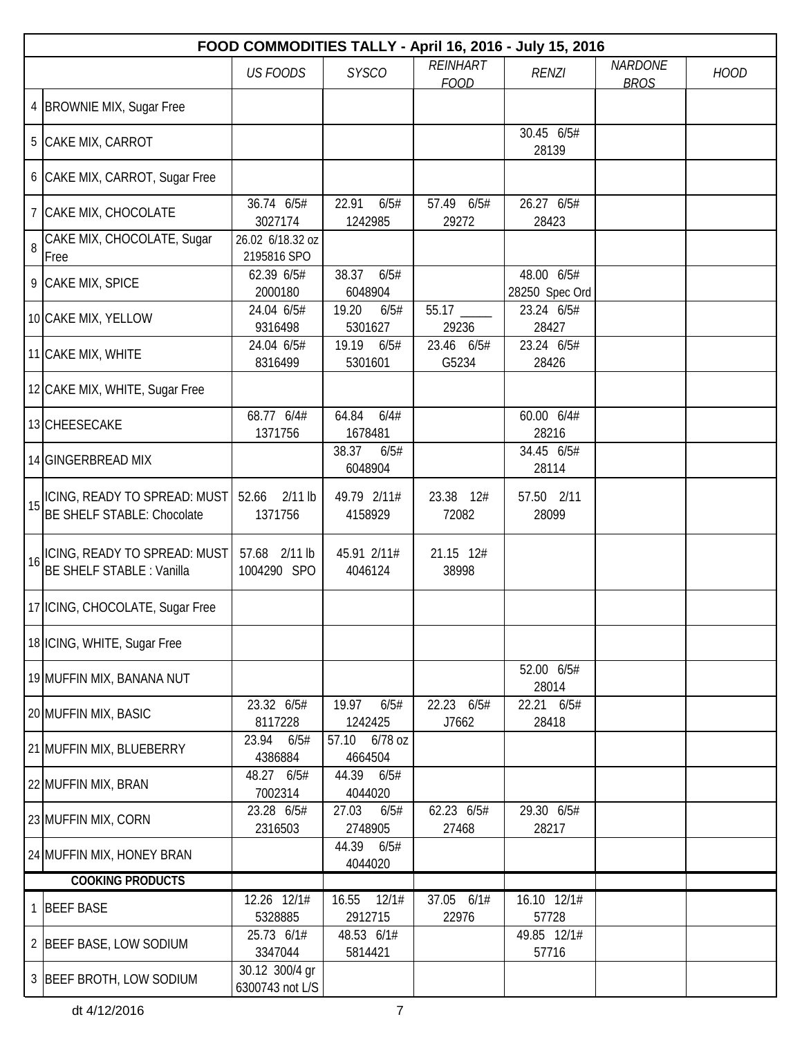|    | FOOD COMMODITIES TALLY - April 16, 2016 - July 15, 2016           |                                   |                             |                                |                              |                               |             |  |  |  |
|----|-------------------------------------------------------------------|-----------------------------------|-----------------------------|--------------------------------|------------------------------|-------------------------------|-------------|--|--|--|
|    |                                                                   | <b>US FOODS</b>                   | <b>SYSCO</b>                | <b>REINHART</b><br><b>FOOD</b> | <b>RENZI</b>                 | <b>NARDONE</b><br><b>BROS</b> | <b>HOOD</b> |  |  |  |
|    | 4  BROWNIE MIX, Sugar Free                                        |                                   |                             |                                |                              |                               |             |  |  |  |
|    | 5 CAKE MIX, CARROT                                                |                                   |                             |                                | 30.45 6/5#<br>28139          |                               |             |  |  |  |
|    | 6 CAKE MIX, CARROT, Sugar Free                                    |                                   |                             |                                |                              |                               |             |  |  |  |
|    | 7 CAKE MIX, CHOCOLATE                                             | 36.74 6/5#<br>3027174             | 22.91<br>6/5#<br>1242985    | 57.49 6/5#<br>29272            | 26.27 6/5#<br>28423          |                               |             |  |  |  |
| 8  | CAKE MIX, CHOCOLATE, Sugar<br>Free                                | 26.02 6/18.32 oz<br>2195816 SPO   |                             |                                |                              |                               |             |  |  |  |
|    | 9 CAKE MIX, SPICE                                                 | 62.39 6/5#<br>2000180             | 6/5#<br>38.37<br>6048904    |                                | 48.00 6/5#<br>28250 Spec Ord |                               |             |  |  |  |
|    | 10 CAKE MIX, YELLOW                                               | 24.04 6/5#<br>9316498             | 19.20<br>6/5#<br>5301627    | 55.17<br>29236                 | 23.24 6/5#<br>28427          |                               |             |  |  |  |
|    | 11 CAKE MIX, WHITE                                                | 24.04 6/5#<br>8316499             | 19.19<br>6/5#<br>5301601    | 23.46 6/5#<br>G5234            | 23.24 6/5#<br>28426          |                               |             |  |  |  |
|    | 12 CAKE MIX, WHITE, Sugar Free                                    |                                   |                             |                                |                              |                               |             |  |  |  |
|    | 13 CHEESECAKE                                                     | 68.77 6/4#<br>1371756             | 64.84<br>6/4#<br>1678481    |                                | 60.00 6/4#<br>28216          |                               |             |  |  |  |
|    | 14 GINGERBREAD MIX                                                |                                   | 38.37<br>6/5#<br>6048904    |                                | 34.45 6/5#<br>28114          |                               |             |  |  |  |
| 15 | ICING, READY TO SPREAD: MUST<br><b>BE SHELF STABLE: Chocolate</b> | 52.66<br>$2/11$ lb<br>1371756     | 49.79 2/11#<br>4158929      | 23.38 12#<br>72082             | 57.50 2/11<br>28099          |                               |             |  |  |  |
| 16 | ICING, READY TO SPREAD: MUST<br><b>BE SHELF STABLE: Vanilla</b>   | 57.68 2/11 lb<br>1004290 SPO      | 45.91 2/11#<br>4046124      | 21.15 12#<br>38998             |                              |                               |             |  |  |  |
|    | 17   ICING, CHOCOLATE, Sugar Free                                 |                                   |                             |                                |                              |                               |             |  |  |  |
|    | 18 ICING, WHITE, Sugar Free                                       |                                   |                             |                                |                              |                               |             |  |  |  |
|    | 19 MUFFIN MIX, BANANA NUT                                         |                                   |                             |                                | 52.00 6/5#<br>28014          |                               |             |  |  |  |
|    | 20 MUFFIN MIX, BASIC                                              | 23.32 6/5#<br>8117228             | 19.97<br>6/5#<br>1242425    | 22.23 6/5#<br>J7662            | 22.21 6/5#<br>28418          |                               |             |  |  |  |
|    | 21 MUFFIN MIX, BLUEBERRY                                          | 23.94<br>6/5#<br>4386884          | 6/78 oz<br>57.10<br>4664504 |                                |                              |                               |             |  |  |  |
|    | 22 MUFFIN MIX, BRAN                                               | 48.27 6/5#<br>7002314             | 44.39 6/5#<br>4044020       |                                |                              |                               |             |  |  |  |
|    | 23 MUFFIN MIX, CORN                                               | 23.28 6/5#<br>2316503             | 27.03<br>6/5#<br>2748905    | 62.23 6/5#<br>27468            | 29.30 6/5#<br>28217          |                               |             |  |  |  |
|    | 24 MUFFIN MIX, HONEY BRAN                                         |                                   | 44.39<br>6/5#<br>4044020    |                                |                              |                               |             |  |  |  |
|    | <b>COOKING PRODUCTS</b>                                           |                                   |                             |                                |                              |                               |             |  |  |  |
|    | 1 BEEF BASE                                                       | 12.26 12/1#<br>5328885            | 16.55<br>12/1#<br>2912715   | 37.05 6/1#<br>22976            | 16.10 12/1#<br>57728         |                               |             |  |  |  |
|    | 2 BEEF BASE, LOW SODIUM                                           | 25.73 6/1#<br>3347044             | 48.53 6/1#<br>5814421       |                                | 49.85 12/1#<br>57716         |                               |             |  |  |  |
|    | 3 BEEF BROTH, LOW SODIUM                                          | 30.12 300/4 gr<br>6300743 not L/S |                             |                                |                              |                               |             |  |  |  |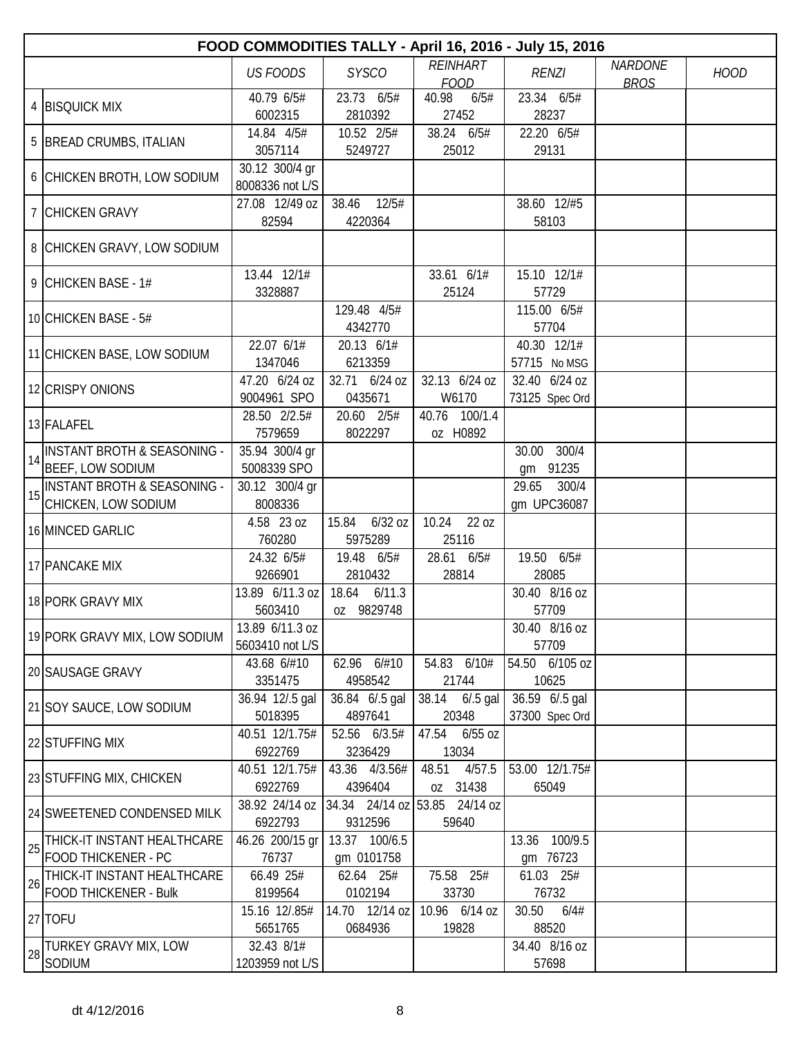|    | FOOD COMMODITIES TALLY - April 16, 2016 - July 15, 2016       |                                    |                                          |                                |                                  |                               |             |  |  |  |
|----|---------------------------------------------------------------|------------------------------------|------------------------------------------|--------------------------------|----------------------------------|-------------------------------|-------------|--|--|--|
|    |                                                               | <b>US FOODS</b>                    | <b>SYSCO</b>                             | <b>REINHART</b><br><b>FOOD</b> | <b>RENZI</b>                     | <b>NARDONE</b><br><b>BROS</b> | <b>HOOD</b> |  |  |  |
|    | 4 BISQUICK MIX                                                | 40.79 6/5#<br>6002315              | 23.73 6/5#<br>2810392                    | 40.98<br>6/5#<br>27452         | 23.34 6/5#<br>28237              |                               |             |  |  |  |
|    | 5   BREAD CRUMBS, ITALIAN                                     | 14.84 4/5#<br>3057114              | 10.52 2/5#<br>5249727                    | 38.24 6/5#<br>25012            | 22.20 6/5#<br>29131              |                               |             |  |  |  |
|    | 6 CHICKEN BROTH, LOW SODIUM                                   | 30.12 300/4 gr<br>8008336 not L/S  |                                          |                                |                                  |                               |             |  |  |  |
|    | 7 CHICKEN GRAVY                                               | 27.08 12/49 oz<br>82594            | 12/5#<br>38.46<br>4220364                |                                | 38.60 12/#5<br>58103             |                               |             |  |  |  |
|    | 8 CHICKEN GRAVY, LOW SODIUM                                   |                                    |                                          |                                |                                  |                               |             |  |  |  |
|    | 9 CHICKEN BASE - 1#                                           | 13.44 12/1#<br>3328887             |                                          | 33.61 6/1#<br>25124            | 15.10 12/1#<br>57729             |                               |             |  |  |  |
|    | 10 CHICKEN BASE - 5#                                          |                                    | 129.48 4/5#<br>4342770                   |                                | 115.00 6/5#<br>57704             |                               |             |  |  |  |
|    | 11 CHICKEN BASE, LOW SODIUM                                   | 22.07 6/1#<br>1347046              | 20.13 6/1#<br>6213359                    |                                | 40.30 12/1#<br>57715 No MSG      |                               |             |  |  |  |
|    | 12 CRISPY ONIONS                                              | 47.20 6/24 oz<br>9004961 SPO       | 32.71 6/24 oz<br>0435671                 | 32.13 6/24 oz<br>W6170         | 32.40 6/24 oz<br>73125 Spec Ord  |                               |             |  |  |  |
|    | 13 FALAFEL                                                    | 28.50 2/2.5#<br>7579659            | 20.60 2/5#<br>8022297                    | 40.76 100/1.4<br>oz H0892      |                                  |                               |             |  |  |  |
| 14 | <b>INSTANT BROTH &amp; SEASONING -</b><br>BEEF, LOW SODIUM    | 35.94 300/4 gr<br>5008339 SPO      |                                          |                                | 300/4<br>30.00<br>gm 91235       |                               |             |  |  |  |
| 15 | <b>INSTANT BROTH &amp; SEASONING -</b><br>CHICKEN, LOW SODIUM | 30.12 300/4 gr<br>8008336          |                                          |                                | 29.65<br>300/4<br>gm UPC36087    |                               |             |  |  |  |
|    | 16 MINCED GARLIC                                              | 4.58 23 oz<br>760280               | $6/32$ oz<br>15.84<br>5975289            | 10.24<br>22 oz<br>25116        |                                  |                               |             |  |  |  |
|    | 17 PANCAKE MIX                                                | 24.32 6/5#<br>9266901              | 19.48 6/5#<br>2810432                    | 28.61 6/5#<br>28814            | 19.50 6/5#<br>28085              |                               |             |  |  |  |
|    | 18 PORK GRAVY MIX                                             | 13.89 6/11.3 oz<br>5603410         | 18.64<br>6/11.3<br>oz 9829748            |                                | 30.40 8/16 oz<br>57709           |                               |             |  |  |  |
|    | 19 PORK GRAVY MIX, LOW SODIUM                                 | 13.89 6/11.3 oz<br>5603410 not L/S |                                          |                                | 30.40 8/16 oz<br>57709           |                               |             |  |  |  |
|    | 20 SAUSAGE GRAVY                                              | 43.68 6/#10<br>3351475             | 62.96 6/#10<br>4958542                   | 54.83 6/10#<br>21744           | 54.50 6/105 oz<br>10625          |                               |             |  |  |  |
|    | 21 SOY SAUCE, LOW SODIUM                                      | 36.94 12/.5 gal<br>5018395         | 36.84 6/.5 gal<br>4897641                | 38.14 6/.5 gal<br>20348        | 36.59 6/.5 gal<br>37300 Spec Ord |                               |             |  |  |  |
|    | 22 STUFFING MIX                                               | 40.51 12/1.75#<br>6922769          | 52.56 6/3.5#<br>3236429                  | 47.54 6/55 oz<br>13034         |                                  |                               |             |  |  |  |
|    | 23 STUFFING MIX, CHICKEN                                      | 40.51 12/1.75#<br>6922769          | 43.36 4/3.56#<br>4396404                 | 4/57.5<br>48.51<br>oz 31438    | 53.00 12/1.75#<br>65049          |                               |             |  |  |  |
|    | 24 SWEETENED CONDENSED MILK                                   | 38.92 24/14 oz<br>6922793          | 34.34 24/14 oz 53.85 24/14 oz<br>9312596 | 59640                          |                                  |                               |             |  |  |  |
| 25 | THICK-IT INSTANT HEALTHCARE<br><b>FOOD THICKENER - PC</b>     | 46.26 200/15 gr<br>76737           | 13.37 100/6.5<br>gm 0101758              |                                | 13.36 100/9.5<br>gm 76723        |                               |             |  |  |  |
| 26 | THICK-IT INSTANT HEALTHCARE<br>FOOD THICKENER - Bulk          | 66.49 25#<br>8199564               | 62.64 25#<br>0102194                     | 75.58 25#<br>33730             | 61.03 25#<br>76732               |                               |             |  |  |  |
|    | $27$ TOFU                                                     | 15.16 12/.85#<br>5651765           | 14.70 12/14 oz<br>0684936                | 10.96 6/14 oz<br>19828         | 30.50<br>6/4#<br>88520           |                               |             |  |  |  |
| 28 | TURKEY GRAVY MIX, LOW<br>SODIUM                               | 32.43 8/1#<br>1203959 not L/S      |                                          |                                | 34.40 8/16 oz<br>57698           |                               |             |  |  |  |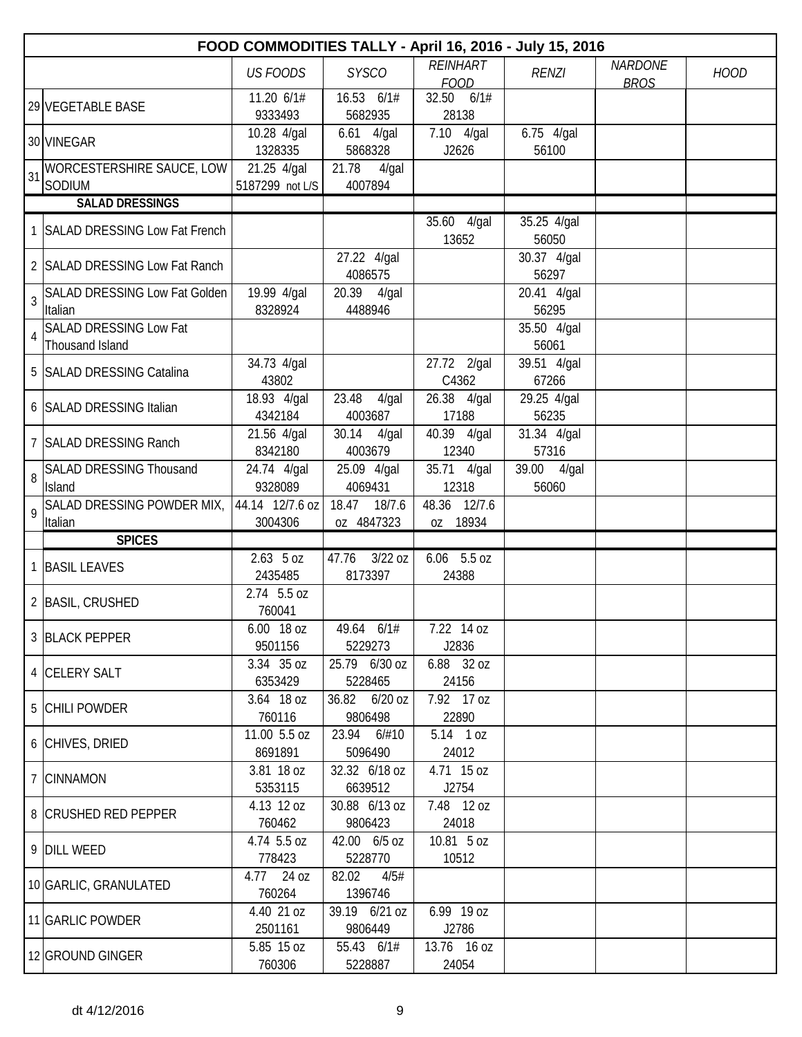|                | FOOD COMMODITIES TALLY - April 16, 2016 - July 15, 2016 |                                |                               |                                |                        |                               |             |  |  |  |
|----------------|---------------------------------------------------------|--------------------------------|-------------------------------|--------------------------------|------------------------|-------------------------------|-------------|--|--|--|
|                |                                                         | <b>US FOODS</b>                | <b>SYSCO</b>                  | <b>REINHART</b><br><b>FOOD</b> | <b>RENZI</b>           | <b>NARDONE</b><br><b>BROS</b> | <b>HOOD</b> |  |  |  |
|                | 29 VEGETABLE BASE                                       | 11.20 6/1#<br>9333493          | 16.53 6/1#<br>5682935         | 32.50 6/1#<br>28138            |                        |                               |             |  |  |  |
|                | 30 VINEGAR                                              | 10.28 4/gal<br>1328335         | $6.61$ 4/gal<br>5868328       | 7.10 4/gal<br>J2626            | 6.75 4/gal<br>56100    |                               |             |  |  |  |
| 31             | WORCESTERSHIRE SAUCE, LOW<br>SODIUM                     | 21.25 4/gal<br>5187299 not L/S | 21.78<br>$4$ /gal<br>4007894  |                                |                        |                               |             |  |  |  |
|                | <b>SALAD DRESSINGS</b>                                  |                                |                               |                                |                        |                               |             |  |  |  |
|                | 1 SALAD DRESSING Low Fat French                         |                                |                               | $35.60$ 4/gal<br>13652         | $35.25$ 4/gal<br>56050 |                               |             |  |  |  |
|                | 2 SALAD DRESSING Low Fat Ranch                          |                                | 27.22 4/gal<br>4086575        |                                | 30.37 4/gal<br>56297   |                               |             |  |  |  |
| $\overline{3}$ | <b>SALAD DRESSING Low Fat Golden</b><br>Italian         | 19.99 4/gal<br>8328924         | 20.39 4/gal<br>4488946        |                                | 20.41 4/gal<br>56295   |                               |             |  |  |  |
| 4              | <b>SALAD DRESSING Low Fat</b><br>Thousand Island        |                                |                               |                                | 35.50 4/gal<br>56061   |                               |             |  |  |  |
|                | 5 SALAD DRESSING Catalina                               | 34.73 4/gal<br>43802           |                               | 27.72 2/gal<br>C4362           | 39.51 4/gal<br>67266   |                               |             |  |  |  |
|                | 6 SALAD DRESSING Italian                                | 18.93 4/gal<br>4342184         | 23.48<br>$4$ /gal<br>4003687  | 26.38 4/gal<br>17188           | 29.25 4/gal<br>56235   |                               |             |  |  |  |
|                | 7 SALAD DRESSING Ranch                                  | 21.56 4/gal<br>8342180         | 30.14<br>$4$ /gal<br>4003679  | 40.39 4/gal<br>12340           | 31.34 4/gal<br>57316   |                               |             |  |  |  |
| 8              | <b>SALAD DRESSING Thousand</b><br>Island                | 24.74 4/gal<br>9328089         | 25.09 4/gal<br>4069431        | 35.71 4/gal<br>12318           | 39.00 4/gal<br>56060   |                               |             |  |  |  |
| 9              | SALAD DRESSING POWDER MIX,<br>Italian                   | 44.14 12/7.6 oz<br>3004306     | 18.47 18/7.6<br>oz 4847323    | 48.36 12/7.6<br>oz 18934       |                        |                               |             |  |  |  |
|                | <b>SPICES</b>                                           |                                |                               |                                |                        |                               |             |  |  |  |
|                | 1 BASIL LEAVES                                          | $2.63$ 5 oz<br>2435485         | $3/22$ oz<br>47.76<br>8173397 | 6.06 5.5 oz<br>24388           |                        |                               |             |  |  |  |
|                | 2 BASIL, CRUSHED                                        | 2.74 5.5 oz<br>760041          |                               |                                |                        |                               |             |  |  |  |
|                | 3 BLACK PEPPER                                          | 6.00 18 oz<br>9501156          | 49.64 6/1#<br>5229273         | 7.22 14 oz<br>J2836            |                        |                               |             |  |  |  |
|                | 4 CELERY SALT                                           | 3.34 35 oz<br>6353429          | 25.79 6/30 oz<br>5228465      | 6.88 32 oz<br>24156            |                        |                               |             |  |  |  |
|                | 5 CHILI POWDER                                          | 3.64 18 oz<br>760116           | 36.82 6/20 oz<br>9806498      | 7.92 17 oz<br>22890            |                        |                               |             |  |  |  |
|                | 6 CHIVES, DRIED                                         | 11.00 5.5 oz<br>8691891        | 23.94 6/#10<br>5096490        | 5.14 1 oz<br>24012             |                        |                               |             |  |  |  |
|                | 7 CINNAMON                                              | 3.81 18 oz<br>5353115          | 32.32 6/18 oz<br>6639512      | 4.71 15 oz<br>J2754            |                        |                               |             |  |  |  |
|                | 8 CRUSHED RED PEPPER                                    | 4.13 12 oz<br>760462           | 30.88 6/13 oz<br>9806423      | 7.48 12 oz<br>24018            |                        |                               |             |  |  |  |
|                | 9 DILL WEED                                             | 4.74 5.5 oz<br>778423          | 42.00 6/5 oz<br>5228770       | 10.81 5 oz<br>10512            |                        |                               |             |  |  |  |
|                | 10 GARLIC, GRANULATED                                   | 4.77 24 oz<br>760264           | 82.02<br>4/5#<br>1396746      |                                |                        |                               |             |  |  |  |
|                | 11 GARLIC POWDER                                        | 4.40 21 oz<br>2501161          | 39.19 6/21 oz<br>9806449      | 6.99 19 oz<br>J2786            |                        |                               |             |  |  |  |
|                | 12 GROUND GINGER                                        | 5.85 15 oz<br>760306           | 55.43 6/1#<br>5228887         | 13.76 16 oz<br>24054           |                        |                               |             |  |  |  |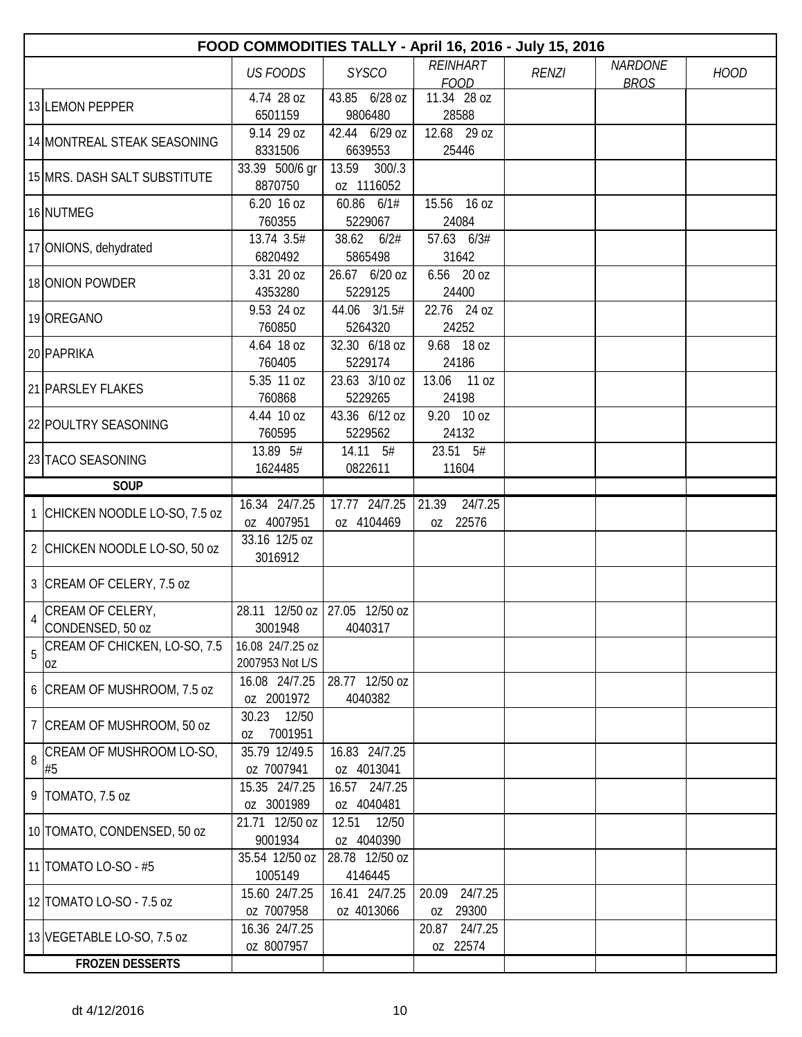|   |                                | FOOD COMMODITIES TALLY - April 16, 2016 - July 15, 2016 |                               |                           |              |                |             |
|---|--------------------------------|---------------------------------------------------------|-------------------------------|---------------------------|--------------|----------------|-------------|
|   |                                | <b>US FOODS</b>                                         | <b>SYSCO</b>                  | REINHART                  | <b>RENZI</b> | <b>NARDONE</b> | <b>HOOD</b> |
|   |                                |                                                         |                               | <b>FOOD</b>               |              | <b>BROS</b>    |             |
|   | 13 LEMON PEPPER                | 4.74 28 oz                                              | 43.85 6/28 oz                 | 11.34 28 oz               |              |                |             |
|   |                                | 6501159                                                 | 9806480                       | 28588                     |              |                |             |
|   | 14 MONTREAL STEAK SEASONING    | 9.14 29 oz                                              | 42.44 6/29 oz                 | 12.68 29 oz               |              |                |             |
|   |                                | 8331506                                                 | 6639553                       | 25446                     |              |                |             |
|   | 15 MRS. DASH SALT SUBSTITUTE   | 33.39 500/6 gr<br>8870750                               | 13.59<br>300/3                |                           |              |                |             |
|   |                                |                                                         | oz 1116052<br>60.86 6/1#      | 15.56 16 oz               |              |                |             |
|   | 16 NUTMEG                      | 6.20 16 oz<br>760355                                    | 5229067                       | 24084                     |              |                |             |
|   |                                | 13.74 3.5#                                              | 38.62<br>6/2#                 | 57.63 6/3#                |              |                |             |
|   | 17 ONIONS, dehydrated          | 6820492                                                 | 5865498                       | 31642                     |              |                |             |
|   |                                | 3.31 20 oz                                              | 26.67 6/20 oz                 | 6.56 20 oz                |              |                |             |
|   | 18 ONION POWDER                | 4353280                                                 | 5229125                       | 24400                     |              |                |             |
|   |                                | 9.53 24 oz                                              | 44.06 3/1.5#                  | 22.76 24 oz               |              |                |             |
|   | 19 OREGANO                     | 760850                                                  | 5264320                       | 24252                     |              |                |             |
|   |                                | 4.64 18 oz                                              | 32.30 6/18 oz                 | 9.68 18 oz                |              |                |             |
|   | 20 PAPRIKA                     | 760405                                                  | 5229174                       | 24186                     |              |                |             |
|   |                                | 5.35 11 oz                                              | 23.63 3/10 oz                 | 13.06 11 oz               |              |                |             |
|   | 21 PARSLEY FLAKES              | 760868                                                  | 5229265                       | 24198                     |              |                |             |
|   |                                | 4.44 10 oz                                              | 43.36 6/12 oz                 | 9.20 10 oz                |              |                |             |
|   | 22 POULTRY SEASONING           | 760595                                                  | 5229562                       | 24132                     |              |                |             |
|   | 23 TACO SEASONING              | 13.89 5#                                                | 14.11 5#                      | 23.51 5#                  |              |                |             |
|   |                                | 1624485                                                 | 0822611                       | 11604                     |              |                |             |
|   | <b>SOUP</b>                    |                                                         |                               |                           |              |                |             |
|   | 1 CHICKEN NOODLE LO-SO, 7.5 oz | 16.34 24/7.25                                           | 17.77 24/7.25                 | 24/7.25<br>21.39          |              |                |             |
|   |                                | oz 4007951                                              | oz 4104469                    | 22576<br>OZ               |              |                |             |
|   | 2 CHICKEN NOODLE LO-SO, 50 oz  | 33.16 12/5 oz                                           |                               |                           |              |                |             |
|   |                                | 3016912                                                 |                               |                           |              |                |             |
|   | 3 CREAM OF CELERY, 7.5 oz      |                                                         |                               |                           |              |                |             |
|   | CREAM OF CELERY,               |                                                         | 28.11 12/50 oz 27.05 12/50 oz |                           |              |                |             |
|   | CONDENSED, 50 oz               | 3001948                                                 | 4040317                       |                           |              |                |             |
|   | CREAM OF CHICKEN, LO-SO, 7.5   | 16.08 24/7.25 oz                                        |                               |                           |              |                |             |
| 5 | OZ                             | 2007953 Not L/S                                         |                               |                           |              |                |             |
|   |                                | 16.08 24/7.25                                           | 28.77 12/50 oz                |                           |              |                |             |
|   | 6 CREAM OF MUSHROOM, 7.5 oz    | oz 2001972                                              | 4040382                       |                           |              |                |             |
|   | 7 CREAM OF MUSHROOM, 50 oz     | 30.23 12/50                                             |                               |                           |              |                |             |
|   |                                | 7001951<br>0Z                                           |                               |                           |              |                |             |
| 8 | CREAM OF MUSHROOM LO-SO,       | 35.79 12/49.5                                           | 16.83 24/7.25                 |                           |              |                |             |
|   | #5                             | oz 7007941                                              | oz 4013041                    |                           |              |                |             |
|   | 9   TOMATO, 7.5 oz             | 15.35 24/7.25                                           | 16.57 24/7.25                 |                           |              |                |             |
|   |                                | oz 3001989                                              | oz 4040481                    |                           |              |                |             |
|   | 10 TOMATO, CONDENSED, 50 oz    | 21.71 12/50 oz                                          | 12.51<br>12/50                |                           |              |                |             |
|   |                                | 9001934                                                 | oz 4040390                    |                           |              |                |             |
|   | 11   TOMATO LO-SO - #5         | 35.54 12/50 oz                                          | 28.78 12/50 oz                |                           |              |                |             |
|   |                                | 1005149                                                 | 4146445                       |                           |              |                |             |
|   | 12 TOMATO LO-SO - 7.5 oz       | 15.60 24/7.25                                           | 16.41 24/7.25                 | 24/7.25<br>20.09          |              |                |             |
|   |                                | oz 7007958<br>16.36 24/7.25                             | oz 4013066                    | oz 29300<br>20.87 24/7.25 |              |                |             |
|   | 13 VEGETABLE LO-SO, 7.5 oz     | oz 8007957                                              |                               | oz 22574                  |              |                |             |
|   | <b>FROZEN DESSERTS</b>         |                                                         |                               |                           |              |                |             |
|   |                                |                                                         |                               |                           |              |                |             |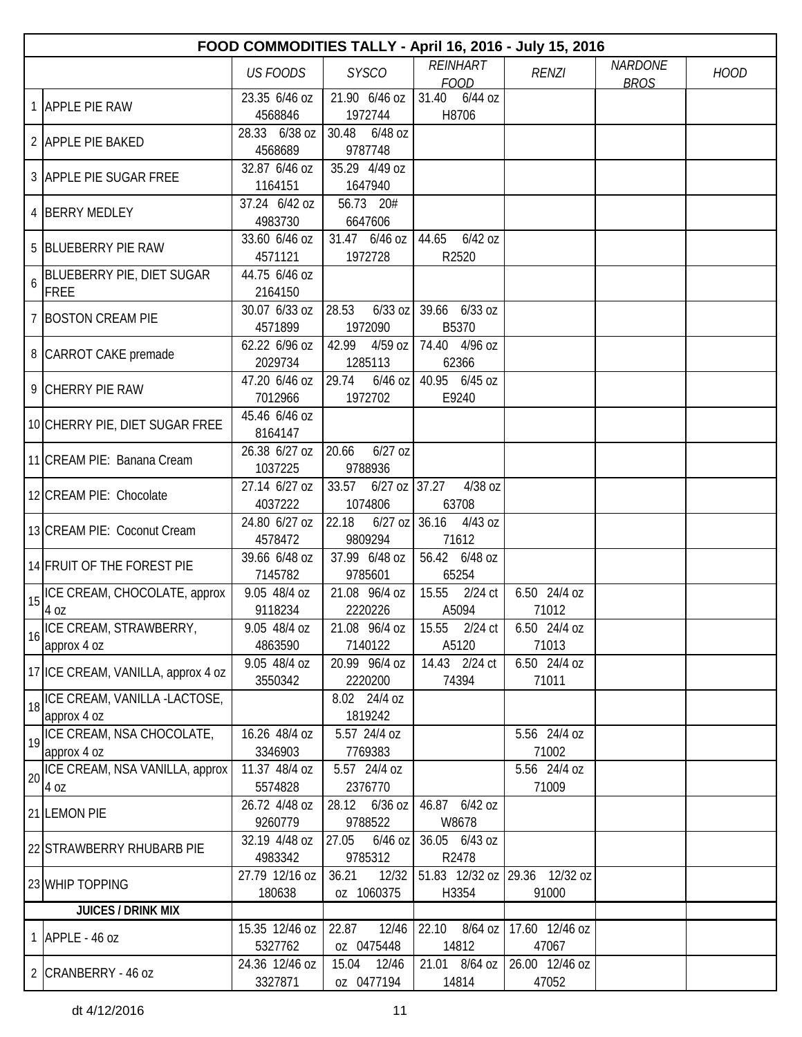| <b>REINHART</b><br><b>NARDONE</b><br><b>SYSCO</b><br><b>US FOODS</b><br><b>RENZI</b><br><b>HOOD</b><br><b>FOOD</b><br><b>BROS</b><br>23.35 6/46 oz<br>21.90 6/46 oz<br>31.40<br>6/44 oz<br>1 APPLE PIE RAW<br>1972744<br>4568846<br>H8706<br>6/48 oz<br>28.33 6/38 oz<br>30.48<br>2 APPLE PIE BAKED<br>4568689<br>9787748<br>35.29 4/49 oz<br>32.87 6/46 oz<br>3 APPLE PIE SUGAR FREE<br>1164151<br>1647940<br>37.24 6/42 oz<br>56.73 20#<br>4 BERRY MEDLEY<br>4983730<br>6647606<br>33.60 6/46 oz<br>31.47 6/46 oz<br>6/42 oz<br>44.65<br>5 BLUEBERRY PIE RAW<br>4571121<br>1972728<br>R2520<br>BLUEBERRY PIE, DIET SUGAR<br>44.75 6/46 oz<br>6<br><b>FREE</b><br>2164150<br>30.07 6/33 oz<br>28.53<br>$6/33$ oz 39.66 6/33 oz<br>7 BOSTON CREAM PIE<br>4571899<br>1972090<br>B5370<br>4/59 oz   74.40 4/96 oz<br>62.22 6/96 oz<br>42.99<br>8 CARROT CAKE premade<br>2029734<br>1285113<br>62366<br>$6/46$ oz 40.95 6/45 oz<br>47.20 6/46 oz<br>29.74<br>9 CHERRY PIE RAW<br>7012966<br>1972702<br>E9240<br>45.46 6/46 oz<br>10 CHERRY PIE, DIET SUGAR FREE<br>8164147<br>26.38 6/27 oz<br>20.66<br>$6/27$ oz<br>11 CREAM PIE: Banana Cream<br>1037225<br>9788936<br>$6/27$ oz 37.27<br>27.14 6/27 oz<br>33.57<br>4/38 oz<br>12 CREAM PIE: Chocolate<br>4037222<br>63708<br>1074806<br>22.18<br>24.80 6/27 oz<br>$6/27$ oz 36.16 4/43 oz<br>13 CREAM PIE: Coconut Cream<br>9809294<br>4578472<br>71612<br>56.42 6/48 oz<br>39.66 6/48 oz<br>37.99 6/48 oz<br>14 FRUIT OF THE FOREST PIE<br>9785601<br>7145782<br>65254<br>6.50 24/4 oz<br>9.05 48/4 oz<br>21.08 96/4 oz<br>15.55<br>2/24 ct<br>ICE CREAM, CHOCOLATE, approx<br>15<br>9118234<br>2220226<br>A5094<br>71012<br>4 oz<br>ICE CREAM, STRAWBERRY,<br>9.05 48/4 oz<br>21.08 96/4 oz<br>15.55<br>2/24 ct<br>6.50 24/4 oz<br>16<br>4863590<br>7140122<br>71013<br>A5120<br>approx 4 oz<br>6.50 24/4 oz<br>9.05 48/4 oz<br>20.99 96/4 oz<br>14.43 2/24 ct<br>17 ICE CREAM, VANILLA, approx 4 oz<br>2220200<br>3550342<br>74394<br>71011<br>18   ICE CREAM, VANILLA -LACTOSE,<br>8.02 24/4 oz<br>1819242<br>approx 4 oz<br>19   ICE CREAM, NSA CHOCOLATE,<br>5.57 24/4 oz<br>5.56 24/4 oz<br>16.26 48/4 oz<br>3346903<br>7769383<br>71002<br>approx 4 oz<br>ICE CREAM, NSA VANILLA, approx<br>5.56 24/4 oz<br>11.37 48/4 oz<br>5.57 24/4 oz<br>20<br>2376770<br>4 oz<br>5574828<br>71009<br>26.72 4/48 oz<br>28.12 6/36 oz<br>46.87 6/42 oz<br>21 LEMON PIE<br>9788522<br>9260779<br>W8678<br>32.19 4/48 oz<br>$6/46$ oz<br>36.05 6/43 oz<br>27.05<br>22 STRAWBERRY RHUBARB PIE<br>4983342<br>9785312<br>R2478<br>51.83 12/32 oz 29.36 12/32 oz<br>27.79 12/16 oz<br>36.21<br>12/32<br>23 WHIP TOPPING<br>180638<br>oz 1060375<br>H3354<br>91000<br><b>JUICES / DRINK MIX</b><br>15.35 12/46 oz<br>17.60 12/46 oz<br>22.87<br>12/46<br>22.10 8/64 oz<br>1 $APPLE - 46 oz$<br>5327762<br>oz 0475448<br>14812<br>47067<br>24.36 12/46 oz<br>12/46<br>21.01 8/64 oz<br>26.00 12/46 oz<br>15.04<br>2 CRANBERRY - 46 oz | FOOD COMMODITIES TALLY - April 16, 2016 - July 15, 2016 |         |            |       |       |  |  |  |  |  |
|--------------------------------------------------------------------------------------------------------------------------------------------------------------------------------------------------------------------------------------------------------------------------------------------------------------------------------------------------------------------------------------------------------------------------------------------------------------------------------------------------------------------------------------------------------------------------------------------------------------------------------------------------------------------------------------------------------------------------------------------------------------------------------------------------------------------------------------------------------------------------------------------------------------------------------------------------------------------------------------------------------------------------------------------------------------------------------------------------------------------------------------------------------------------------------------------------------------------------------------------------------------------------------------------------------------------------------------------------------------------------------------------------------------------------------------------------------------------------------------------------------------------------------------------------------------------------------------------------------------------------------------------------------------------------------------------------------------------------------------------------------------------------------------------------------------------------------------------------------------------------------------------------------------------------------------------------------------------------------------------------------------------------------------------------------------------------------------------------------------------------------------------------------------------------------------------------------------------------------------------------------------------------------------------------------------------------------------------------------------------------------------------------------------------------------------------------------------------------------------------------------------------------------------------------------------------------------------------------------------------------------------------------------------------------------------------------------------------------------------------------------------------------------------------------------------------------------------------------------------------------------------------------------------------------------------------------------------------------|---------------------------------------------------------|---------|------------|-------|-------|--|--|--|--|--|
|                                                                                                                                                                                                                                                                                                                                                                                                                                                                                                                                                                                                                                                                                                                                                                                                                                                                                                                                                                                                                                                                                                                                                                                                                                                                                                                                                                                                                                                                                                                                                                                                                                                                                                                                                                                                                                                                                                                                                                                                                                                                                                                                                                                                                                                                                                                                                                                                                                                                                                                                                                                                                                                                                                                                                                                                                                                                                                                                                                          |                                                         |         |            |       |       |  |  |  |  |  |
|                                                                                                                                                                                                                                                                                                                                                                                                                                                                                                                                                                                                                                                                                                                                                                                                                                                                                                                                                                                                                                                                                                                                                                                                                                                                                                                                                                                                                                                                                                                                                                                                                                                                                                                                                                                                                                                                                                                                                                                                                                                                                                                                                                                                                                                                                                                                                                                                                                                                                                                                                                                                                                                                                                                                                                                                                                                                                                                                                                          |                                                         |         |            |       |       |  |  |  |  |  |
|                                                                                                                                                                                                                                                                                                                                                                                                                                                                                                                                                                                                                                                                                                                                                                                                                                                                                                                                                                                                                                                                                                                                                                                                                                                                                                                                                                                                                                                                                                                                                                                                                                                                                                                                                                                                                                                                                                                                                                                                                                                                                                                                                                                                                                                                                                                                                                                                                                                                                                                                                                                                                                                                                                                                                                                                                                                                                                                                                                          |                                                         |         |            |       |       |  |  |  |  |  |
|                                                                                                                                                                                                                                                                                                                                                                                                                                                                                                                                                                                                                                                                                                                                                                                                                                                                                                                                                                                                                                                                                                                                                                                                                                                                                                                                                                                                                                                                                                                                                                                                                                                                                                                                                                                                                                                                                                                                                                                                                                                                                                                                                                                                                                                                                                                                                                                                                                                                                                                                                                                                                                                                                                                                                                                                                                                                                                                                                                          |                                                         |         |            |       |       |  |  |  |  |  |
|                                                                                                                                                                                                                                                                                                                                                                                                                                                                                                                                                                                                                                                                                                                                                                                                                                                                                                                                                                                                                                                                                                                                                                                                                                                                                                                                                                                                                                                                                                                                                                                                                                                                                                                                                                                                                                                                                                                                                                                                                                                                                                                                                                                                                                                                                                                                                                                                                                                                                                                                                                                                                                                                                                                                                                                                                                                                                                                                                                          |                                                         |         |            |       |       |  |  |  |  |  |
|                                                                                                                                                                                                                                                                                                                                                                                                                                                                                                                                                                                                                                                                                                                                                                                                                                                                                                                                                                                                                                                                                                                                                                                                                                                                                                                                                                                                                                                                                                                                                                                                                                                                                                                                                                                                                                                                                                                                                                                                                                                                                                                                                                                                                                                                                                                                                                                                                                                                                                                                                                                                                                                                                                                                                                                                                                                                                                                                                                          |                                                         |         |            |       |       |  |  |  |  |  |
|                                                                                                                                                                                                                                                                                                                                                                                                                                                                                                                                                                                                                                                                                                                                                                                                                                                                                                                                                                                                                                                                                                                                                                                                                                                                                                                                                                                                                                                                                                                                                                                                                                                                                                                                                                                                                                                                                                                                                                                                                                                                                                                                                                                                                                                                                                                                                                                                                                                                                                                                                                                                                                                                                                                                                                                                                                                                                                                                                                          |                                                         |         |            |       |       |  |  |  |  |  |
|                                                                                                                                                                                                                                                                                                                                                                                                                                                                                                                                                                                                                                                                                                                                                                                                                                                                                                                                                                                                                                                                                                                                                                                                                                                                                                                                                                                                                                                                                                                                                                                                                                                                                                                                                                                                                                                                                                                                                                                                                                                                                                                                                                                                                                                                                                                                                                                                                                                                                                                                                                                                                                                                                                                                                                                                                                                                                                                                                                          |                                                         |         |            |       |       |  |  |  |  |  |
|                                                                                                                                                                                                                                                                                                                                                                                                                                                                                                                                                                                                                                                                                                                                                                                                                                                                                                                                                                                                                                                                                                                                                                                                                                                                                                                                                                                                                                                                                                                                                                                                                                                                                                                                                                                                                                                                                                                                                                                                                                                                                                                                                                                                                                                                                                                                                                                                                                                                                                                                                                                                                                                                                                                                                                                                                                                                                                                                                                          |                                                         |         |            |       |       |  |  |  |  |  |
|                                                                                                                                                                                                                                                                                                                                                                                                                                                                                                                                                                                                                                                                                                                                                                                                                                                                                                                                                                                                                                                                                                                                                                                                                                                                                                                                                                                                                                                                                                                                                                                                                                                                                                                                                                                                                                                                                                                                                                                                                                                                                                                                                                                                                                                                                                                                                                                                                                                                                                                                                                                                                                                                                                                                                                                                                                                                                                                                                                          |                                                         |         |            |       |       |  |  |  |  |  |
|                                                                                                                                                                                                                                                                                                                                                                                                                                                                                                                                                                                                                                                                                                                                                                                                                                                                                                                                                                                                                                                                                                                                                                                                                                                                                                                                                                                                                                                                                                                                                                                                                                                                                                                                                                                                                                                                                                                                                                                                                                                                                                                                                                                                                                                                                                                                                                                                                                                                                                                                                                                                                                                                                                                                                                                                                                                                                                                                                                          |                                                         |         |            |       |       |  |  |  |  |  |
|                                                                                                                                                                                                                                                                                                                                                                                                                                                                                                                                                                                                                                                                                                                                                                                                                                                                                                                                                                                                                                                                                                                                                                                                                                                                                                                                                                                                                                                                                                                                                                                                                                                                                                                                                                                                                                                                                                                                                                                                                                                                                                                                                                                                                                                                                                                                                                                                                                                                                                                                                                                                                                                                                                                                                                                                                                                                                                                                                                          |                                                         |         |            |       |       |  |  |  |  |  |
|                                                                                                                                                                                                                                                                                                                                                                                                                                                                                                                                                                                                                                                                                                                                                                                                                                                                                                                                                                                                                                                                                                                                                                                                                                                                                                                                                                                                                                                                                                                                                                                                                                                                                                                                                                                                                                                                                                                                                                                                                                                                                                                                                                                                                                                                                                                                                                                                                                                                                                                                                                                                                                                                                                                                                                                                                                                                                                                                                                          |                                                         |         |            |       |       |  |  |  |  |  |
|                                                                                                                                                                                                                                                                                                                                                                                                                                                                                                                                                                                                                                                                                                                                                                                                                                                                                                                                                                                                                                                                                                                                                                                                                                                                                                                                                                                                                                                                                                                                                                                                                                                                                                                                                                                                                                                                                                                                                                                                                                                                                                                                                                                                                                                                                                                                                                                                                                                                                                                                                                                                                                                                                                                                                                                                                                                                                                                                                                          |                                                         |         |            |       |       |  |  |  |  |  |
|                                                                                                                                                                                                                                                                                                                                                                                                                                                                                                                                                                                                                                                                                                                                                                                                                                                                                                                                                                                                                                                                                                                                                                                                                                                                                                                                                                                                                                                                                                                                                                                                                                                                                                                                                                                                                                                                                                                                                                                                                                                                                                                                                                                                                                                                                                                                                                                                                                                                                                                                                                                                                                                                                                                                                                                                                                                                                                                                                                          |                                                         |         |            |       |       |  |  |  |  |  |
|                                                                                                                                                                                                                                                                                                                                                                                                                                                                                                                                                                                                                                                                                                                                                                                                                                                                                                                                                                                                                                                                                                                                                                                                                                                                                                                                                                                                                                                                                                                                                                                                                                                                                                                                                                                                                                                                                                                                                                                                                                                                                                                                                                                                                                                                                                                                                                                                                                                                                                                                                                                                                                                                                                                                                                                                                                                                                                                                                                          |                                                         |         |            |       |       |  |  |  |  |  |
|                                                                                                                                                                                                                                                                                                                                                                                                                                                                                                                                                                                                                                                                                                                                                                                                                                                                                                                                                                                                                                                                                                                                                                                                                                                                                                                                                                                                                                                                                                                                                                                                                                                                                                                                                                                                                                                                                                                                                                                                                                                                                                                                                                                                                                                                                                                                                                                                                                                                                                                                                                                                                                                                                                                                                                                                                                                                                                                                                                          |                                                         |         |            |       |       |  |  |  |  |  |
|                                                                                                                                                                                                                                                                                                                                                                                                                                                                                                                                                                                                                                                                                                                                                                                                                                                                                                                                                                                                                                                                                                                                                                                                                                                                                                                                                                                                                                                                                                                                                                                                                                                                                                                                                                                                                                                                                                                                                                                                                                                                                                                                                                                                                                                                                                                                                                                                                                                                                                                                                                                                                                                                                                                                                                                                                                                                                                                                                                          |                                                         |         |            |       |       |  |  |  |  |  |
|                                                                                                                                                                                                                                                                                                                                                                                                                                                                                                                                                                                                                                                                                                                                                                                                                                                                                                                                                                                                                                                                                                                                                                                                                                                                                                                                                                                                                                                                                                                                                                                                                                                                                                                                                                                                                                                                                                                                                                                                                                                                                                                                                                                                                                                                                                                                                                                                                                                                                                                                                                                                                                                                                                                                                                                                                                                                                                                                                                          |                                                         |         |            |       |       |  |  |  |  |  |
|                                                                                                                                                                                                                                                                                                                                                                                                                                                                                                                                                                                                                                                                                                                                                                                                                                                                                                                                                                                                                                                                                                                                                                                                                                                                                                                                                                                                                                                                                                                                                                                                                                                                                                                                                                                                                                                                                                                                                                                                                                                                                                                                                                                                                                                                                                                                                                                                                                                                                                                                                                                                                                                                                                                                                                                                                                                                                                                                                                          |                                                         |         |            |       |       |  |  |  |  |  |
|                                                                                                                                                                                                                                                                                                                                                                                                                                                                                                                                                                                                                                                                                                                                                                                                                                                                                                                                                                                                                                                                                                                                                                                                                                                                                                                                                                                                                                                                                                                                                                                                                                                                                                                                                                                                                                                                                                                                                                                                                                                                                                                                                                                                                                                                                                                                                                                                                                                                                                                                                                                                                                                                                                                                                                                                                                                                                                                                                                          |                                                         |         |            |       |       |  |  |  |  |  |
|                                                                                                                                                                                                                                                                                                                                                                                                                                                                                                                                                                                                                                                                                                                                                                                                                                                                                                                                                                                                                                                                                                                                                                                                                                                                                                                                                                                                                                                                                                                                                                                                                                                                                                                                                                                                                                                                                                                                                                                                                                                                                                                                                                                                                                                                                                                                                                                                                                                                                                                                                                                                                                                                                                                                                                                                                                                                                                                                                                          |                                                         |         |            |       |       |  |  |  |  |  |
|                                                                                                                                                                                                                                                                                                                                                                                                                                                                                                                                                                                                                                                                                                                                                                                                                                                                                                                                                                                                                                                                                                                                                                                                                                                                                                                                                                                                                                                                                                                                                                                                                                                                                                                                                                                                                                                                                                                                                                                                                                                                                                                                                                                                                                                                                                                                                                                                                                                                                                                                                                                                                                                                                                                                                                                                                                                                                                                                                                          |                                                         |         |            |       |       |  |  |  |  |  |
|                                                                                                                                                                                                                                                                                                                                                                                                                                                                                                                                                                                                                                                                                                                                                                                                                                                                                                                                                                                                                                                                                                                                                                                                                                                                                                                                                                                                                                                                                                                                                                                                                                                                                                                                                                                                                                                                                                                                                                                                                                                                                                                                                                                                                                                                                                                                                                                                                                                                                                                                                                                                                                                                                                                                                                                                                                                                                                                                                                          |                                                         |         |            |       |       |  |  |  |  |  |
|                                                                                                                                                                                                                                                                                                                                                                                                                                                                                                                                                                                                                                                                                                                                                                                                                                                                                                                                                                                                                                                                                                                                                                                                                                                                                                                                                                                                                                                                                                                                                                                                                                                                                                                                                                                                                                                                                                                                                                                                                                                                                                                                                                                                                                                                                                                                                                                                                                                                                                                                                                                                                                                                                                                                                                                                                                                                                                                                                                          |                                                         |         |            |       |       |  |  |  |  |  |
|                                                                                                                                                                                                                                                                                                                                                                                                                                                                                                                                                                                                                                                                                                                                                                                                                                                                                                                                                                                                                                                                                                                                                                                                                                                                                                                                                                                                                                                                                                                                                                                                                                                                                                                                                                                                                                                                                                                                                                                                                                                                                                                                                                                                                                                                                                                                                                                                                                                                                                                                                                                                                                                                                                                                                                                                                                                                                                                                                                          |                                                         |         |            |       |       |  |  |  |  |  |
|                                                                                                                                                                                                                                                                                                                                                                                                                                                                                                                                                                                                                                                                                                                                                                                                                                                                                                                                                                                                                                                                                                                                                                                                                                                                                                                                                                                                                                                                                                                                                                                                                                                                                                                                                                                                                                                                                                                                                                                                                                                                                                                                                                                                                                                                                                                                                                                                                                                                                                                                                                                                                                                                                                                                                                                                                                                                                                                                                                          |                                                         |         |            |       |       |  |  |  |  |  |
|                                                                                                                                                                                                                                                                                                                                                                                                                                                                                                                                                                                                                                                                                                                                                                                                                                                                                                                                                                                                                                                                                                                                                                                                                                                                                                                                                                                                                                                                                                                                                                                                                                                                                                                                                                                                                                                                                                                                                                                                                                                                                                                                                                                                                                                                                                                                                                                                                                                                                                                                                                                                                                                                                                                                                                                                                                                                                                                                                                          |                                                         |         |            |       |       |  |  |  |  |  |
|                                                                                                                                                                                                                                                                                                                                                                                                                                                                                                                                                                                                                                                                                                                                                                                                                                                                                                                                                                                                                                                                                                                                                                                                                                                                                                                                                                                                                                                                                                                                                                                                                                                                                                                                                                                                                                                                                                                                                                                                                                                                                                                                                                                                                                                                                                                                                                                                                                                                                                                                                                                                                                                                                                                                                                                                                                                                                                                                                                          |                                                         |         |            |       |       |  |  |  |  |  |
|                                                                                                                                                                                                                                                                                                                                                                                                                                                                                                                                                                                                                                                                                                                                                                                                                                                                                                                                                                                                                                                                                                                                                                                                                                                                                                                                                                                                                                                                                                                                                                                                                                                                                                                                                                                                                                                                                                                                                                                                                                                                                                                                                                                                                                                                                                                                                                                                                                                                                                                                                                                                                                                                                                                                                                                                                                                                                                                                                                          |                                                         |         |            |       |       |  |  |  |  |  |
|                                                                                                                                                                                                                                                                                                                                                                                                                                                                                                                                                                                                                                                                                                                                                                                                                                                                                                                                                                                                                                                                                                                                                                                                                                                                                                                                                                                                                                                                                                                                                                                                                                                                                                                                                                                                                                                                                                                                                                                                                                                                                                                                                                                                                                                                                                                                                                                                                                                                                                                                                                                                                                                                                                                                                                                                                                                                                                                                                                          |                                                         |         |            |       |       |  |  |  |  |  |
|                                                                                                                                                                                                                                                                                                                                                                                                                                                                                                                                                                                                                                                                                                                                                                                                                                                                                                                                                                                                                                                                                                                                                                                                                                                                                                                                                                                                                                                                                                                                                                                                                                                                                                                                                                                                                                                                                                                                                                                                                                                                                                                                                                                                                                                                                                                                                                                                                                                                                                                                                                                                                                                                                                                                                                                                                                                                                                                                                                          |                                                         |         |            |       |       |  |  |  |  |  |
|                                                                                                                                                                                                                                                                                                                                                                                                                                                                                                                                                                                                                                                                                                                                                                                                                                                                                                                                                                                                                                                                                                                                                                                                                                                                                                                                                                                                                                                                                                                                                                                                                                                                                                                                                                                                                                                                                                                                                                                                                                                                                                                                                                                                                                                                                                                                                                                                                                                                                                                                                                                                                                                                                                                                                                                                                                                                                                                                                                          |                                                         |         |            |       |       |  |  |  |  |  |
|                                                                                                                                                                                                                                                                                                                                                                                                                                                                                                                                                                                                                                                                                                                                                                                                                                                                                                                                                                                                                                                                                                                                                                                                                                                                                                                                                                                                                                                                                                                                                                                                                                                                                                                                                                                                                                                                                                                                                                                                                                                                                                                                                                                                                                                                                                                                                                                                                                                                                                                                                                                                                                                                                                                                                                                                                                                                                                                                                                          |                                                         |         |            |       |       |  |  |  |  |  |
|                                                                                                                                                                                                                                                                                                                                                                                                                                                                                                                                                                                                                                                                                                                                                                                                                                                                                                                                                                                                                                                                                                                                                                                                                                                                                                                                                                                                                                                                                                                                                                                                                                                                                                                                                                                                                                                                                                                                                                                                                                                                                                                                                                                                                                                                                                                                                                                                                                                                                                                                                                                                                                                                                                                                                                                                                                                                                                                                                                          |                                                         |         |            |       |       |  |  |  |  |  |
|                                                                                                                                                                                                                                                                                                                                                                                                                                                                                                                                                                                                                                                                                                                                                                                                                                                                                                                                                                                                                                                                                                                                                                                                                                                                                                                                                                                                                                                                                                                                                                                                                                                                                                                                                                                                                                                                                                                                                                                                                                                                                                                                                                                                                                                                                                                                                                                                                                                                                                                                                                                                                                                                                                                                                                                                                                                                                                                                                                          |                                                         |         |            |       |       |  |  |  |  |  |
|                                                                                                                                                                                                                                                                                                                                                                                                                                                                                                                                                                                                                                                                                                                                                                                                                                                                                                                                                                                                                                                                                                                                                                                                                                                                                                                                                                                                                                                                                                                                                                                                                                                                                                                                                                                                                                                                                                                                                                                                                                                                                                                                                                                                                                                                                                                                                                                                                                                                                                                                                                                                                                                                                                                                                                                                                                                                                                                                                                          |                                                         |         |            |       |       |  |  |  |  |  |
|                                                                                                                                                                                                                                                                                                                                                                                                                                                                                                                                                                                                                                                                                                                                                                                                                                                                                                                                                                                                                                                                                                                                                                                                                                                                                                                                                                                                                                                                                                                                                                                                                                                                                                                                                                                                                                                                                                                                                                                                                                                                                                                                                                                                                                                                                                                                                                                                                                                                                                                                                                                                                                                                                                                                                                                                                                                                                                                                                                          |                                                         |         |            |       |       |  |  |  |  |  |
|                                                                                                                                                                                                                                                                                                                                                                                                                                                                                                                                                                                                                                                                                                                                                                                                                                                                                                                                                                                                                                                                                                                                                                                                                                                                                                                                                                                                                                                                                                                                                                                                                                                                                                                                                                                                                                                                                                                                                                                                                                                                                                                                                                                                                                                                                                                                                                                                                                                                                                                                                                                                                                                                                                                                                                                                                                                                                                                                                                          |                                                         |         |            |       |       |  |  |  |  |  |
|                                                                                                                                                                                                                                                                                                                                                                                                                                                                                                                                                                                                                                                                                                                                                                                                                                                                                                                                                                                                                                                                                                                                                                                                                                                                                                                                                                                                                                                                                                                                                                                                                                                                                                                                                                                                                                                                                                                                                                                                                                                                                                                                                                                                                                                                                                                                                                                                                                                                                                                                                                                                                                                                                                                                                                                                                                                                                                                                                                          |                                                         |         |            |       |       |  |  |  |  |  |
|                                                                                                                                                                                                                                                                                                                                                                                                                                                                                                                                                                                                                                                                                                                                                                                                                                                                                                                                                                                                                                                                                                                                                                                                                                                                                                                                                                                                                                                                                                                                                                                                                                                                                                                                                                                                                                                                                                                                                                                                                                                                                                                                                                                                                                                                                                                                                                                                                                                                                                                                                                                                                                                                                                                                                                                                                                                                                                                                                                          |                                                         |         |            |       |       |  |  |  |  |  |
|                                                                                                                                                                                                                                                                                                                                                                                                                                                                                                                                                                                                                                                                                                                                                                                                                                                                                                                                                                                                                                                                                                                                                                                                                                                                                                                                                                                                                                                                                                                                                                                                                                                                                                                                                                                                                                                                                                                                                                                                                                                                                                                                                                                                                                                                                                                                                                                                                                                                                                                                                                                                                                                                                                                                                                                                                                                                                                                                                                          |                                                         |         |            |       |       |  |  |  |  |  |
|                                                                                                                                                                                                                                                                                                                                                                                                                                                                                                                                                                                                                                                                                                                                                                                                                                                                                                                                                                                                                                                                                                                                                                                                                                                                                                                                                                                                                                                                                                                                                                                                                                                                                                                                                                                                                                                                                                                                                                                                                                                                                                                                                                                                                                                                                                                                                                                                                                                                                                                                                                                                                                                                                                                                                                                                                                                                                                                                                                          |                                                         |         |            |       |       |  |  |  |  |  |
|                                                                                                                                                                                                                                                                                                                                                                                                                                                                                                                                                                                                                                                                                                                                                                                                                                                                                                                                                                                                                                                                                                                                                                                                                                                                                                                                                                                                                                                                                                                                                                                                                                                                                                                                                                                                                                                                                                                                                                                                                                                                                                                                                                                                                                                                                                                                                                                                                                                                                                                                                                                                                                                                                                                                                                                                                                                                                                                                                                          |                                                         |         |            |       |       |  |  |  |  |  |
|                                                                                                                                                                                                                                                                                                                                                                                                                                                                                                                                                                                                                                                                                                                                                                                                                                                                                                                                                                                                                                                                                                                                                                                                                                                                                                                                                                                                                                                                                                                                                                                                                                                                                                                                                                                                                                                                                                                                                                                                                                                                                                                                                                                                                                                                                                                                                                                                                                                                                                                                                                                                                                                                                                                                                                                                                                                                                                                                                                          |                                                         |         |            |       |       |  |  |  |  |  |
|                                                                                                                                                                                                                                                                                                                                                                                                                                                                                                                                                                                                                                                                                                                                                                                                                                                                                                                                                                                                                                                                                                                                                                                                                                                                                                                                                                                                                                                                                                                                                                                                                                                                                                                                                                                                                                                                                                                                                                                                                                                                                                                                                                                                                                                                                                                                                                                                                                                                                                                                                                                                                                                                                                                                                                                                                                                                                                                                                                          |                                                         |         |            |       |       |  |  |  |  |  |
|                                                                                                                                                                                                                                                                                                                                                                                                                                                                                                                                                                                                                                                                                                                                                                                                                                                                                                                                                                                                                                                                                                                                                                                                                                                                                                                                                                                                                                                                                                                                                                                                                                                                                                                                                                                                                                                                                                                                                                                                                                                                                                                                                                                                                                                                                                                                                                                                                                                                                                                                                                                                                                                                                                                                                                                                                                                                                                                                                                          |                                                         |         |            |       |       |  |  |  |  |  |
|                                                                                                                                                                                                                                                                                                                                                                                                                                                                                                                                                                                                                                                                                                                                                                                                                                                                                                                                                                                                                                                                                                                                                                                                                                                                                                                                                                                                                                                                                                                                                                                                                                                                                                                                                                                                                                                                                                                                                                                                                                                                                                                                                                                                                                                                                                                                                                                                                                                                                                                                                                                                                                                                                                                                                                                                                                                                                                                                                                          |                                                         |         |            |       |       |  |  |  |  |  |
|                                                                                                                                                                                                                                                                                                                                                                                                                                                                                                                                                                                                                                                                                                                                                                                                                                                                                                                                                                                                                                                                                                                                                                                                                                                                                                                                                                                                                                                                                                                                                                                                                                                                                                                                                                                                                                                                                                                                                                                                                                                                                                                                                                                                                                                                                                                                                                                                                                                                                                                                                                                                                                                                                                                                                                                                                                                                                                                                                                          |                                                         |         |            |       |       |  |  |  |  |  |
|                                                                                                                                                                                                                                                                                                                                                                                                                                                                                                                                                                                                                                                                                                                                                                                                                                                                                                                                                                                                                                                                                                                                                                                                                                                                                                                                                                                                                                                                                                                                                                                                                                                                                                                                                                                                                                                                                                                                                                                                                                                                                                                                                                                                                                                                                                                                                                                                                                                                                                                                                                                                                                                                                                                                                                                                                                                                                                                                                                          |                                                         |         |            |       |       |  |  |  |  |  |
|                                                                                                                                                                                                                                                                                                                                                                                                                                                                                                                                                                                                                                                                                                                                                                                                                                                                                                                                                                                                                                                                                                                                                                                                                                                                                                                                                                                                                                                                                                                                                                                                                                                                                                                                                                                                                                                                                                                                                                                                                                                                                                                                                                                                                                                                                                                                                                                                                                                                                                                                                                                                                                                                                                                                                                                                                                                                                                                                                                          |                                                         | 3327871 | oz 0477194 | 14814 | 47052 |  |  |  |  |  |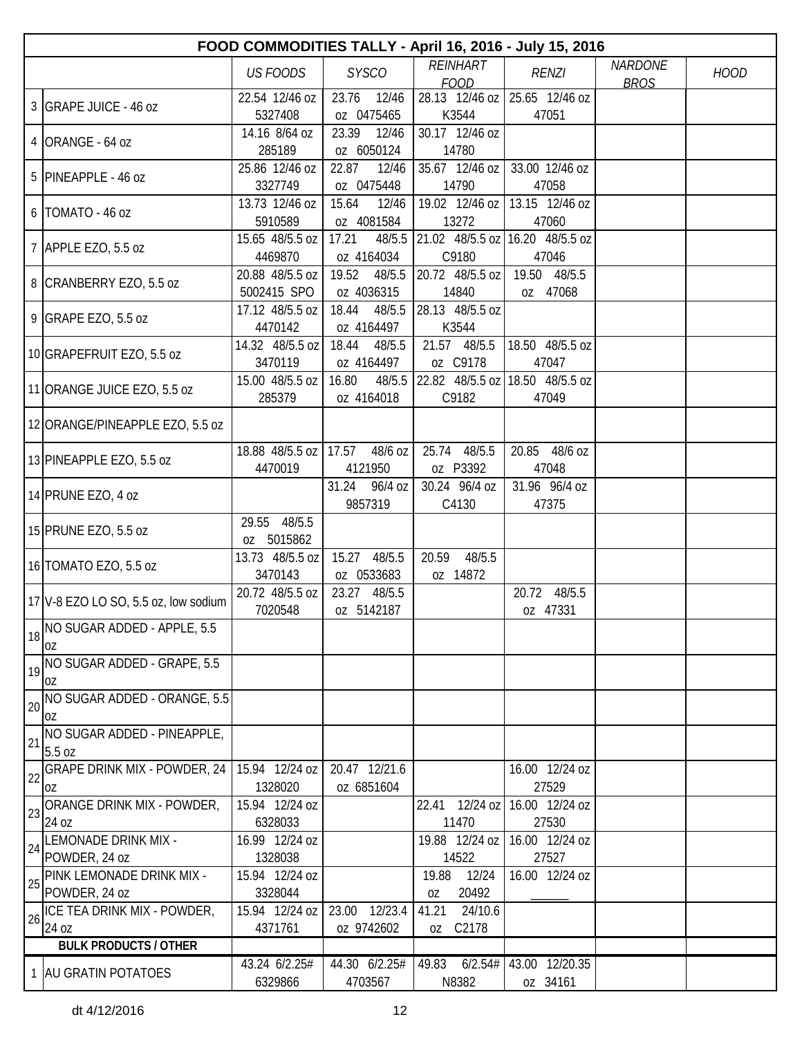|    | FOOD COMMODITIES TALLY - April 16, 2016 - July 15, 2016 |                            |                  |                                 |                                 |                |             |  |  |  |
|----|---------------------------------------------------------|----------------------------|------------------|---------------------------------|---------------------------------|----------------|-------------|--|--|--|
|    |                                                         | <b>US FOODS</b>            | <b>SYSCO</b>     | <b>REINHART</b>                 | <b>RENZI</b>                    | <b>NARDONE</b> | <b>HOOD</b> |  |  |  |
|    |                                                         |                            |                  | <b>FOOD</b>                     |                                 | <b>BROS</b>    |             |  |  |  |
|    | 3 GRAPE JUICE - 46 oz                                   | 22.54 12/46 oz             | 23.76<br>12/46   |                                 | 28.13 12/46 oz 25.65 12/46 oz   |                |             |  |  |  |
|    |                                                         | 5327408                    | oz 0475465       | K3544                           | 47051                           |                |             |  |  |  |
|    | 4 ORANGE - 64 oz                                        | 14.16 8/64 oz              | 23.39<br>12/46   | 30.17 12/46 oz                  |                                 |                |             |  |  |  |
|    |                                                         | 285189                     | oz 6050124       | 14780                           |                                 |                |             |  |  |  |
|    | 5 PINEAPPLE - 46 oz                                     | 25.86 12/46 oz             | 22.87<br>12/46   | 35.67 12/46 oz                  | 33.00 12/46 oz                  |                |             |  |  |  |
|    |                                                         | 3327749                    | oz 0475448       | 14790                           | 47058                           |                |             |  |  |  |
|    | 6   TOMATO - 46 oz                                      | 13.73 12/46 oz             | 15.64<br>12/46   | 19.02 12/46 oz                  | 13.15 12/46 oz                  |                |             |  |  |  |
|    |                                                         | 5910589                    | oz 4081584       | 13272                           | 47060                           |                |             |  |  |  |
|    | 7 APPLE EZO, 5.5 oz                                     | 15.65 48/5.5 oz            | 17.21<br>48/5.5  | 21.02 48/5.5 oz 16.20 48/5.5 oz |                                 |                |             |  |  |  |
|    |                                                         | 4469870                    | oz 4164034       | C9180                           | 47046                           |                |             |  |  |  |
|    | 8 CRANBERRY EZO, 5.5 oz                                 | 20.88 48/5.5 oz            | 19.52<br>48/5.5  | 20.72 48/5.5 oz                 | 19.50 48/5.5                    |                |             |  |  |  |
|    |                                                         | 5002415 SPO                | oz 4036315       | 14840                           | oz 47068                        |                |             |  |  |  |
|    | 9 GRAPE EZO, 5.5 oz                                     | 17.12 48/5.5 oz            | 18.44<br>48/5.5  | 28.13 48/5.5 oz                 |                                 |                |             |  |  |  |
|    |                                                         | 4470142                    | oz 4164497       | K3544                           |                                 |                |             |  |  |  |
|    | 10 GRAPEFRUIT EZO, 5.5 oz                               | 14.32 48/5.5 oz            | 18.44<br>48/5.5  | 21.57 48/5.5                    | 18.50 48/5.5 oz                 |                |             |  |  |  |
|    |                                                         | 3470119                    | oz 4164497       | oz C9178                        | 47047                           |                |             |  |  |  |
|    | 11 ORANGE JUICE EZO, 5.5 oz                             | 15.00 48/5.5 oz            | 16.80<br>48/5.5  |                                 | 22.82 48/5.5 oz 18.50 48/5.5 oz |                |             |  |  |  |
|    |                                                         | 285379                     | oz 4164018       | C9182                           | 47049                           |                |             |  |  |  |
|    | 12 ORANGE/PINEAPPLE EZO, 5.5 oz                         |                            |                  |                                 |                                 |                |             |  |  |  |
|    |                                                         |                            |                  |                                 |                                 |                |             |  |  |  |
|    | 13 PINEAPPLE EZO, 5.5 oz                                | 18.88 48/5.5 oz   17.57    | 48/6 oz          | 25.74<br>48/5.5                 | 20.85 48/6 oz                   |                |             |  |  |  |
|    |                                                         | 4470019                    | 4121950          | oz P3392                        | 47048                           |                |             |  |  |  |
|    | 14 PRUNE EZO, 4 oz                                      |                            | 31.24<br>96/4 oz | 30.24 96/4 oz                   | 31.96 96/4 oz                   |                |             |  |  |  |
|    |                                                         |                            | 9857319          | C4130                           | 47375                           |                |             |  |  |  |
|    | 15 PRUNE EZO, 5.5 oz                                    | 29.55 48/5.5<br>oz 5015862 |                  |                                 |                                 |                |             |  |  |  |
|    |                                                         | 13.73 48/5.5 oz            | 15.27<br>48/5.5  | 20.59<br>48/5.5                 |                                 |                |             |  |  |  |
|    | 16 TOMATO EZO, 5.5 oz                                   | 3470143                    | oz 0533683       | oz 14872                        |                                 |                |             |  |  |  |
|    |                                                         | 20.72 48/5.5 oz            | 23.27 48/5.5     |                                 | 20.72<br>48/5.5                 |                |             |  |  |  |
|    | 17 V-8 EZO LO SO, 5.5 oz, low sodium                    | 7020548                    | oz 5142187       |                                 | oz 47331                        |                |             |  |  |  |
|    | NO SUGAR ADDED - APPLE, 5.5                             |                            |                  |                                 |                                 |                |             |  |  |  |
| 18 | 0Z                                                      |                            |                  |                                 |                                 |                |             |  |  |  |
|    | NO SUGAR ADDED - GRAPE, 5.5                             |                            |                  |                                 |                                 |                |             |  |  |  |
| 19 | 0Z                                                      |                            |                  |                                 |                                 |                |             |  |  |  |
|    | NO SUGAR ADDED - ORANGE, 5.5                            |                            |                  |                                 |                                 |                |             |  |  |  |
| 20 | OZ                                                      |                            |                  |                                 |                                 |                |             |  |  |  |
|    | NO SUGAR ADDED - PINEAPPLE,                             |                            |                  |                                 |                                 |                |             |  |  |  |
| 21 | 5.5 oz                                                  |                            |                  |                                 |                                 |                |             |  |  |  |
|    | <b>GRAPE DRINK MIX - POWDER, 24</b>                     | 15.94 12/24 oz             | 20.47 12/21.6    |                                 | 16.00 12/24 oz                  |                |             |  |  |  |
| 22 | 0Z                                                      | 1328020                    | oz 6851604       |                                 | 27529                           |                |             |  |  |  |
|    | ORANGE DRINK MIX - POWDER,                              | 15.94 12/24 oz             |                  | 22.41 12/24 oz                  | 16.00 12/24 oz                  |                |             |  |  |  |
| 23 | 24 oz                                                   | 6328033                    |                  | 11470                           | 27530                           |                |             |  |  |  |
|    | LEMONADE DRINK MIX -                                    | 16.99 12/24 oz             |                  | 19.88 12/24 oz                  | 16.00 12/24 oz                  |                |             |  |  |  |
| 24 | POWDER, 24 oz                                           | 1328038                    |                  | 14522                           | 27527                           |                |             |  |  |  |
|    | PINK LEMONADE DRINK MIX -                               | 15.94 12/24 oz             |                  | 19.88<br>12/24                  | 16.00 12/24 oz                  |                |             |  |  |  |
| 25 | POWDER, 24 oz                                           | 3328044                    |                  | 20492<br>0Z                     |                                 |                |             |  |  |  |
|    | ICE TEA DRINK MIX - POWDER,                             | 15.94 12/24 oz             | 12/23.4<br>23.00 | 24/10.6<br>41.21                |                                 |                |             |  |  |  |
| 26 | 240Z                                                    | 4371761                    | oz 9742602       | C2178<br>OZ                     |                                 |                |             |  |  |  |
|    | <b>BULK PRODUCTS / OTHER</b>                            |                            |                  |                                 |                                 |                |             |  |  |  |
|    |                                                         | 43.24 6/2.25#              | 44.30 6/2.25#    | 49.83<br>6/2.54#                | 43.00 12/20.35                  |                |             |  |  |  |
|    | 1 AU GRATIN POTATOES                                    | 6329866                    | 4703567          | N8382                           | oz 34161                        |                |             |  |  |  |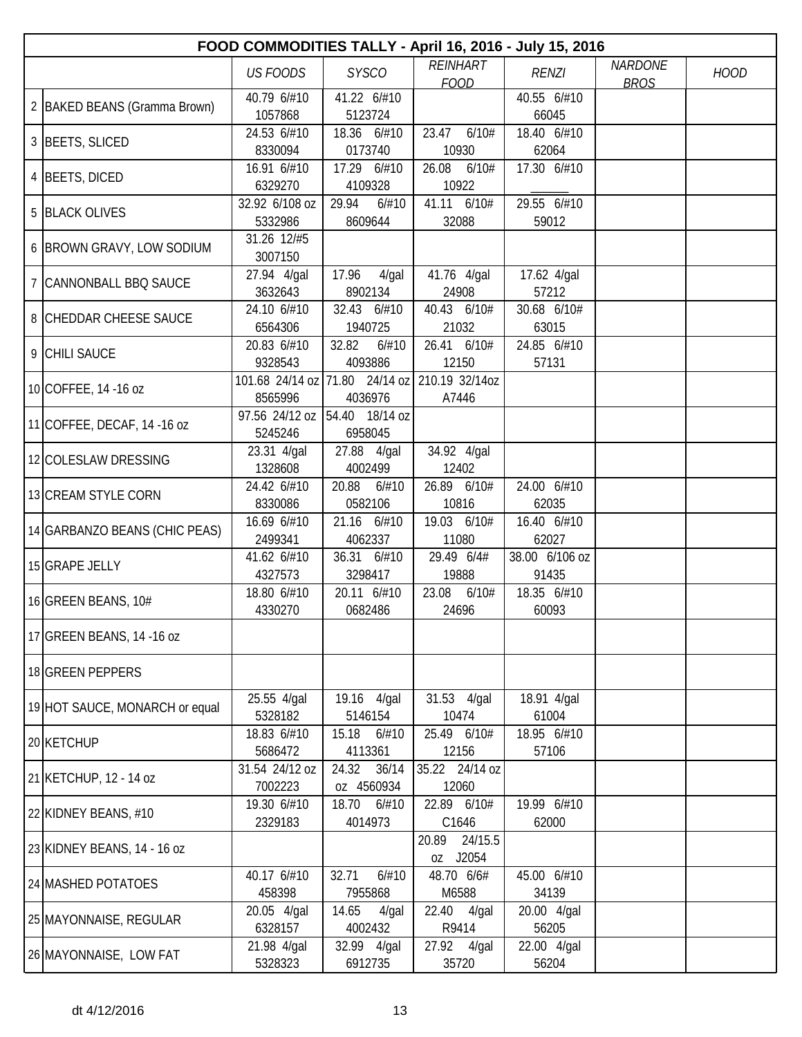| FOOD COMMODITIES TALLY - April 16, 2016 - July 15, 2016 |                           |                                               |                           |                      |                |             |  |  |  |
|---------------------------------------------------------|---------------------------|-----------------------------------------------|---------------------------|----------------------|----------------|-------------|--|--|--|
|                                                         | <b>US FOODS</b>           | <b>SYSCO</b>                                  | <b>REINHART</b>           | <b>RENZI</b>         | <b>NARDONE</b> | <b>HOOD</b> |  |  |  |
|                                                         | 40.79 6/#10               | 41.22 6/#10                                   | <b>FOOD</b>               | 40.55 6/#10          | <b>BROS</b>    |             |  |  |  |
| 2   BAKED BEANS (Gramma Brown)                          | 1057868                   | 5123724                                       |                           | 66045                |                |             |  |  |  |
|                                                         | 24.53 6/#10               | 18.36 6/#10                                   | 23.47<br>6/10#            | 18.40 6/#10          |                |             |  |  |  |
| 3 BEETS, SLICED                                         | 8330094                   | 0173740                                       | 10930                     | 62064                |                |             |  |  |  |
| 4 BEETS, DICED                                          | 16.91 6/#10               | 17.29 6/#10                                   | 26.08<br>6/10#            | 17.30 6/#10          |                |             |  |  |  |
|                                                         | 6329270<br>32.92 6/108 oz | 4109328                                       | 10922                     | 29.55 6/#10          |                |             |  |  |  |
| 5 BLACK OLIVES                                          | 5332986                   | 29.94<br>6/#10<br>8609644                     | 41.11 6/10#<br>32088      | 59012                |                |             |  |  |  |
|                                                         | 31.26 12/#5               |                                               |                           |                      |                |             |  |  |  |
| 6 BROWN GRAVY, LOW SODIUM                               | 3007150                   |                                               |                           |                      |                |             |  |  |  |
| 7 CANNONBALL BBQ SAUCE                                  | 27.94 4/gal               | 17.96<br>$4$ /gal                             | 41.76 4/gal               | 17.62 4/gal          |                |             |  |  |  |
|                                                         | 3632643                   | 8902134                                       | 24908                     | 57212                |                |             |  |  |  |
| 8 CHEDDAR CHEESE SAUCE                                  | 24.10 6/#10<br>6564306    | 32.43 6/#10<br>1940725                        | 40.43 6/10#<br>21032      | 30.68 6/10#<br>63015 |                |             |  |  |  |
|                                                         | 20.83 6/#10               | 32.82<br>6/#10                                | 26.41 6/10#               | 24.85 6/#10          |                |             |  |  |  |
| 9 CHILI SAUCE                                           | 9328543                   | 4093886                                       | 12150                     | 57131                |                |             |  |  |  |
|                                                         |                           | 101.68 24/14 oz 71.80 24/14 oz 210.19 32/14oz |                           |                      |                |             |  |  |  |
| 10 COFFEE, 14 - 16 oz                                   | 8565996                   | 4036976                                       | A7446                     |                      |                |             |  |  |  |
| 11 COFFEE, DECAF, 14 -16 oz                             |                           | 97.56 24/12 oz 54.40 18/14 oz                 |                           |                      |                |             |  |  |  |
|                                                         | 5245246                   | 6958045                                       |                           |                      |                |             |  |  |  |
| 12 COLESLAW DRESSING                                    | 23.31 4/gal<br>1328608    | 27.88 4/gal<br>4002499                        | 34.92 4/gal<br>12402      |                      |                |             |  |  |  |
|                                                         | 24.42 6/#10               | 20.88<br>6/#10                                | 26.89 6/10#               | 24.00 6/#10          |                |             |  |  |  |
| 13 CREAM STYLE CORN                                     | 8330086                   | 0582106                                       | 10816                     | 62035                |                |             |  |  |  |
|                                                         | 16.69 6/#10               | 21.16 6/#10                                   | 19.03 6/10#               | 16.40 6/#10          |                |             |  |  |  |
| 14 GARBANZO BEANS (CHIC PEAS)                           | 2499341                   | 4062337                                       | 11080                     | 62027                |                |             |  |  |  |
| 15 GRAPE JELLY                                          | 41.62 6/#10               | 36.31 6/#10                                   | 29.49 6/4#                | 38.00 6/106 oz       |                |             |  |  |  |
|                                                         | 4327573                   | 3298417<br>20.11 6/#10                        | 19888<br>23.08            | 91435<br>18.35 6/#10 |                |             |  |  |  |
| 16 GREEN BEANS, 10#                                     | 18.80 6/#10<br>4330270    | 0682486                                       | 6/10#<br>24696            | 60093                |                |             |  |  |  |
|                                                         |                           |                                               |                           |                      |                |             |  |  |  |
| 17 GREEN BEANS, 14 -16 oz                               |                           |                                               |                           |                      |                |             |  |  |  |
| 18 GREEN PEPPERS                                        |                           |                                               |                           |                      |                |             |  |  |  |
|                                                         |                           |                                               |                           |                      |                |             |  |  |  |
| 19 HOT SAUCE, MONARCH or equal                          | 25.55 4/gal<br>5328182    | 19.16 4/gal<br>5146154                        | 31.53 4/gal<br>10474      | 18.91 4/gal<br>61004 |                |             |  |  |  |
|                                                         | 18.83 6/#10               | 15.18<br>6/#10                                | 25.49 6/10#               | 18.95 6/#10          |                |             |  |  |  |
| 20 KETCHUP                                              | 5686472                   | 4113361                                       | 12156                     | 57106                |                |             |  |  |  |
|                                                         | 31.54 24/12 oz            | 24.32 36/14                                   | 35.22 24/14 oz            |                      |                |             |  |  |  |
| 21 KETCHUP, 12 - 14 oz                                  | 7002223                   | oz 4560934                                    | 12060                     |                      |                |             |  |  |  |
| 22 KIDNEY BEANS, #10                                    | 19.30 6/#10               | 18.70 6/#10                                   | 22.89 6/10#               | 19.99 6/#10          |                |             |  |  |  |
|                                                         | 2329183                   | 4014973                                       | C1646                     | 62000                |                |             |  |  |  |
| 23 KIDNEY BEANS, 14 - 16 oz                             |                           |                                               | 20.89 24/15.5<br>oz J2054 |                      |                |             |  |  |  |
|                                                         | 40.17 6/#10               | 32.71<br>6/#10                                | 48.70 6/6#                | 45.00 6/#10          |                |             |  |  |  |
| 24 MASHED POTATOES                                      | 458398                    | 7955868                                       | M6588                     | 34139                |                |             |  |  |  |
| 25 MAYONNAISE, REGULAR                                  | 20.05 4/gal               | 14.65<br>4/gal                                | 22.40 4/gal               | 20.00 4/gal          |                |             |  |  |  |
|                                                         | 6328157                   | 4002432                                       | R9414                     | 56205                |                |             |  |  |  |
| 26 MAYONNAISE, LOW FAT                                  | 21.98 4/gal               | 32.99 4/gal                                   | 27.92 4/gal               | 22.00 4/gal          |                |             |  |  |  |
|                                                         | 5328323                   | 6912735                                       | 35720                     | 56204                |                |             |  |  |  |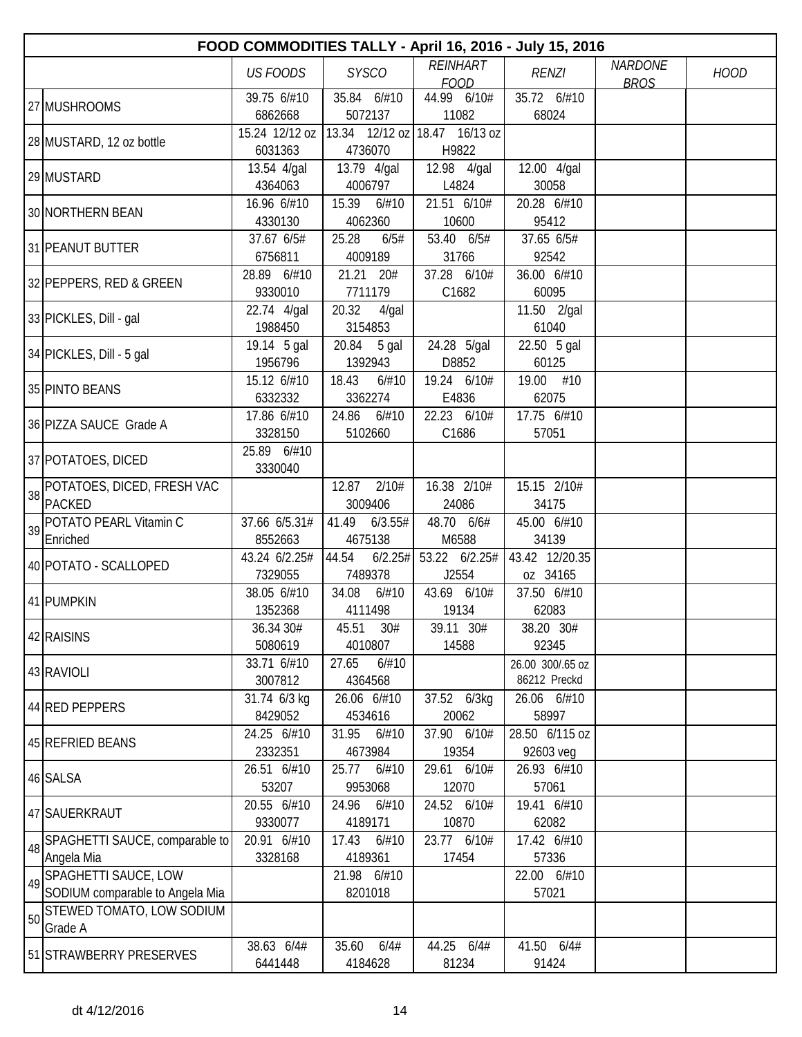|    |                                 |                           | FOOD COMMODITIES TALLY - April 16, 2016 - July 15, 2016 |                             |                      |                |             |
|----|---------------------------------|---------------------------|---------------------------------------------------------|-----------------------------|----------------------|----------------|-------------|
|    |                                 | <b>US FOODS</b>           | <b>SYSCO</b>                                            | <b>REINHART</b>             | <b>RENZI</b>         | <b>NARDONE</b> | <b>HOOD</b> |
|    |                                 |                           |                                                         | <b>FOOD</b>                 |                      | <b>BROS</b>    |             |
|    | 27 MUSHROOMS                    | 39.75 6/#10               | 35.84 6/#10                                             | 44.99 6/10#                 | 35.72 6/#10<br>68024 |                |             |
|    |                                 | 6862668<br>15.24 12/12 oz | 5072137<br>$13.34$ 12/12 oz 18.47 16/13 oz              | 11082                       |                      |                |             |
|    | 28 MUSTARD, 12 oz bottle        | 6031363                   | 4736070                                                 | H9822                       |                      |                |             |
|    |                                 | 13.54 4/gal               | 13.79 4/gal                                             | 12.98 4/gal                 | 12.00 4/gal          |                |             |
|    | 29 MUSTARD                      | 4364063                   | 4006797                                                 | L4824                       | 30058                |                |             |
|    |                                 | 16.96 6/#10               | 15.39 6/#10                                             | 21.51 6/10#                 | 20.28 6/#10          |                |             |
|    | 30 NORTHERN BEAN                | 4330130                   | 4062360                                                 | 10600                       | 95412                |                |             |
|    |                                 | 37.67 6/5#                | 25.28<br>6/5#                                           | 53.40 6/5#                  | 37.65 6/5#           |                |             |
|    | 31 PEANUT BUTTER                | 6756811                   | 4009189                                                 | 31766                       | 92542                |                |             |
|    |                                 | 28.89 6/#10               | 21.21 20#                                               | 37.28 6/10#                 | 36.00 6/#10          |                |             |
|    | 32 PEPPERS, RED & GREEN         | 9330010                   | 7711179                                                 | C1682                       | 60095                |                |             |
|    |                                 | 22.74 4/gal               | 20.32<br>4/gal                                          |                             | 11.50 2/gal          |                |             |
|    | 33 PICKLES, Dill - gal          | 1988450                   | 3154853                                                 |                             | 61040                |                |             |
|    |                                 | 19.14 5 gal               | 20.84 5 gal                                             | 24.28 5/gal                 | 22.50 5 gal          |                |             |
|    | 34 PICKLES, Dill - 5 gal        | 1956796                   | 1392943                                                 | D8852                       | 60125                |                |             |
|    |                                 | 15.12 6/#10               | 18.43<br>6/#10                                          | 19.24 6/10#                 | 19.00 #10            |                |             |
|    | 35 PINTO BEANS                  | 6332332                   | 3362274                                                 | E4836                       | 62075                |                |             |
|    |                                 | 17.86 6/#10               | 24.86 6/#10                                             | 22.23 6/10#                 | 17.75 6/#10          |                |             |
|    | 36 PIZZA SAUCE Grade A          | 3328150                   | 5102660                                                 | C1686                       | 57051                |                |             |
|    |                                 | 25.89 6/#10               |                                                         |                             |                      |                |             |
|    | 37 POTATOES, DICED              | 3330040                   |                                                         |                             |                      |                |             |
| 38 | POTATOES, DICED, FRESH VAC      |                           | 12.87<br>2/10#                                          | 16.38 2/10#                 | 15.15 2/10#          |                |             |
|    | PACKED                          |                           | 3009406                                                 | 24086                       | 34175                |                |             |
| 39 | POTATO PEARL Vitamin C          | 37.66 6/5.31#             | 41.49<br>6/3.55#                                        | 48.70 6/6#                  | 45.00 6/#10          |                |             |
|    | Enriched                        | 8552663                   | 4675138                                                 | M6588                       | 34139                |                |             |
|    | 40 POTATO - SCALLOPED           | 43.24 6/2.25#             | 44.54                                                   | $6/2.25\#$ 53.22 $6/2.25\#$ | 43.42 12/20.35       |                |             |
|    |                                 | 7329055                   | 7489378                                                 | J2554                       | oz 34165             |                |             |
|    | 41 PUMPKIN                      | 38.05 6/#10               | 34.08<br>6/#10                                          | 43.69 6/10#                 | 37.50 6/#10          |                |             |
|    |                                 | 1352368                   | 4111498                                                 | 19134                       | 62083                |                |             |
|    | 42 RAISINS                      | 36.34 30#                 | 45.51 30#                                               | 39.11 30#                   | 38.20 30#            |                |             |
|    |                                 | 5080619                   | 4010807                                                 | 14588                       | 92345                |                |             |
|    | 43 RAVIOLI                      | 33.71 6/#10               | 27.65<br>6/#10                                          |                             | 26.00 300/.65 oz     |                |             |
|    |                                 | 3007812                   | 4364568                                                 |                             | 86212 Preckd         |                |             |
|    | 44 RED PEPPERS                  | 31.74 6/3 kg              | 26.06 6/#10                                             | 37.52 6/3kg                 | 26.06 6/#10          |                |             |
|    |                                 | 8429052                   | 4534616                                                 | 20062                       | 58997                |                |             |
|    | 45 REFRIED BEANS                | 24.25 6/#10<br>2332351    | 31.95<br>6/#10                                          | 37.90 6/10#<br>19354        | 28.50 6/115 oz       |                |             |
|    |                                 |                           | 4673984                                                 |                             | 92603 veg            |                |             |
|    | 46 SALSA                        | 26.51 6/#10<br>53207      | 25.77 6/#10<br>9953068                                  | 29.61 6/10#<br>12070        | 26.93 6/#10<br>57061 |                |             |
|    |                                 | 20.55 6/#10               | 24.96 6/#10                                             | 24.52 6/10#                 | 19.41 6/#10          |                |             |
|    | 47 SAUERKRAUT                   | 9330077                   | 4189171                                                 | 10870                       | 62082                |                |             |
|    | SPAGHETTI SAUCE, comparable to  | 20.91 6/#10               | 17.43<br>6/#10                                          | 23.77 6/10#                 | 17.42 6/#10          |                |             |
| 48 | Angela Mia                      | 3328168                   | 4189361                                                 | 17454                       | 57336                |                |             |
|    | SPAGHETTI SAUCE, LOW            |                           | 21.98 6/#10                                             |                             | 22.00 6/#10          |                |             |
| 49 | SODIUM comparable to Angela Mia |                           | 8201018                                                 |                             | 57021                |                |             |
|    | STEWED TOMATO, LOW SODIUM       |                           |                                                         |                             |                      |                |             |
| 50 | Grade A                         |                           |                                                         |                             |                      |                |             |
|    |                                 | 38.63 6/4#                | 35.60 6/4#                                              | 44.25 6/4#                  | 41.50 6/4#           |                |             |
|    | 51 STRAWBERRY PRESERVES         | 6441448                   | 4184628                                                 | 81234                       | 91424                |                |             |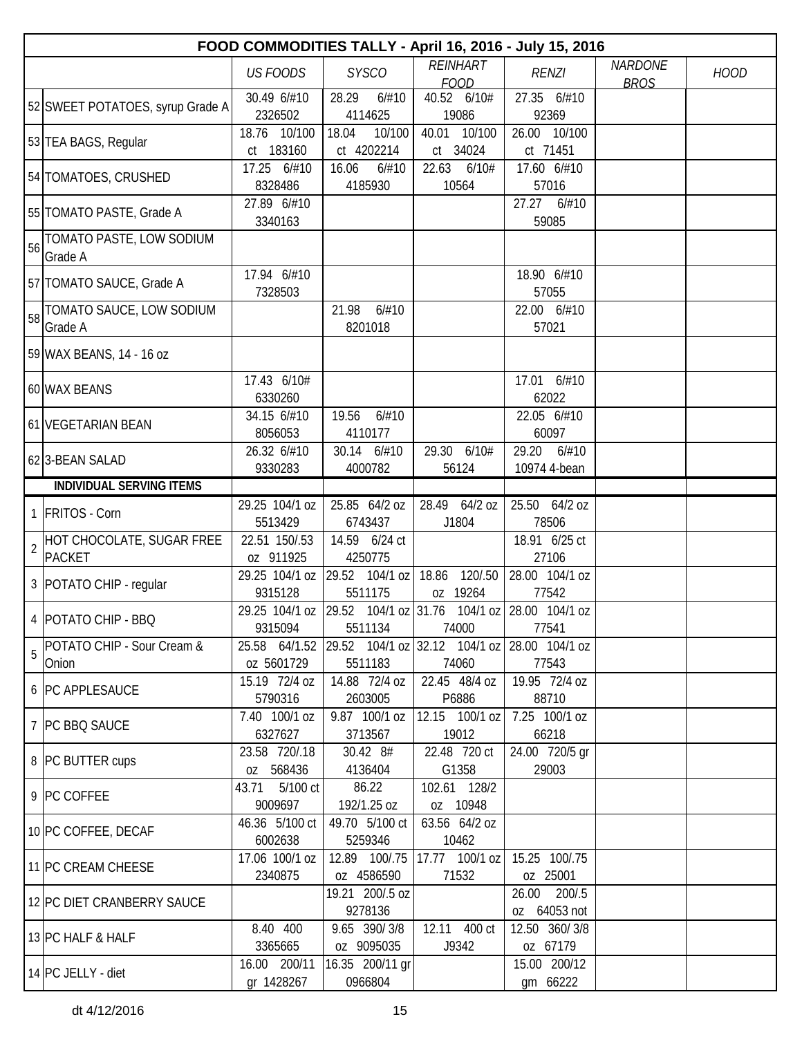|                | FOOD COMMODITIES TALLY - April 16, 2016 - July 15, 2016 |                              |                               |                                                                      |                                 |                               |             |  |  |  |
|----------------|---------------------------------------------------------|------------------------------|-------------------------------|----------------------------------------------------------------------|---------------------------------|-------------------------------|-------------|--|--|--|
|                |                                                         | <b>US FOODS</b>              | <b>SYSCO</b>                  | <b>REINHART</b><br><b>FOOD</b>                                       | <b>RENZI</b>                    | <b>NARDONE</b><br><b>BROS</b> | <b>HOOD</b> |  |  |  |
|                | 52 SWEET POTATOES, syrup Grade A                        | 30.49 6/#10<br>2326502       | 28.29<br>6/#10<br>4114625     | 40.52 6/10#<br>19086                                                 | 27.35 6/#10<br>92369            |                               |             |  |  |  |
|                | 53 TEA BAGS, Regular                                    | 18.76 10/100<br>ct 183160    | 18.04<br>10/100<br>ct 4202214 | 40.01<br>10/100<br>ct 34024                                          | 26.00 10/100<br>ct 71451        |                               |             |  |  |  |
|                | 54 TOMATOES, CRUSHED                                    | 17.25 6/#10<br>8328486       | 16.06<br>6/#10<br>4185930     | 22.63<br>6/10#<br>10564                                              | 17.60 6/#10<br>57016            |                               |             |  |  |  |
|                | 55 TOMATO PASTE, Grade A                                | 27.89 6/#10<br>3340163       |                               |                                                                      | 27.27<br>6/#10<br>59085         |                               |             |  |  |  |
| 56             | TOMATO PASTE, LOW SODIUM<br>Grade A                     |                              |                               |                                                                      |                                 |                               |             |  |  |  |
|                | 57 TOMATO SAUCE, Grade A                                | 17.94 6/#10<br>7328503       |                               |                                                                      | 18.90 6/#10<br>57055            |                               |             |  |  |  |
|                | 58 TOMATO SAUCE, LOW SODIUM<br>Grade A                  |                              | 21.98<br>6/#10<br>8201018     |                                                                      | 22.00 6/#10<br>57021            |                               |             |  |  |  |
|                | 59 WAX BEANS, 14 - 16 oz                                |                              |                               |                                                                      |                                 |                               |             |  |  |  |
|                | 60 WAX BEANS                                            | 17.43 6/10#<br>6330260       |                               |                                                                      | 17.01 6/#10<br>62022            |                               |             |  |  |  |
|                | 61 VEGETARIAN BEAN                                      | 34.15 6/#10<br>8056053       | 6/#10<br>19.56<br>4110177     |                                                                      | 22.05 6/#10<br>60097            |                               |             |  |  |  |
|                | 62 3-BEAN SALAD                                         | 26.32 6/#10<br>9330283       | 30.14 6/#10<br>4000782        | 29.30<br>6/10#<br>56124                                              | 29.20<br>6/#10<br>10974 4-bean  |                               |             |  |  |  |
|                | <b>INDIVIDUAL SERVING ITEMS</b>                         |                              |                               |                                                                      |                                 |                               |             |  |  |  |
|                | 1 FRITOS - Corn                                         | 29.25 104/1 oz               | 25.85 64/2 oz                 | 28.49 64/2 oz                                                        | 25.50 64/2 oz                   |                               |             |  |  |  |
|                |                                                         | 5513429                      | 6743437                       | J1804                                                                | 78506                           |                               |             |  |  |  |
| $\overline{2}$ | HOT CHOCOLATE, SUGAR FREE<br>PACKET                     | 22.51 150/.53<br>oz 911925   | 14.59 6/24 ct<br>4250775      |                                                                      | 18.91 6/25 ct<br>27106          |                               |             |  |  |  |
|                |                                                         | 29.25 104/1 oz               | 29.52 104/1 oz                | 18.86<br>120/.50                                                     | 28.00 104/1 oz                  |                               |             |  |  |  |
|                | 3 POTATO CHIP - regular                                 | 9315128                      | 5511175                       | oz 19264                                                             | 77542                           |                               |             |  |  |  |
|                | 4 POTATO CHIP - BBQ                                     | 9315094                      | 5511134                       | 29.25 104/1 oz 29.52 104/1 oz 31.76 104/1 oz 28.00 104/1 oz<br>74000 | 77541                           |                               |             |  |  |  |
| 5              | POTATO CHIP - Sour Cream &<br>Onion                     | 25.58 64/1.52<br>oz 5601729  | 5511183                       | 29.52 104/1 oz 32.12 104/1 oz<br>74060                               | 28.00 104/1 oz<br>77543         |                               |             |  |  |  |
|                | 6 PC APPLESAUCE                                         | 15.19 72/4 oz<br>5790316     | 14.88 72/4 oz<br>2603005      | 22.45 48/4 oz<br>P6886                                               | 19.95 72/4 oz<br>88710          |                               |             |  |  |  |
|                | 7 PC BBQ SAUCE                                          | 7.40 100/1 oz<br>6327627     | 9.87 100/1 oz<br>3713567      | 12.15 100/1 oz<br>19012                                              | 7.25 100/1 oz<br>66218          |                               |             |  |  |  |
|                | 8 PC BUTTER cups                                        | 23.58 720/.18<br>oz 568436   | 30.42 8#<br>4136404           | 22.48 720 ct<br>G1358                                                | 24.00 720/5 gr<br>29003         |                               |             |  |  |  |
|                | 9 PC COFFEE                                             | 5/100 ct<br>43.71<br>9009697 | 86.22<br>192/1.25 oz          | 102.61 128/2<br>oz 10948                                             |                                 |                               |             |  |  |  |
|                | 10 PC COFFEE, DECAF                                     | 46.36 5/100 ct<br>6002638    | 49.70 5/100 ct<br>5259346     | 63.56 64/2 oz<br>10462                                               |                                 |                               |             |  |  |  |
|                | 11 PC CREAM CHEESE                                      | 17.06 100/1 oz<br>2340875    | 12.89 100/.75<br>oz 4586590   | 17.77 100/1 oz<br>71532                                              | 15.25 100/.75<br>oz 25001       |                               |             |  |  |  |
|                | 12 PC DIET CRANBERRY SAUCE                              |                              | 19.21 200/.5 oz<br>9278136    |                                                                      | 26.00<br>200/.5<br>oz 64053 not |                               |             |  |  |  |
|                | 13 PC HALF & HALF                                       | 8.40 400<br>3365665          | 9.65 390/3/8<br>oz 9095035    | 12.11 400 ct<br>J9342                                                | 12.50 360/3/8<br>oz 67179       |                               |             |  |  |  |
|                | 14 PC JELLY - diet                                      | 16.00 200/11<br>gr 1428267   | 16.35 200/11 gr<br>0966804    |                                                                      | 15.00 200/12<br>gm 66222        |                               |             |  |  |  |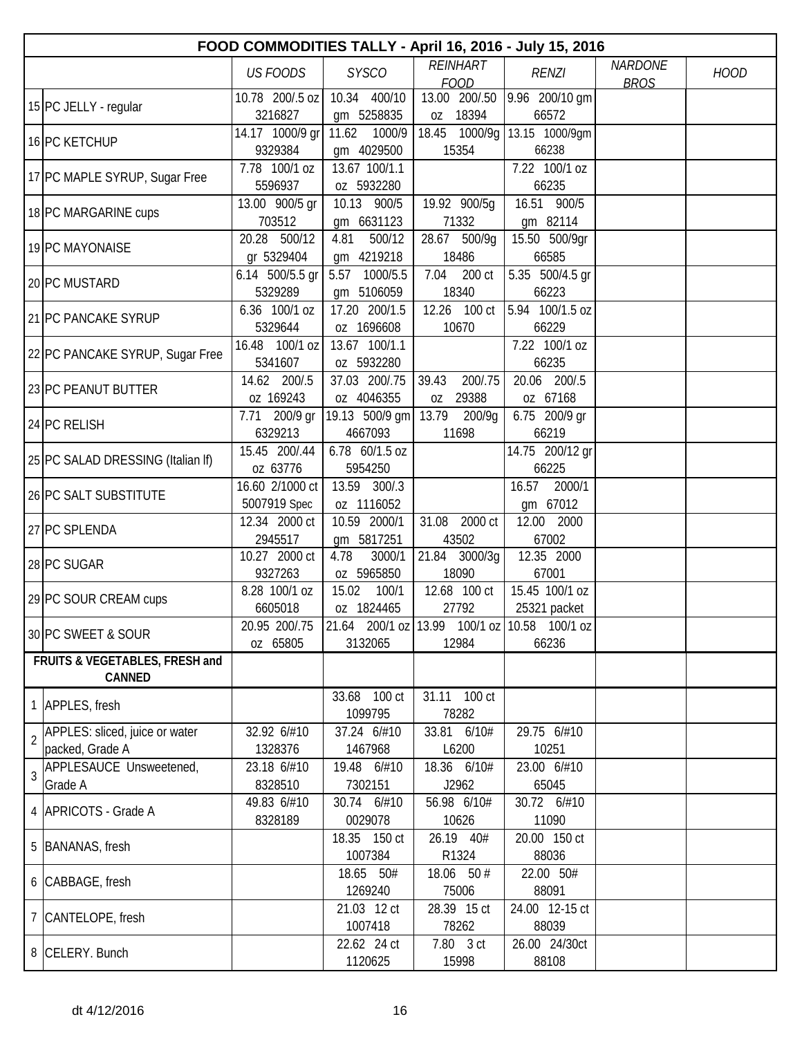|                | FOOD COMMODITIES TALLY - April 16, 2016 - July 15, 2016 |                                 |                         |                                |                                                                                              |                               |             |  |  |
|----------------|---------------------------------------------------------|---------------------------------|-------------------------|--------------------------------|----------------------------------------------------------------------------------------------|-------------------------------|-------------|--|--|
|                |                                                         | <b>US FOODS</b>                 | <b>SYSCO</b>            | <b>REINHART</b><br><b>FOOD</b> | <b>RENZI</b>                                                                                 | <b>NARDONE</b><br><b>BROS</b> | <b>HOOD</b> |  |  |
|                |                                                         | 10.78 200/.5 oz                 | 10.34 400/10            | 13.00 200/.50                  | 9.96 200/10 gm                                                                               |                               |             |  |  |
|                | 15 PC JELLY - regular                                   | 3216827                         | gm 5258835              | 18394<br>0Z                    | 66572                                                                                        |                               |             |  |  |
|                | 16 PC KETCHUP                                           | 14.17 1000/9 gr                 | 11.62<br>1000/9         | 18.45                          | 1000/9g 13.15 1000/9gm                                                                       |                               |             |  |  |
|                |                                                         | 9329384                         | gm 4029500              | 15354                          | 66238                                                                                        |                               |             |  |  |
|                | 17 PC MAPLE SYRUP, Sugar Free                           | 7.78 100/1 oz                   | 13.67 100/1.1           |                                | 7.22 100/1 oz                                                                                |                               |             |  |  |
|                |                                                         | 5596937                         | oz 5932280              |                                | 66235                                                                                        |                               |             |  |  |
|                | 18 PC MARGARINE cups                                    | 13.00 900/5 gr                  | 10.13 900/5             | 19.92 900/5q                   | 16.51 900/5                                                                                  |                               |             |  |  |
|                |                                                         | 703512                          | gm 6631123              | 71332                          | gm 82114                                                                                     |                               |             |  |  |
|                | 19 PC MAYONAISE                                         | 500/12<br>20.28                 | 4.81<br>500/12          | 28.67 500/9g                   | 15.50 500/9gr                                                                                |                               |             |  |  |
|                |                                                         | gr 5329404                      | gm 4219218              | 18486                          | 66585                                                                                        |                               |             |  |  |
|                | 20 PC MUSTARD                                           | 6.14 500/5.5 gr                 | 1000/5.5<br>5.57        | 7.04<br>200 ct                 | 5.35 500/4.5 gr                                                                              |                               |             |  |  |
|                |                                                         | 5329289                         | gm 5106059              | 18340                          | 66223                                                                                        |                               |             |  |  |
|                | 21 PC PANCAKE SYRUP                                     | 6.36 100/1 oz                   | 17.20 200/1.5           | 12.26 100 ct                   | 5.94 100/1.5 oz                                                                              |                               |             |  |  |
|                |                                                         | 5329644                         | oz 1696608              | 10670                          | 66229                                                                                        |                               |             |  |  |
|                | 22 PC PANCAKE SYRUP, Sugar Free                         | 16.48 100/1 oz                  | 13.67 100/1.1           |                                | 7.22 100/1 oz                                                                                |                               |             |  |  |
|                |                                                         | 5341607                         | oz 5932280              |                                | 66235                                                                                        |                               |             |  |  |
|                | 23 PC PEANUT BUTTER                                     | 14.62 200/.5                    | 37.03 200/.75           | 200/.75<br>39.43               | 20.06 200/.5                                                                                 |                               |             |  |  |
|                |                                                         | oz 169243                       | oz 4046355              | 29388<br>0Z                    | oz 67168                                                                                     |                               |             |  |  |
|                | 24 PC RELISH                                            | 7.71 200/9 gr                   | 19.13 500/9 gm          | 13.79<br>200/9g                | 6.75 200/9 gr                                                                                |                               |             |  |  |
|                |                                                         | 6329213                         | 4667093                 | 11698                          | 66219                                                                                        |                               |             |  |  |
|                | 25 PC SALAD DRESSING (Italian If)                       | 15.45 200/.44                   | 6.78 60/1.5 oz          |                                | 14.75 200/12 gr                                                                              |                               |             |  |  |
|                |                                                         | oz 63776                        | 5954250<br>13.59 300/.3 |                                | 66225                                                                                        |                               |             |  |  |
|                | 26 PC SALT SUBSTITUTE                                   | 16.60 2/1000 ct<br>5007919 Spec | oz 1116052              |                                | 16.57<br>2000/1<br>gm 67012                                                                  |                               |             |  |  |
|                |                                                         | 12.34 2000 ct                   | 10.59 2000/1            | 31.08<br>2000 ct               | 12.00 2000                                                                                   |                               |             |  |  |
|                | 27 PC SPLENDA                                           | 2945517                         | gm 5817251              | 43502                          | 67002                                                                                        |                               |             |  |  |
|                |                                                         | 10.27 2000 ct                   | 4.78<br>3000/1          | 21.84<br>3000/3g               | 12.35 2000                                                                                   |                               |             |  |  |
|                | 28 PC SUGAR                                             | 9327263                         | oz 5965850              | 18090                          | 67001                                                                                        |                               |             |  |  |
|                |                                                         | 8.28 100/1 oz                   | 15.02<br>100/1          | 12.68 100 ct                   | 15.45 100/1 oz                                                                               |                               |             |  |  |
|                | 29 PC SOUR CREAM cups                                   | 6605018                         | oz 1824465              | 27792                          | 25321 packet                                                                                 |                               |             |  |  |
|                |                                                         | 20.95 200/.75                   |                         |                                | $\begin{bmatrix} 21.64 & 200/1 & 0Z & 13.99 & 100/1 & 0Z & 10.58 & 100/1 & 0Z \end{bmatrix}$ |                               |             |  |  |
|                | 30 PC SWEET & SOUR                                      | oz 65805                        | 3132065                 | 12984                          | 66236                                                                                        |                               |             |  |  |
|                | FRUITS & VEGETABLES, FRESH and                          |                                 |                         |                                |                                                                                              |                               |             |  |  |
|                | CANNED                                                  |                                 |                         |                                |                                                                                              |                               |             |  |  |
|                | 1 APPLES, fresh                                         |                                 | 33.68 100 ct            | 31.11 100 ct                   |                                                                                              |                               |             |  |  |
|                |                                                         |                                 | 1099795                 | 78282                          |                                                                                              |                               |             |  |  |
| $\overline{2}$ | APPLES: sliced, juice or water                          | 32.92 6/#10                     | 37.24 6/#10             | 33.81 6/10#                    | 29.75 6/#10                                                                                  |                               |             |  |  |
|                | packed, Grade A                                         | 1328376                         | 1467968                 | L6200                          | 10251                                                                                        |                               |             |  |  |
| 3              | APPLESAUCE Unsweetened,                                 | 23.18 6/#10                     | 19.48 6/#10             | 18.36 6/10#                    | 23.00 6/#10                                                                                  |                               |             |  |  |
|                | Grade A                                                 | 8328510                         | 7302151                 | J2962                          | 65045                                                                                        |                               |             |  |  |
|                | 4 APRICOTS - Grade A                                    | 49.83 6/#10                     | 30.74 6/#10             | 56.98 6/10#                    | 30.72 6/#10                                                                                  |                               |             |  |  |
|                |                                                         | 8328189                         | 0029078<br>18.35 150 ct | 10626<br>26.19 40#             | 11090<br>20.00 150 ct                                                                        |                               |             |  |  |
|                | 5 BANANAS, fresh                                        |                                 | 1007384                 | R1324                          | 88036                                                                                        |                               |             |  |  |
|                |                                                         |                                 | 18.65 50#               | 18.06 50 #                     | 22.00 50#                                                                                    |                               |             |  |  |
|                | 6 CABBAGE, fresh                                        |                                 | 1269240                 | 75006                          | 88091                                                                                        |                               |             |  |  |
|                |                                                         |                                 | 21.03 12 ct             | 28.39 15 ct                    | 24.00 12-15 ct                                                                               |                               |             |  |  |
|                | 7 CANTELOPE, fresh                                      |                                 | 1007418                 | 78262                          | 88039                                                                                        |                               |             |  |  |
|                |                                                         |                                 | 22.62 24 ct             | 7.80 3 ct                      | 26.00 24/30ct                                                                                |                               |             |  |  |
|                | 8 CELERY. Bunch                                         |                                 | 1120625                 | 15998                          | 88108                                                                                        |                               |             |  |  |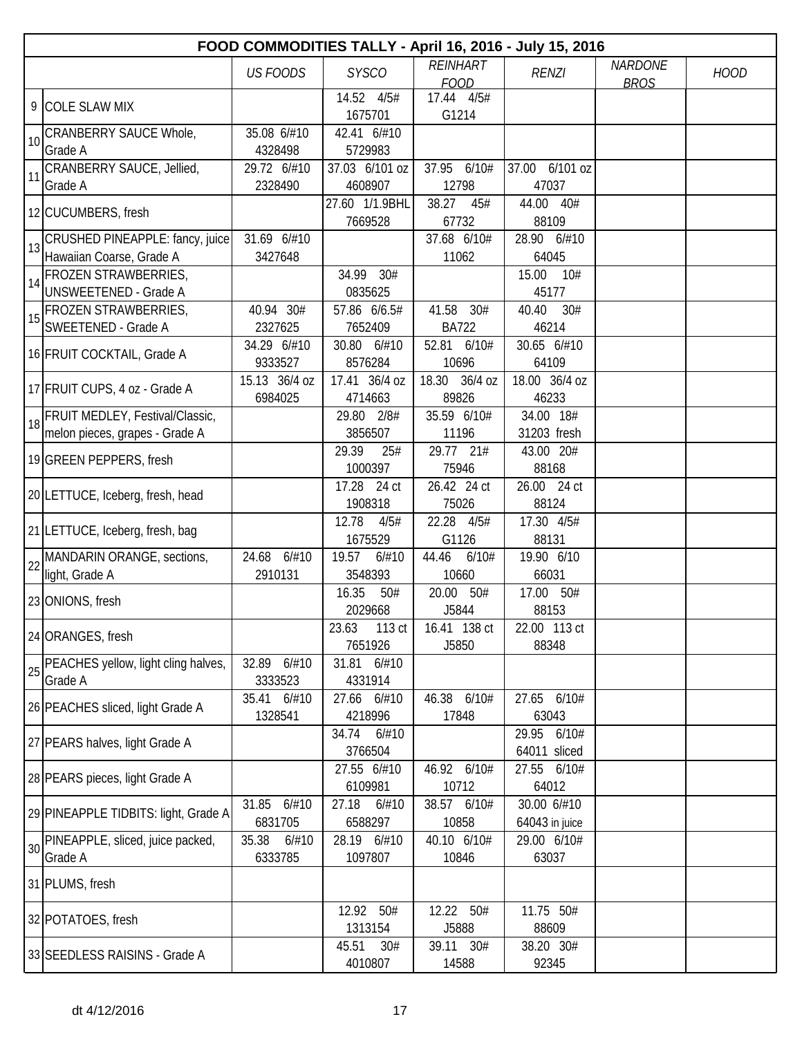|    | FOOD COMMODITIES TALLY - April 16, 2016 - July 15, 2016              |                           |                            |                                |                                |                               |             |  |  |  |
|----|----------------------------------------------------------------------|---------------------------|----------------------------|--------------------------------|--------------------------------|-------------------------------|-------------|--|--|--|
|    |                                                                      | <b>US FOODS</b>           | <b>SYSCO</b>               | <b>REINHART</b><br><b>FOOD</b> | <b>RENZI</b>                   | <b>NARDONE</b><br><b>BROS</b> | <b>HOOD</b> |  |  |  |
|    | 9 COLE SLAW MIX                                                      |                           | 14.52 4/5#<br>1675701      | 17.44 4/5#<br>G1214            |                                |                               |             |  |  |  |
| 10 | CRANBERRY SAUCE Whole,<br>Grade A                                    | 35.08 6/#10<br>4328498    | 42.41 6/#10<br>5729983     |                                |                                |                               |             |  |  |  |
| 11 | CRANBERRY SAUCE, Jellied,<br>Grade A                                 | 29.72 6/#10<br>2328490    | 37.03 6/101 oz<br>4608907  | 37.95<br>6/10#<br>12798        | 37.00 6/101 oz<br>47037        |                               |             |  |  |  |
|    | 12 CUCUMBERS, fresh                                                  |                           | 27.60 1/1.9BHL<br>7669528  | 38.27<br>45#<br>67732          | 44.00 40#<br>88109             |                               |             |  |  |  |
| 13 | CRUSHED PINEAPPLE: fancy, juice<br>Hawaiian Coarse, Grade A          | 31.69 6/#10<br>3427648    |                            | 37.68 6/10#<br>11062           | 28.90 6/#10<br>64045           |                               |             |  |  |  |
| 14 | FROZEN STRAWBERRIES,<br>UNSWEETENED - Grade A                        |                           | 34.99 30#<br>0835625       |                                | 15.00<br>10#<br>45177          |                               |             |  |  |  |
| 15 | <b>FROZEN STRAWBERRIES,</b><br>SWEETENED - Grade A                   | 40.94 30#<br>2327625      | 57.86 6/6.5#<br>7652409    | 41.58 30#<br><b>BA722</b>      | 40.40<br>30#<br>46214          |                               |             |  |  |  |
|    | 16 FRUIT COCKTAIL, Grade A                                           | 34.29 6/#10<br>9333527    | 30.80 6/#10<br>8576284     | 52.81 6/10#<br>10696           | 30.65 6/#10<br>64109           |                               |             |  |  |  |
|    | 17 FRUIT CUPS, 4 oz - Grade A                                        | 15.13 36/4 oz<br>6984025  | 17.41 36/4 oz<br>4714663   | 18.30 36/4 oz<br>89826         | 18.00 36/4 oz<br>46233         |                               |             |  |  |  |
|    | 18 FRUIT MEDLEY, Festival/Classic,<br>melon pieces, grapes - Grade A |                           | 29.80 2/8#<br>3856507      | 35.59 6/10#<br>11196           | 34.00 18#<br>31203 fresh       |                               |             |  |  |  |
|    | 19 GREEN PEPPERS, fresh                                              |                           | 29.39<br>25#<br>1000397    | 29.77 21#<br>75946             | 43.00 20#<br>88168             |                               |             |  |  |  |
|    | 20 LETTUCE, Iceberg, fresh, head                                     |                           | 17.28<br>24 ct<br>1908318  | 26.42 24 ct<br>75026           | 26.00 24 ct<br>88124           |                               |             |  |  |  |
|    | 21 LETTUCE, Iceberg, fresh, bag                                      |                           | 12.78<br>4/5#<br>1675529   | 22.28<br>4/5#<br>G1126         | 17.30 4/5#<br>88131            |                               |             |  |  |  |
|    | 22 MANDARIN ORANGE, sections,<br>light, Grade A                      | 24.68 6/#10<br>2910131    | 19.57<br>6/#10<br>3548393  | 44.46<br>6/10#<br>10660        | 19.90 6/10<br>66031            |                               |             |  |  |  |
|    | 23 ONIONS, fresh                                                     |                           | 16.35<br>50#<br>2029668    | 20.00<br>50#<br>J5844          | 17.00 50#<br>88153             |                               |             |  |  |  |
|    | 24 ORANGES, fresh                                                    |                           | 113 ct<br>23.63<br>7651926 | 16.41 138 ct<br>J5850          | 22.00 113 ct<br>88348          |                               |             |  |  |  |
| 25 | PEACHES yellow, light cling halves,<br>Grade A                       | 32.89 6/#10<br>3333523    | 31.81 6/#10<br>4331914     |                                |                                |                               |             |  |  |  |
|    | 26 PEACHES sliced, light Grade A                                     | 35.41 6/#10<br>1328541    | 27.66 6/#10<br>4218996     | 46.38 6/10#<br>17848           | 27.65 6/10#<br>63043           |                               |             |  |  |  |
|    | 27 PEARS halves, light Grade A                                       |                           | 34.74<br>6/#10<br>3766504  |                                | 29.95<br>6/10#<br>64011 sliced |                               |             |  |  |  |
|    | 28 PEARS pieces, light Grade A                                       |                           | 27.55 6/#10<br>6109981     | 46.92 6/10#<br>10712           | 27.55 6/10#<br>64012           |                               |             |  |  |  |
|    | 29 PINEAPPLE TIDBITS: light, Grade A                                 | 31.85 6/#10<br>6831705    | 27.18<br>6/#10<br>6588297  | 38.57 6/10#<br>10858           | 30.00 6/#10<br>64043 in juice  |                               |             |  |  |  |
| 30 | PINEAPPLE, sliced, juice packed,<br>Grade A                          | 35.38<br>6/#10<br>6333785 | 28.19 6/#10<br>1097807     | 40.10 6/10#<br>10846           | 29.00 6/10#<br>63037           |                               |             |  |  |  |
|    | 31 PLUMS, fresh                                                      |                           |                            |                                |                                |                               |             |  |  |  |
|    | 32 POTATOES, fresh                                                   |                           | 12.92 50#<br>1313154       | 12.22 50#<br>J5888             | 11.75 50#<br>88609             |                               |             |  |  |  |
|    | 33 SEEDLESS RAISINS - Grade A                                        |                           | 45.51<br>30#<br>4010807    | 39.11 30#<br>14588             | 38.20 30#<br>92345             |                               |             |  |  |  |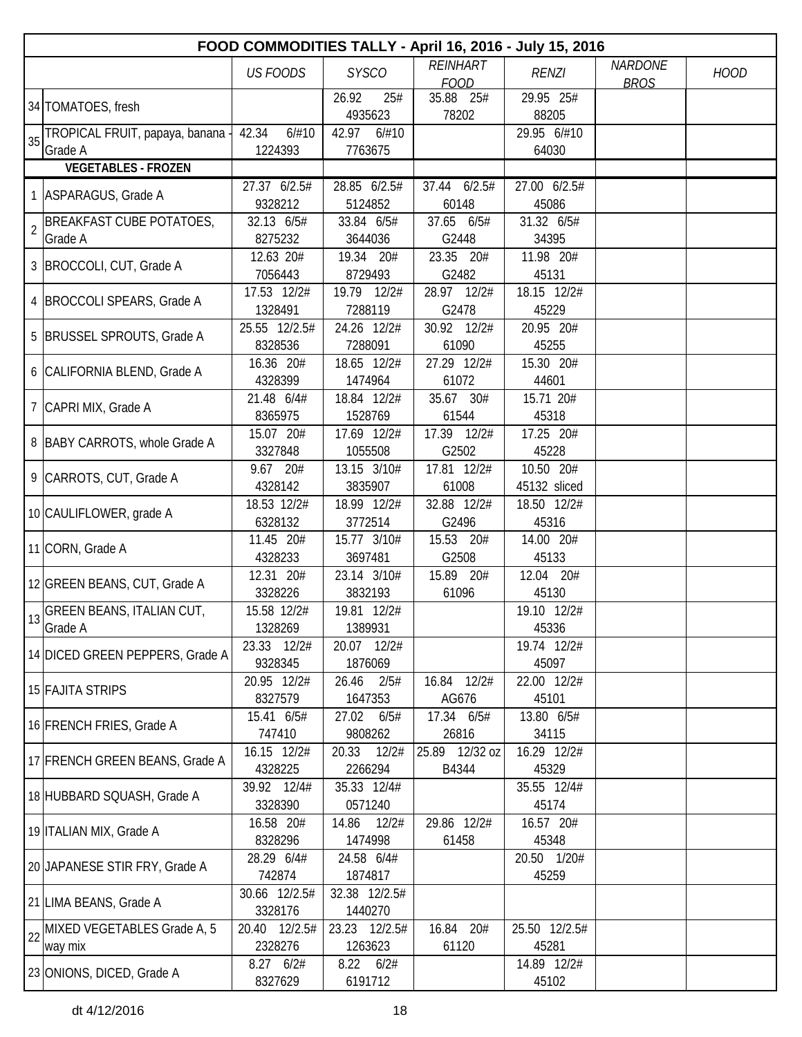|                | FOOD COMMODITIES TALLY - April 16, 2016 - July 15, 2016 |                      |                         |                    |                    |                |             |  |  |  |
|----------------|---------------------------------------------------------|----------------------|-------------------------|--------------------|--------------------|----------------|-------------|--|--|--|
|                |                                                         | <b>US FOODS</b>      | <b>SYSCO</b>            | <b>REINHART</b>    | <b>RENZI</b>       | <b>NARDONE</b> | <b>HOOD</b> |  |  |  |
|                |                                                         |                      |                         | <b>FOOD</b>        |                    | <b>BROS</b>    |             |  |  |  |
|                | 34 TOMATOES, fresh                                      |                      | 26.92<br>25#<br>4935623 | 35.88 25#<br>78202 | 29.95 25#<br>88205 |                |             |  |  |  |
|                | TROPICAL FRUIT, papaya, banana                          | 42.34<br>6/#10       | 42.97<br>6/#10          |                    | 29.95 6/#10        |                |             |  |  |  |
| 35             | Grade A                                                 | 1224393              | 7763675                 |                    | 64030              |                |             |  |  |  |
|                | <b>VEGETABLES - FROZEN</b>                              |                      |                         |                    |                    |                |             |  |  |  |
|                |                                                         | 27.37 6/2.5#         | 28.85 6/2.5#            | 6/2.5#<br>37.44    | 27.00 6/2.5#       |                |             |  |  |  |
|                | 1 ASPARAGUS, Grade A                                    | 9328212              | 5124852                 | 60148              | 45086              |                |             |  |  |  |
|                | <b>BREAKFAST CUBE POTATOES,</b>                         | 32.13 6/5#           | 33.84 6/5#              | 37.65<br>6/5#      | 31.32 6/5#         |                |             |  |  |  |
| $\overline{2}$ | Grade A                                                 | 8275232              | 3644036                 | G2448              | 34395              |                |             |  |  |  |
|                |                                                         | 12.63 20#            | 19.34<br>20#            | 23.35<br>20#       | 11.98 20#          |                |             |  |  |  |
|                | 3 BROCCOLI, CUT, Grade A                                | 7056443              | 8729493                 | G2482              | 45131              |                |             |  |  |  |
|                | 4 BROCCOLI SPEARS, Grade A                              | 17.53 12/2#          | 19.79 12/2#             | 28.97 12/2#        | 18.15 12/2#        |                |             |  |  |  |
|                |                                                         | 1328491              | 7288119                 | G2478              | 45229              |                |             |  |  |  |
|                | 5 BRUSSEL SPROUTS, Grade A                              | 25.55 12/2.5#        | 24.26 12/2#             | 30.92 12/2#        | 20.95 20#          |                |             |  |  |  |
|                |                                                         | 8328536              | 7288091                 | 61090              | 45255              |                |             |  |  |  |
|                | 6 CALIFORNIA BLEND, Grade A                             | 16.36 20#            | 18.65 12/2#             | 27.29 12/2#        | 15.30 20#          |                |             |  |  |  |
|                |                                                         | 4328399              | 1474964                 | 61072              | 44601              |                |             |  |  |  |
|                | 7 CAPRI MIX, Grade A                                    | 21.48 6/4#           | 18.84 12/2#             | 35.67<br>30#       | 15.71 20#          |                |             |  |  |  |
|                |                                                         | 8365975              | 1528769                 | 61544              | 45318              |                |             |  |  |  |
|                | 8 BABY CARROTS, whole Grade A                           | 15.07 20#            | 17.69 12/2#             | 17.39 12/2#        | 17.25 20#          |                |             |  |  |  |
|                |                                                         | 3327848              | 1055508                 | G2502              | 45228              |                |             |  |  |  |
|                | 9 CARROTS, CUT, Grade A                                 | 9.67 20#             | 13.15 3/10#             | 17.81 12/2#        | 10.50 20#          |                |             |  |  |  |
|                |                                                         | 4328142              | 3835907                 | 61008              | 45132 sliced       |                |             |  |  |  |
|                | 10 CAULIFLOWER, grade A                                 | 18.53 12/2#          | 18.99 12/2#             | 32.88 12/2#        | 18.50 12/2#        |                |             |  |  |  |
|                |                                                         | 6328132              | 3772514                 | G2496              | 45316              |                |             |  |  |  |
|                | 11 CORN, Grade A                                        | 11.45 20#            | 15.77 3/10#             | 15.53 20#          | 14.00 20#          |                |             |  |  |  |
|                |                                                         | 4328233              | 3697481                 | G2508              | 45133              |                |             |  |  |  |
|                | 12 GREEN BEANS, CUT, Grade A                            | 12.31 20#<br>3328226 | 23.14 3/10#<br>3832193  | 15.89 20#<br>61096 | 12.04 20#<br>45130 |                |             |  |  |  |
|                |                                                         | 15.58 12/2#          | 19.81 12/2#             |                    | 19.10 12/2#        |                |             |  |  |  |
|                | 13 GREEN BEANS, ITALIAN CUT,<br>Grade A                 | 1328269              | 1389931                 |                    | 45336              |                |             |  |  |  |
|                |                                                         | 23.33 12/2#          | 20.07 12/2#             |                    | 19.74 12/2#        |                |             |  |  |  |
|                | 14 DICED GREEN PEPPERS, Grade A                         | 9328345              | 1876069                 |                    | 45097              |                |             |  |  |  |
|                |                                                         | 20.95 12/2#          | 26.46<br>2/5#           | 16.84 12/2#        | 22.00 12/2#        |                |             |  |  |  |
|                | <b>15 FAJITA STRIPS</b>                                 | 8327579              | 1647353                 | AG676              | 45101              |                |             |  |  |  |
|                |                                                         | 15.41 6/5#           | 27.02<br>6/5#           | 17.34 6/5#         | 13.80 6/5#         |                |             |  |  |  |
|                | 16 FRENCH FRIES, Grade A                                | 747410               | 9808262                 | 26816              | 34115              |                |             |  |  |  |
|                |                                                         | 16.15 12/2#          | 20.33<br>12/2#          | 25.89 12/32 oz     | 16.29 12/2#        |                |             |  |  |  |
|                | 17 FRENCH GREEN BEANS, Grade A                          | 4328225              | 2266294                 | B4344              | 45329              |                |             |  |  |  |
|                |                                                         | 39.92 12/4#          | 35.33 12/4#             |                    | 35.55 12/4#        |                |             |  |  |  |
|                | 18 HUBBARD SQUASH, Grade A                              | 3328390              | 0571240                 |                    | 45174              |                |             |  |  |  |
|                |                                                         | 16.58 20#            | 14.86<br>12/2#          | 29.86 12/2#        | 16.57 20#          |                |             |  |  |  |
|                | 19 ITALIAN MIX, Grade A                                 | 8328296              | 1474998                 | 61458              | 45348              |                |             |  |  |  |
|                | 20 JAPANESE STIR FRY, Grade A                           | 28.29 6/4#           | 24.58 6/4#              |                    | 20.50 1/20#        |                |             |  |  |  |
|                |                                                         | 742874               | 1874817                 |                    | 45259              |                |             |  |  |  |
|                | 21 LIMA BEANS, Grade A                                  | 30.66 12/2.5#        | 32.38 12/2.5#           |                    |                    |                |             |  |  |  |
|                |                                                         | 3328176              | 1440270                 |                    |                    |                |             |  |  |  |
| 22             | MIXED VEGETABLES Grade A, 5                             | 20.40 12/2.5#        | 23.23 12/2.5#           | 16.84 20#          | 25.50 12/2.5#      |                |             |  |  |  |
|                | way mix                                                 | 2328276              | 1263623                 | 61120              | 45281              |                |             |  |  |  |
|                | 23 ONIONS, DICED, Grade A                               | 8.27 6/2#            | $8.22$ $6/2#$           |                    | 14.89 12/2#        |                |             |  |  |  |
|                |                                                         | 8327629              | 6191712                 |                    | 45102              |                |             |  |  |  |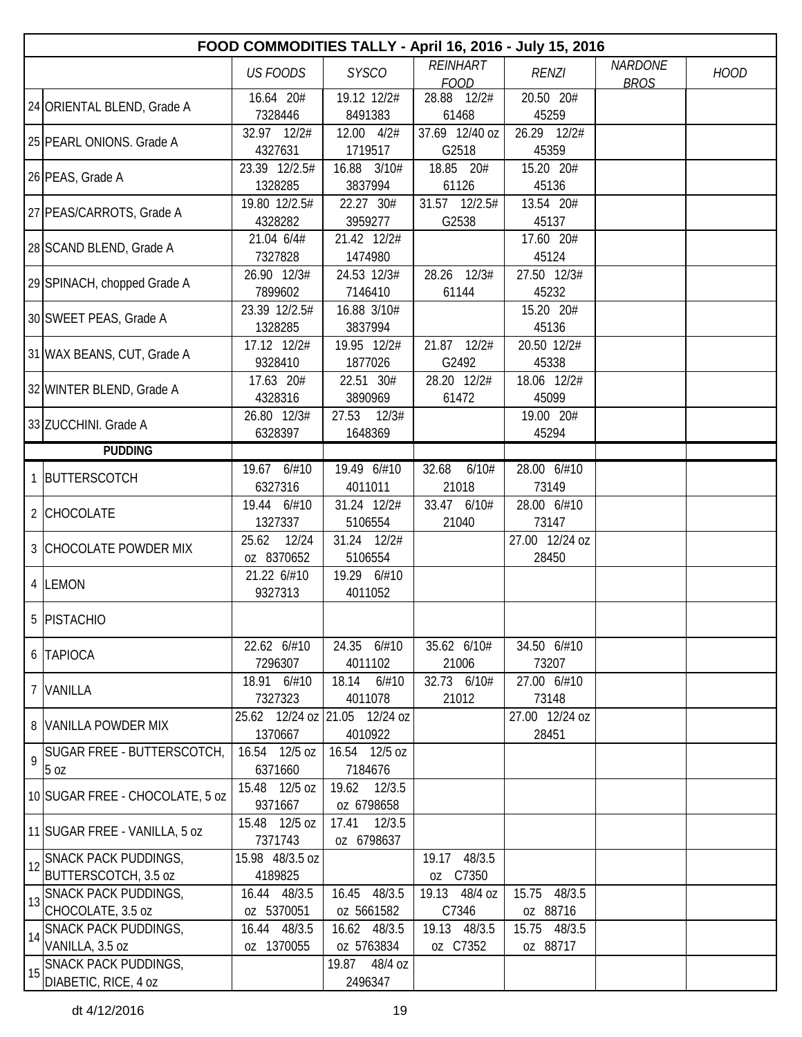|    | FOOD COMMODITIES TALLY - April 16, 2016 - July 15, 2016 |                          |                               |                      |                      |                |             |  |  |
|----|---------------------------------------------------------|--------------------------|-------------------------------|----------------------|----------------------|----------------|-------------|--|--|
|    |                                                         | <b>US FOODS</b>          | <b>SYSCO</b>                  | <b>REINHART</b>      | <b>RENZI</b>         | <b>NARDONE</b> | <b>HOOD</b> |  |  |
|    |                                                         |                          |                               | <b>FOOD</b>          |                      | <b>BROS</b>    |             |  |  |
|    | 24 ORIENTAL BLEND, Grade A                              | 16.64 20#<br>7328446     | 19.12 12/2#<br>8491383        | 28.88 12/2#<br>61468 | 20.50 20#<br>45259   |                |             |  |  |
|    |                                                         | 32.97 12/2#              | 12.00 4/2#                    | 37.69 12/40 oz       | 26.29 12/2#          |                |             |  |  |
|    | 25 PEARL ONIONS. Grade A                                | 4327631                  | 1719517                       | G2518                | 45359                |                |             |  |  |
|    |                                                         | 23.39 12/2.5#            | 16.88 3/10#                   | 18.85 20#            | 15.20 20#            |                |             |  |  |
|    | 26 PEAS, Grade A                                        | 1328285                  | 3837994                       | 61126                | 45136                |                |             |  |  |
|    |                                                         | 19.80 12/2.5#            | 22.27 30#                     | 31.57 12/2.5#        | 13.54 20#            |                |             |  |  |
|    | 27 PEAS/CARROTS, Grade A                                | 4328282                  | 3959277                       | G2538                | 45137                |                |             |  |  |
|    | 28 SCAND BLEND, Grade A                                 | 21.04 6/4#               | 21.42 12/2#                   |                      | 17.60 20#            |                |             |  |  |
|    |                                                         | 7327828                  | 1474980                       |                      | 45124                |                |             |  |  |
|    | 29 SPINACH, chopped Grade A                             | 26.90 12/3#              | 24.53 12/3#                   | 28.26 12/3#          | 27.50 12/3#          |                |             |  |  |
|    |                                                         | 7899602                  | 7146410                       | 61144                | 45232                |                |             |  |  |
|    | 30 SWEET PEAS, Grade A                                  | 23.39 12/2.5#            | 16.88 3/10#                   |                      | 15.20 20#            |                |             |  |  |
|    |                                                         | 1328285                  | 3837994                       |                      | 45136                |                |             |  |  |
|    | 31 WAX BEANS, CUT, Grade A                              | 17.12 12/2#<br>9328410   | 19.95 12/2#<br>1877026        | 21.87 12/2#<br>G2492 | 20.50 12/2#<br>45338 |                |             |  |  |
|    |                                                         | 17.63 20#                | 22.51 30#                     | 28.20 12/2#          | 18.06 12/2#          |                |             |  |  |
|    | 32 WINTER BLEND, Grade A                                | 4328316                  | 3890969                       | 61472                | 45099                |                |             |  |  |
|    |                                                         | 26.80 12/3#              | 27.53 12/3#                   |                      | 19.00 20#            |                |             |  |  |
|    | 33 ZUCCHINI. Grade A                                    | 6328397                  | 1648369                       |                      | 45294                |                |             |  |  |
|    | <b>PUDDING</b>                                          |                          |                               |                      |                      |                |             |  |  |
|    |                                                         | 19.67 6/#10              | 19.49 6/#10                   | 32.68<br>6/10#       | 28.00 6/#10          |                |             |  |  |
|    | 1 BUTTERSCOTCH                                          | 6327316                  | 4011011                       | 21018                | 73149                |                |             |  |  |
|    | 2 CHOCOLATE                                             | 19.44 6/#10              | 31.24 12/2#                   | 33.47 6/10#          | 28.00 6/#10          |                |             |  |  |
|    |                                                         | 1327337                  | 5106554                       | 21040                | 73147                |                |             |  |  |
|    | <b>3 CHOCOLATE POWDER MIX</b>                           | 25.62 12/24              | 31.24 12/2#                   |                      | 27.00 12/24 oz       |                |             |  |  |
|    |                                                         | oz 8370652               | 5106554                       |                      | 28450                |                |             |  |  |
|    | 4 LEMON                                                 | 21.22 6/#10              | 19.29 6/#10                   |                      |                      |                |             |  |  |
|    |                                                         | 9327313                  | 4011052                       |                      |                      |                |             |  |  |
|    | 5 PISTACHIO                                             |                          |                               |                      |                      |                |             |  |  |
|    |                                                         | 22.62 6/#10              | 24.35 6/#10                   | 35.62 6/10#          | 34.50 6/#10          |                |             |  |  |
|    | 6 TAPIOCA                                               | 7296307                  | 4011102                       | 21006                | 73207                |                |             |  |  |
|    |                                                         | 18.91 6/#10              | 18.14<br>6/#10                | 32.73 6/10#          | 27.00 6/#10          |                |             |  |  |
|    | 7 VANILLA                                               | 7327323                  | 4011078                       | 21012                | 73148                |                |             |  |  |
|    | 8 VANILLA POWDER MIX                                    |                          | 25.62 12/24 oz 21.05 12/24 oz |                      | 27.00 12/24 oz       |                |             |  |  |
|    |                                                         | 1370667                  | 4010922                       |                      | 28451                |                |             |  |  |
| 9  | <b>SUGAR FREE - BUTTERSCOTCH,</b>                       | 16.54 12/5 oz            | 16.54 12/5 oz                 |                      |                      |                |             |  |  |
|    | 5 oz                                                    | 6371660                  | 7184676                       |                      |                      |                |             |  |  |
|    | 10 SUGAR FREE - CHOCOLATE, 5 oz                         | 15.48 12/5 oz            | 19.62 12/3.5                  |                      |                      |                |             |  |  |
|    |                                                         | 9371667<br>15.48 12/5 oz | oz 6798658<br>17.41<br>12/3.5 |                      |                      |                |             |  |  |
|    | 11 SUGAR FREE - VANILLA, 5 oz                           | 7371743                  | oz 6798637                    |                      |                      |                |             |  |  |
|    | <b>SNACK PACK PUDDINGS,</b>                             | 15.98 48/3.5 oz          |                               | 19.17 48/3.5         |                      |                |             |  |  |
| 12 | BUTTERSCOTCH, 3.5 oz                                    | 4189825                  |                               | C7350<br>OZ          |                      |                |             |  |  |
|    | 13 SNACK PACK PUDDINGS,                                 | 16.44 48/3.5             | 48/3.5<br>16.45               | 19.13 48/4 oz        | 15.75<br>48/3.5      |                |             |  |  |
|    | CHOCOLATE, 3.5 oz                                       | oz 5370051               | oz 5661582                    | C7346                | oz 88716             |                |             |  |  |
| 14 | <b>SNACK PACK PUDDINGS,</b>                             | 16.44 48/3.5             | 16.62 48/3.5                  | 19.13 48/3.5         | 15.75 48/3.5         |                |             |  |  |
|    | VANILLA, 3.5 oz                                         | oz 1370055               | oz 5763834                    | oz C7352             | oz 88717             |                |             |  |  |
| 15 | <b>SNACK PACK PUDDINGS,</b>                             |                          | 19.87<br>48/4 oz              |                      |                      |                |             |  |  |
|    | DIABETIC, RICE, 4 oz                                    |                          | 2496347                       |                      |                      |                |             |  |  |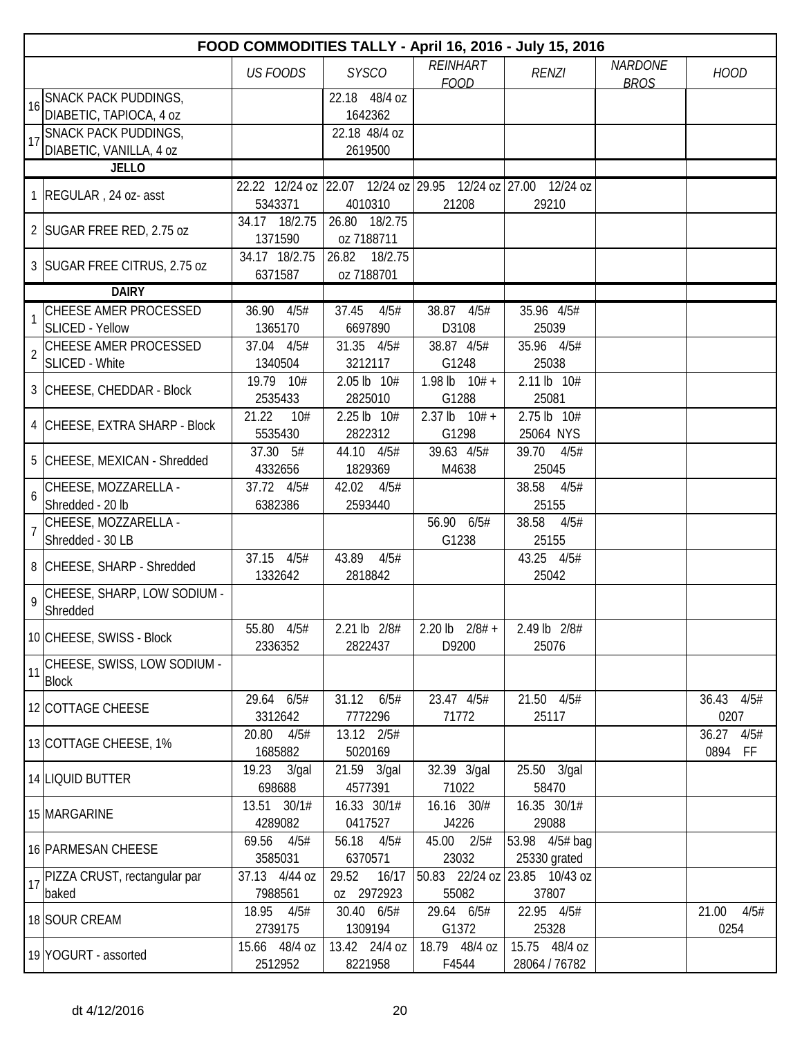|                | FOOD COMMODITIES TALLY - April 16, 2016 - July 15, 2016 |                          |                                |                                                             |                               |                               |                          |  |  |  |
|----------------|---------------------------------------------------------|--------------------------|--------------------------------|-------------------------------------------------------------|-------------------------------|-------------------------------|--------------------------|--|--|--|
|                |                                                         | <b>US FOODS</b>          | <b>SYSCO</b>                   | <b>REINHART</b><br><b>FOOD</b>                              | <b>RENZI</b>                  | <b>NARDONE</b><br><b>BROS</b> | <b>HOOD</b>              |  |  |  |
| 16             | <b>SNACK PACK PUDDINGS,</b>                             |                          | 22.18 48/4 oz                  |                                                             |                               |                               |                          |  |  |  |
|                | DIABETIC, TAPIOCA, 4 oz                                 |                          | 1642362                        |                                                             |                               |                               |                          |  |  |  |
| 17             | <b>SNACK PACK PUDDINGS,</b>                             |                          | 22.18 48/4 oz                  |                                                             |                               |                               |                          |  |  |  |
|                | DIABETIC, VANILLA, 4 oz                                 |                          | 2619500                        |                                                             |                               |                               |                          |  |  |  |
|                | <b>JELLO</b>                                            |                          |                                |                                                             |                               |                               |                          |  |  |  |
|                | 1 REGULAR, 24 oz- asst                                  |                          |                                | 22.22 12/24 oz 22.07 12/24 oz 29.95 12/24 oz 27.00 12/24 oz |                               |                               |                          |  |  |  |
|                |                                                         | 5343371                  | 4010310                        | 21208                                                       | 29210                         |                               |                          |  |  |  |
|                | 2 SUGAR FREE RED, 2.75 oz                               | 34.17 18/2.75            | 26.80 18/2.75                  |                                                             |                               |                               |                          |  |  |  |
|                |                                                         | 1371590                  | oz 7188711                     |                                                             |                               |                               |                          |  |  |  |
|                | 3 SUGAR FREE CITRUS, 2.75 oz                            | 34.17 18/2.75<br>6371587 | 26.82<br>18/2.75<br>oz 7188701 |                                                             |                               |                               |                          |  |  |  |
|                | <b>DAIRY</b>                                            |                          |                                |                                                             |                               |                               |                          |  |  |  |
|                | CHEESE AMER PROCESSED                                   | 36.90 4/5#               | 37.45<br>4/5#                  | 38.87 4/5#                                                  | 35.96 4/5#                    |                               |                          |  |  |  |
| 1              | <b>SLICED - Yellow</b>                                  | 1365170                  | 6697890                        | D3108                                                       | 25039                         |                               |                          |  |  |  |
|                | CHEESE AMER PROCESSED                                   | 37.04 4/5#               | 31.35 4/5#                     | 38.87 4/5#                                                  | 35.96 4/5#                    |                               |                          |  |  |  |
| $\overline{2}$ | <b>SLICED - White</b>                                   | 1340504                  | 3212117                        | G1248                                                       | 25038                         |                               |                          |  |  |  |
|                |                                                         | 19.79 10#                | 2.05 lb 10#                    | 1.98 lb $10# +$                                             | 2.11 lb 10#                   |                               |                          |  |  |  |
|                | 3 CHEESE, CHEDDAR - Block                               | 2535433                  | 2825010                        | G1288                                                       | 25081                         |                               |                          |  |  |  |
|                |                                                         | 21.22<br>10#             | 2.25 lb 10#                    | $2.37 \text{ lb}$ $10# +$                                   | 2.75 lb 10#                   |                               |                          |  |  |  |
|                | 4 CHEESE, EXTRA SHARP - Block                           | 5535430                  | 2822312                        | G1298                                                       | 25064 NYS                     |                               |                          |  |  |  |
|                | 5 CHEESE, MEXICAN - Shredded                            | 37.30 5#                 | 44.10 4/5#                     | 39.63 4/5#                                                  | 39.70<br>4/5#                 |                               |                          |  |  |  |
|                |                                                         | 4332656                  | 1829369                        | M4638                                                       | 25045                         |                               |                          |  |  |  |
| 6              | CHEESE, MOZZARELLA -                                    | 37.72 4/5#               | 42.02<br>4/5#                  |                                                             | 38.58<br>4/5#                 |                               |                          |  |  |  |
|                | Shredded - 20 lb                                        | 6382386                  | 2593440                        |                                                             | 25155                         |                               |                          |  |  |  |
|                | CHEESE, MOZZARELLA -                                    |                          |                                | 56.90 6/5#                                                  | 38.58<br>4/5#                 |                               |                          |  |  |  |
|                | Shredded - 30 LB                                        |                          | 43.89                          | G1238                                                       | 25155                         |                               |                          |  |  |  |
|                | 8 CHEESE, SHARP - Shredded                              | 37.15 4/5#<br>1332642    | 4/5#<br>2818842                |                                                             | 43.25 4/5#<br>25042           |                               |                          |  |  |  |
| $\mathsf{Q}$   | CHEESE, SHARP, LOW SODIUM -                             |                          |                                |                                                             |                               |                               |                          |  |  |  |
|                | Shredded                                                |                          |                                |                                                             |                               |                               |                          |  |  |  |
|                | 10 CHEESE, SWISS - Block                                | 55.80 4/5#               | 2.21 lb 2/8#                   | 2.20 lb $2/8#$ +                                            | 2.49 lb 2/8#                  |                               |                          |  |  |  |
|                |                                                         | 2336352                  | 2822437                        | D9200                                                       | 25076                         |                               |                          |  |  |  |
| 11             | CHEESE, SWISS, LOW SODIUM -                             |                          |                                |                                                             |                               |                               |                          |  |  |  |
|                | <b>Block</b>                                            |                          |                                |                                                             |                               |                               |                          |  |  |  |
|                | 12 COTTAGE CHEESE                                       | 29.64 6/5#               | 31.12 6/5#                     | 23.47 4/5#                                                  | 21.50 4/5#                    |                               | 36.43 4/5#               |  |  |  |
|                |                                                         | 3312642                  | 7772296                        | 71772                                                       | 25117                         |                               | 0207                     |  |  |  |
|                | 13 COTTAGE CHEESE, 1%                                   | 20.80<br>4/5#<br>1685882 | 13.12 2/5#<br>5020169          |                                                             |                               |                               | 36.27<br>4/5#<br>0894 FF |  |  |  |
|                |                                                         | 19.23<br>3/gal           | 21.59 3/gal                    | 32.39 3/gal                                                 | 25.50 3/gal                   |                               |                          |  |  |  |
|                | 14 LIQUID BUTTER                                        | 698688                   | 4577391                        | 71022                                                       | 58470                         |                               |                          |  |  |  |
|                |                                                         | 13.51 30/1#              | 16.33 30/1#                    | 16.16 30/#                                                  | 16.35 30/1#                   |                               |                          |  |  |  |
|                | 15 MARGARINE                                            | 4289082                  | 0417527                        | J4226                                                       | 29088                         |                               |                          |  |  |  |
|                |                                                         | 69.56<br>4/5#            | 56.18 4/5#                     | 45.00 2/5#                                                  | 53.98 4/5# bag                |                               |                          |  |  |  |
|                | 16 PARMESAN CHEESE                                      | 3585031                  | 6370571                        | 23032                                                       | 25330 grated                  |                               |                          |  |  |  |
| 17             | PIZZA CRUST, rectangular par                            | 37.13 4/44 oz            | 29.52<br>16/17                 |                                                             | 50.83 22/24 oz 23.85 10/43 oz |                               |                          |  |  |  |
|                | baked                                                   | 7988561                  | 0Z 2972923                     | 55082                                                       | 37807                         |                               |                          |  |  |  |
|                | 18 SOUR CREAM                                           | 18.95<br>4/5#            | 30.40 6/5#                     | 29.64 6/5#                                                  | 22.95 4/5#                    |                               | 4/5#<br>21.00            |  |  |  |
|                |                                                         | 2739175                  | 1309194                        | G1372                                                       | 25328                         |                               | 0254                     |  |  |  |
|                | 19 YOGURT - assorted                                    | 15.66 48/4 oz            | 13.42 24/4 oz                  | 18.79 48/4 oz                                               | 15.75 48/4 oz                 |                               |                          |  |  |  |
|                |                                                         | 2512952                  | 8221958                        | F4544                                                       | 28064 / 76782                 |                               |                          |  |  |  |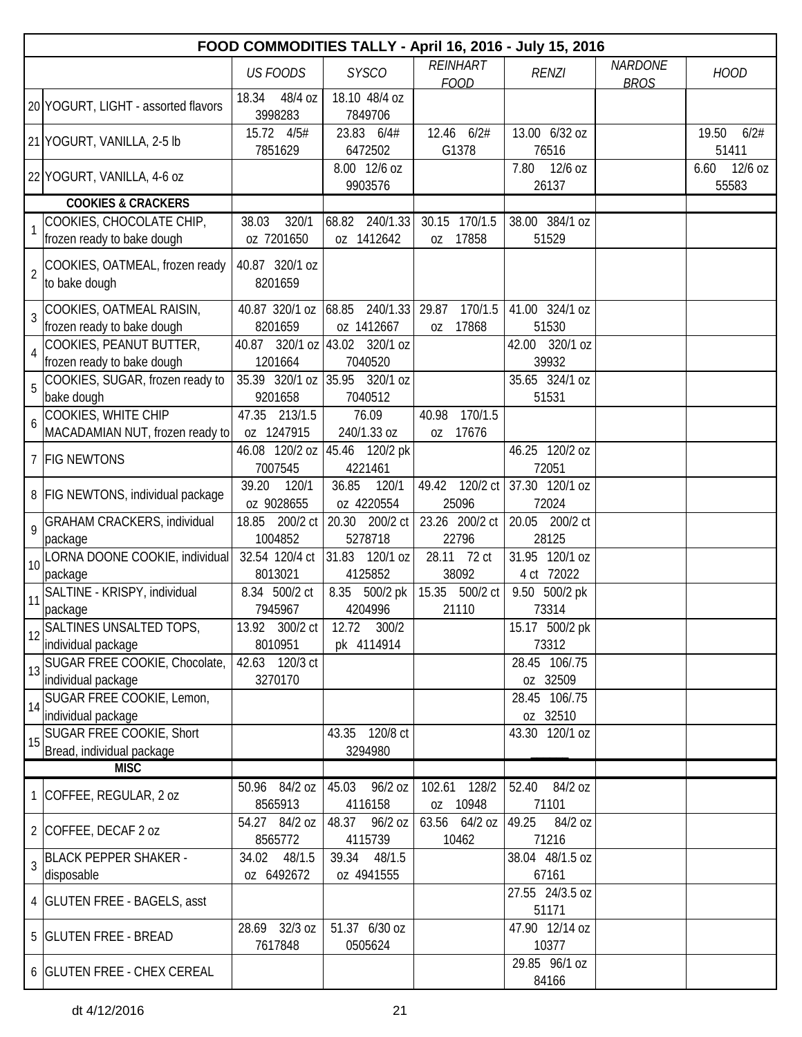|                | FOOD COMMODITIES TALLY - April 16, 2016 - July 15, 2016 |                               |                                            |                                 |                              |                               |                            |  |
|----------------|---------------------------------------------------------|-------------------------------|--------------------------------------------|---------------------------------|------------------------------|-------------------------------|----------------------------|--|
|                |                                                         | <b>US FOODS</b>               | <b>SYSCO</b>                               | REINHART<br><b>FOOD</b>         | <b>RENZI</b>                 | <b>NARDONE</b><br><b>BROS</b> | <b>HOOD</b>                |  |
|                | 20 YOGURT, LIGHT - assorted flavors                     | 18.34<br>48/4 oz<br>3998283   | 18.10 48/4 oz<br>7849706                   |                                 |                              |                               |                            |  |
|                | 21 YOGURT, VANILLA, 2-5 lb                              | 15.72 4/5#<br>7851629         | 23.83 6/4#<br>6472502                      | 12.46 6/2#<br>G1378             | 13.00 6/32 oz<br>76516       |                               | 19.50<br>6/2#<br>51411     |  |
|                | 22 YOGURT, VANILLA, 4-6 oz                              |                               | 8.00 12/6 oz<br>9903576                    |                                 | 12/6 oz<br>7.80<br>26137     |                               | 6.60<br>$12/6$ oz<br>55583 |  |
|                | <b>COOKIES &amp; CRACKERS</b>                           |                               |                                            |                                 |                              |                               |                            |  |
|                | COOKIES, CHOCOLATE CHIP,                                | 320/1<br>38.03                | 240/1.33<br>68.82                          | 30.15 170/1.5                   | 38.00 384/1 oz               |                               |                            |  |
|                | frozen ready to bake dough                              | oz 7201650                    | oz 1412642                                 | 17858<br>0Z                     | 51529                        |                               |                            |  |
| $\overline{2}$ | COOKIES, OATMEAL, frozen ready<br>to bake dough         | 40.87 320/1 oz<br>8201659     |                                            |                                 |                              |                               |                            |  |
| 3              | COOKIES, OATMEAL RAISIN,<br>frozen ready to bake dough  | 40.87 320/1 oz<br>8201659     | 240/1.33<br>68.85<br>oz 1412667            | 29.87<br>170/1.5<br>17868<br>0Z | 41.00 324/1 oz<br>51530      |                               |                            |  |
|                | COOKIES, PEANUT BUTTER,                                 | 40.87 320/1 oz 43.02 320/1 oz |                                            |                                 | 42.00 320/1 oz               |                               |                            |  |
| $\overline{4}$ | frozen ready to bake dough                              | 1201664                       | 7040520                                    |                                 | 39932                        |                               |                            |  |
|                | COOKIES, SUGAR, frozen ready to                         | 35.39 320/1 oz 35.95          | 320/1 oz                                   |                                 | 35.65 324/1 oz               |                               |                            |  |
| 5              | bake dough                                              | 9201658                       | 7040512                                    |                                 | 51531                        |                               |                            |  |
| 6              | COOKIES, WHITE CHIP                                     | 47.35<br>213/1.5              | 76.09                                      | 40.98<br>170/1.5                |                              |                               |                            |  |
|                | MACADAMIAN NUT, frozen ready to                         | oz 1247915                    | 240/1.33 oz                                | 17676<br>0Z                     |                              |                               |                            |  |
|                | 7 FIG NEWTONS                                           | 7007545                       | 46.08 120/2 oz   45.46 120/2 pk<br>4221461 |                                 | 46.25 120/2 oz<br>72051      |                               |                            |  |
|                | 8   FIG NEWTONS, individual package                     | 39.20<br>120/1<br>oz 9028655  | 36.85<br>120/1<br>oz 4220554               | 49.42 120/2 ct<br>25096         | 37.30 120/1 oz<br>72024      |                               |                            |  |
| 9              | <b>GRAHAM CRACKERS, individual</b><br>package           | 18.85<br>200/2 ct<br>1004852  | 20.30 200/2 ct<br>5278718                  | 23.26 200/2 ct<br>22796         | 20.05 200/2 ct<br>28125      |                               |                            |  |
|                | 10 LORNA DOONE COOKIE, individual<br>package            | 32.54 120/4 ct<br>8013021     | 31.83<br>120/1 oz<br>4125852               | 28.11<br>72 ct<br>38092         | 31.95 120/1 oz<br>4 ct 72022 |                               |                            |  |
|                | SALTINE - KRISPY, individual                            | 8.34 500/2 ct                 | 8.35 500/2 pk                              | 15.35<br>500/2 ct               | 9.50 500/2 pk                |                               |                            |  |
| 11             | package                                                 | 7945967                       | 4204996                                    | 21110                           | 73314                        |                               |                            |  |
|                | 12 SALTINES UNSALTED TOPS,                              | 13.92 300/2 ct                | 12.72 300/2                                |                                 | 15.17 500/2 pk               |                               |                            |  |
|                | individual package                                      | 8010951                       | pk 4114914                                 |                                 | 73312                        |                               |                            |  |
|                | 13 SUGAR FREE COOKIE, Chocolate,                        | 42.63 120/3 ct                |                                            |                                 | 28.45 106/.75                |                               |                            |  |
|                | individual package                                      | 3270170                       |                                            |                                 | oz 32509                     |                               |                            |  |
|                | 14 SUGAR FREE COOKIE, Lemon,<br>individual package      |                               |                                            |                                 | 28.45 106/.75<br>oz 32510    |                               |                            |  |
| 15             | SUGAR FREE COOKIE, Short                                |                               | 43.35 120/8 ct                             |                                 | 43.30 120/1 oz               |                               |                            |  |
|                | Bread, individual package<br><b>MISC</b>                |                               | 3294980                                    |                                 |                              |                               |                            |  |
|                |                                                         | 50.96 84/2 oz                 | 96/2 oz<br>45.03                           | 102.61<br>128/2                 | 52.40<br>84/2 oz             |                               |                            |  |
|                | 1 COFFEE, REGULAR, 2 oz                                 | 8565913                       | 4116158                                    | oz 10948                        | 71101                        |                               |                            |  |
|                | 2 COFFEE, DECAF 2 oz                                    | 54.27 84/2 oz<br>8565772      | 48.37<br>96/2 oz<br>4115739                | 63.56 64/2 oz<br>10462          | 49.25<br>84/2 oz<br>71216    |                               |                            |  |
| $\overline{3}$ | <b>BLACK PEPPER SHAKER -</b><br>disposable              | 48/1.5<br>34.02<br>oz 6492672 | 39.34<br>48/1.5<br>oz 4941555              |                                 | 38.04 48/1.5 oz<br>67161     |                               |                            |  |
|                | 4   GLUTEN FREE - BAGELS, asst                          |                               |                                            |                                 | 27.55 24/3.5 oz<br>51171     |                               |                            |  |
|                | 5 GLUTEN FREE - BREAD                                   | 28.69 32/3 oz<br>7617848      | 51.37 6/30 oz<br>0505624                   |                                 | 47.90 12/14 oz<br>10377      |                               |                            |  |
|                | 6   GLUTEN FREE - CHEX CEREAL                           |                               |                                            |                                 | 29.85 96/1 oz<br>84166       |                               |                            |  |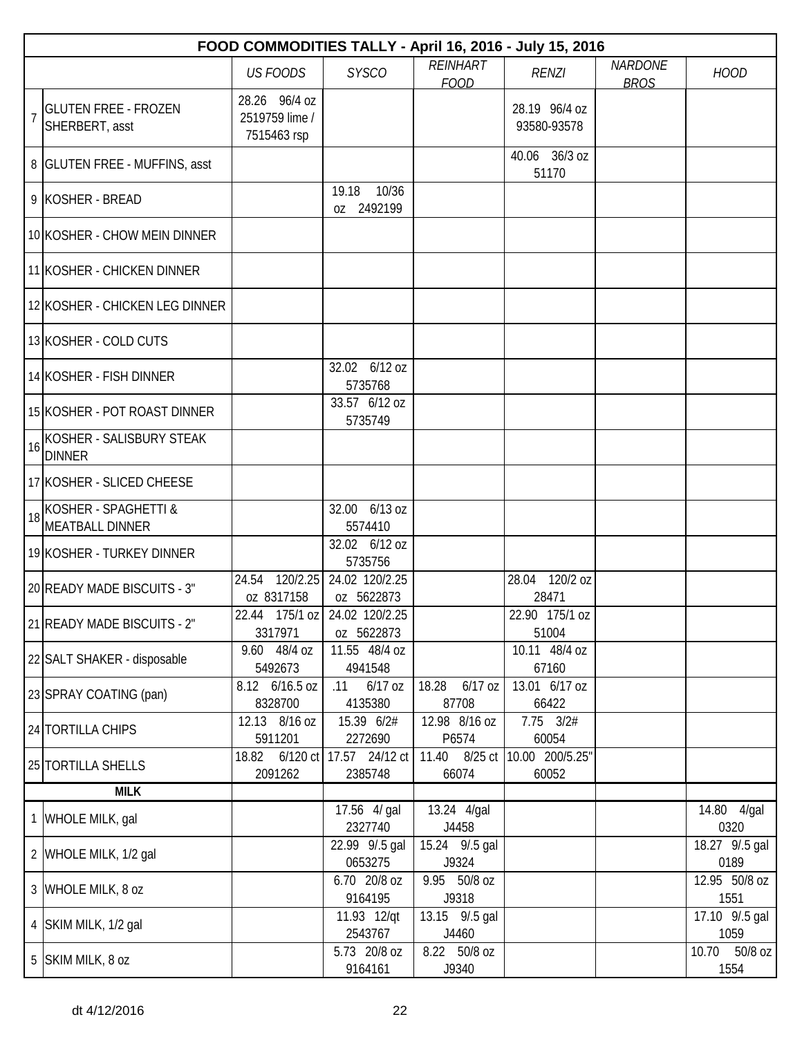|    |                                                     |                                                |                                       |                                | FOOD COMMODITIES TALLY - April 16, 2016 - July 15, 2016 |                               |                          |
|----|-----------------------------------------------------|------------------------------------------------|---------------------------------------|--------------------------------|---------------------------------------------------------|-------------------------------|--------------------------|
|    |                                                     | <b>US FOODS</b>                                | <b>SYSCO</b>                          | <b>REINHART</b><br><b>FOOD</b> | <b>RENZI</b>                                            | <b>NARDONE</b><br><b>BROS</b> | <b>HOOD</b>              |
|    | <b>GLUTEN FREE - FROZEN</b><br>SHERBERT, asst       | 28.26 96/4 oz<br>2519759 lime /<br>7515463 rsp |                                       |                                | 28.19 96/4 oz<br>93580-93578                            |                               |                          |
|    | 8 GLUTEN FREE - MUFFINS, asst                       |                                                |                                       |                                | 40.06 36/3 oz<br>51170                                  |                               |                          |
|    | 9 KOSHER - BREAD                                    |                                                | 19.18<br>10/36<br>oz 2492199          |                                |                                                         |                               |                          |
|    | 10 KOSHER - CHOW MEIN DINNER                        |                                                |                                       |                                |                                                         |                               |                          |
|    | 11 KOSHER - CHICKEN DINNER                          |                                                |                                       |                                |                                                         |                               |                          |
|    | 12 KOSHER - CHICKEN LEG DINNER                      |                                                |                                       |                                |                                                         |                               |                          |
|    | 13 KOSHER - COLD CUTS                               |                                                |                                       |                                |                                                         |                               |                          |
|    | 14 KOSHER - FISH DINNER                             |                                                | 32.02 6/12 oz<br>5735768              |                                |                                                         |                               |                          |
|    | 15 KOSHER - POT ROAST DINNER                        |                                                | 33.57 6/12 oz<br>5735749              |                                |                                                         |                               |                          |
| 16 | KOSHER - SALISBURY STEAK<br><b>DINNER</b>           |                                                |                                       |                                |                                                         |                               |                          |
|    | 17 KOSHER - SLICED CHEESE                           |                                                |                                       |                                |                                                         |                               |                          |
|    | $18$ KOSHER - SPAGHETTI &<br><b>MEATBALL DINNER</b> |                                                | 32.00 6/13 oz<br>5574410              |                                |                                                         |                               |                          |
|    | 19 KOSHER - TURKEY DINNER                           |                                                | 32.02 6/12 oz<br>5735756              |                                |                                                         |                               |                          |
|    | 20 READY MADE BISCUITS - 3"                         | 24.54<br>oz 8317158                            | 120/2.25 24.02 120/2.25<br>oz 5622873 |                                | 28.04 120/2 oz<br>28471                                 |                               |                          |
|    | 21 READY MADE BISCUITS - 2"                         | 22.44 175/1 oz   24.02 120/2.25<br>3317971     | oz 5622873                            |                                | 22.90 175/1 oz<br>51004                                 |                               |                          |
|    | 22 SALT SHAKER - disposable                         | 9.60 48/4 oz<br>5492673                        | 11.55 48/4 oz<br>4941548              |                                | 10.11 48/4 oz<br>67160                                  |                               |                          |
|    | 23 SPRAY COATING (pan)                              | 8.12 6/16.5 oz<br>8328700                      | 6/17 oz<br>.11<br>4135380             | 18.28<br>$6/17$ oz<br>87708    | 13.01 6/17 oz<br>66422                                  |                               |                          |
|    | 24 TORTILLA CHIPS                                   | 12.13 8/16 oz<br>5911201                       | 15.39 6/2#<br>2272690                 | 12.98 8/16 oz<br>P6574         | $7.75$ $3/2#$<br>60054                                  |                               |                          |
|    | 25 TORTILLA SHELLS                                  | 18.82 6/120 ct 17.57 24/12 ct<br>2091262       | 2385748                               | 11.40 8/25 ct<br>66074         | 10.00 200/5.25"<br>60052                                |                               |                          |
|    | <b>MILK</b>                                         |                                                |                                       |                                |                                                         |                               |                          |
|    | 1 WHOLE MILK, gal                                   |                                                | 17.56 4/ gal<br>2327740               | 13.24 4/gal<br>J4458           |                                                         |                               | 14.80 4/gal<br>0320      |
|    | 2 WHOLE MILK, 1/2 gal                               |                                                | 22.99 9/.5 gal<br>0653275             | 15.24 9/.5 gal<br>J9324        |                                                         |                               | 18.27 9/.5 gal<br>0189   |
|    | 3 WHOLE MILK, 8 oz                                  |                                                | 6.70 20/8 oz<br>9164195               | 9.95 50/8 oz<br>J9318          |                                                         |                               | 12.95 50/8 oz<br>1551    |
|    | 4 SKIM MILK, 1/2 gal                                |                                                | 11.93 12/qt<br>2543767                | 13.15 9/.5 gal<br>J4460        |                                                         |                               | 17.10 9/.5 gal<br>1059   |
|    | 5 SKIM MILK, 8 oz                                   |                                                | 5.73 20/8 oz<br>9164161               | 8.22 50/8 oz<br>J9340          |                                                         |                               | 10.70<br>50/8 oz<br>1554 |